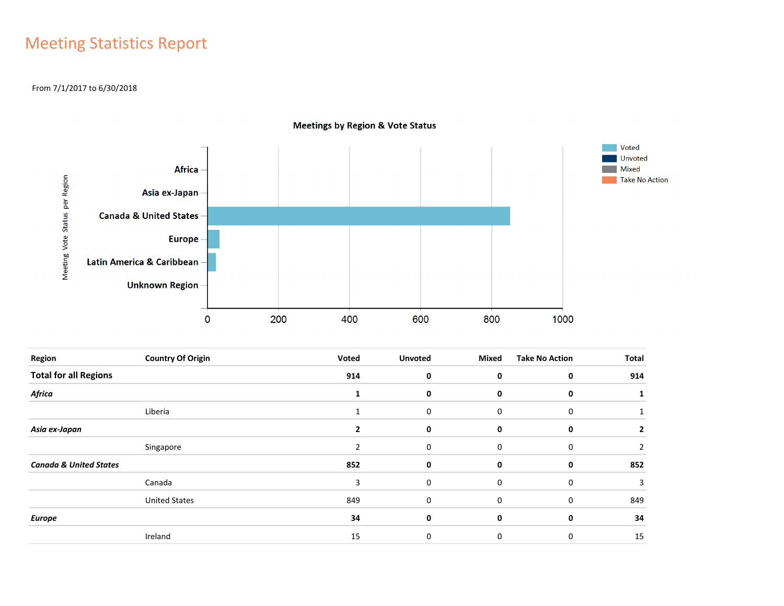### Meeting Statistics Report

### From 7/1/2017 to 6/30/2018



**Meetings by Region & Vote Status** 

| Region                            | <b>Country Of Origin</b> | Voted        | <b>Unvoted</b> | Mixed       | <b>Take No Action</b> | <b>Total</b> |
|-----------------------------------|--------------------------|--------------|----------------|-------------|-----------------------|--------------|
| <b>Total for all Regions</b>      |                          | 914          | 0              | 0           | $\mathbf 0$           | 914          |
| <b>Africa</b>                     |                          |              | 0              | 0           | 0                     |              |
|                                   | Liberia                  | $\mathbf{1}$ | 0              | $\mathbf 0$ | 0                     |              |
| Asia ex-Japan                     |                          |              | 0              | 0           | 0                     | 2            |
|                                   | Singapore                | 2            | 0              | $\mathbf 0$ | 0                     | 2            |
| <b>Canada &amp; United States</b> |                          | 852          | 0              | 0           | 0                     | 852          |
|                                   | Canada                   | 3            | 0              | 0           | 0                     | 3            |
|                                   | <b>United States</b>     | 849          | 0              | 0           | 0                     | 849          |
| <b>Europe</b>                     |                          | 34           | 0              | 0           | 0                     | 34           |
|                                   | Ireland                  | 15           | 0              | 0           | 0                     | 15           |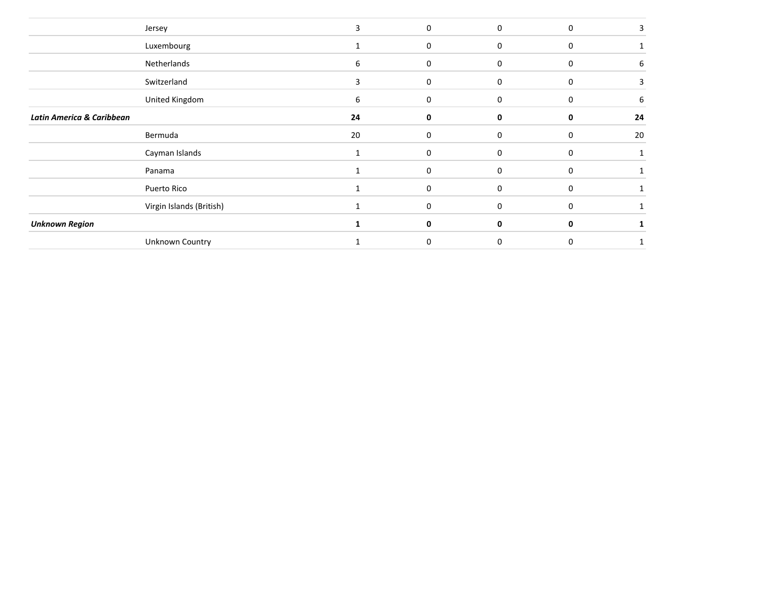|                           | Jersey                   | 3  | $\mathbf 0$ | $\mathbf 0$  | $\mathbf 0$ |    |
|---------------------------|--------------------------|----|-------------|--------------|-------------|----|
|                           | Luxembourg               |    | $\mathbf 0$ | $\Omega$     | $\Omega$    |    |
|                           | Netherlands              | 6  | 0           | 0            | 0           | 6  |
|                           | Switzerland              | 3  | 0           | $\mathbf 0$  | 0           |    |
|                           | United Kingdom           | 6  | 0           | 0            | 0           | 6  |
| Latin America & Caribbean |                          | 24 | 0           | 0            | 0           | 24 |
|                           | Bermuda                  | 20 | $\mathbf 0$ | $\Omega$     | $\Omega$    | 20 |
|                           | Cayman Islands           |    | 0           | $\mathbf 0$  | 0           |    |
|                           | Panama                   |    | 0           | 0            | $\mathbf 0$ |    |
|                           | Puerto Rico              |    | 0           | $\mathbf{0}$ | $\mathbf 0$ |    |
|                           | Virgin Islands (British) |    | 0           | $\Omega$     | $\mathbf 0$ |    |
| <b>Unknown Region</b>     |                          |    | 0           | $\Omega$     | 0           |    |
|                           | Unknown Country          |    | 0           | $\Omega$     | $\Omega$    |    |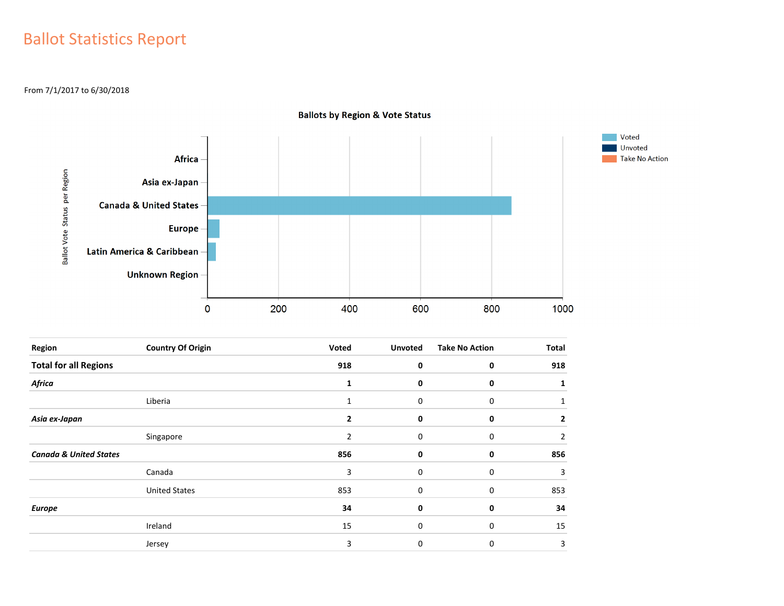### Ballot Statistics Report

From 7/1/2017 to 6/30/2018



**Ballots by Region & Vote Status** 

| Region                            | <b>Country Of Origin</b> | Voted        | <b>Unvoted</b> | <b>Take No Action</b> | <b>Total</b> |
|-----------------------------------|--------------------------|--------------|----------------|-----------------------|--------------|
| <b>Total for all Regions</b>      |                          | 918          | 0              | 0                     | 918          |
| Africa                            |                          | 1            | 0              | 0                     |              |
|                                   | Liberia                  | 1            | 0              | 0                     |              |
| Asia ex-Japan                     |                          | $\mathbf{2}$ | 0              | 0                     | 2            |
|                                   | Singapore                | 2            | 0              | 0                     | 2            |
| <b>Canada &amp; United States</b> |                          | 856          | 0              | 0                     | 856          |
|                                   | Canada                   | 3            | 0              | 0                     | 3            |
|                                   | <b>United States</b>     | 853          | 0              | 0                     | 853          |
| <b>Europe</b>                     |                          | 34           | 0              | 0                     | 34           |
|                                   | Ireland                  | 15           | 0              | 0                     | 15           |
|                                   | Jersey                   | 3            | 0              | 0                     | 3            |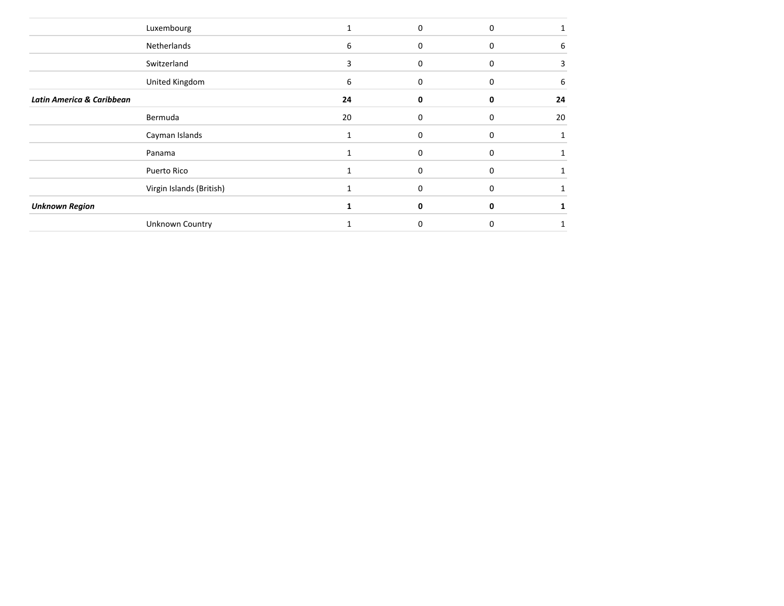|                                      | Luxembourg               |    | 0 | 0 |    |
|--------------------------------------|--------------------------|----|---|---|----|
|                                      | Netherlands              | 6  | O | 0 | 6  |
|                                      | Switzerland              | 3  | 0 | 0 |    |
|                                      | United Kingdom           | 6  | ი | 0 | 6  |
| <b>Latin America &amp; Caribbean</b> |                          | 24 |   | n | 24 |
|                                      | Bermuda                  | 20 |   |   | 20 |
|                                      | Cayman Islands           |    | o |   |    |
|                                      | Panama                   |    |   | o |    |
|                                      | Puerto Rico              |    | U | U |    |
|                                      | Virgin Islands (British) |    |   | 0 |    |
| <b>Unknown Region</b>                |                          |    | 0 | 0 |    |
|                                      | <b>Unknown Country</b>   |    |   |   |    |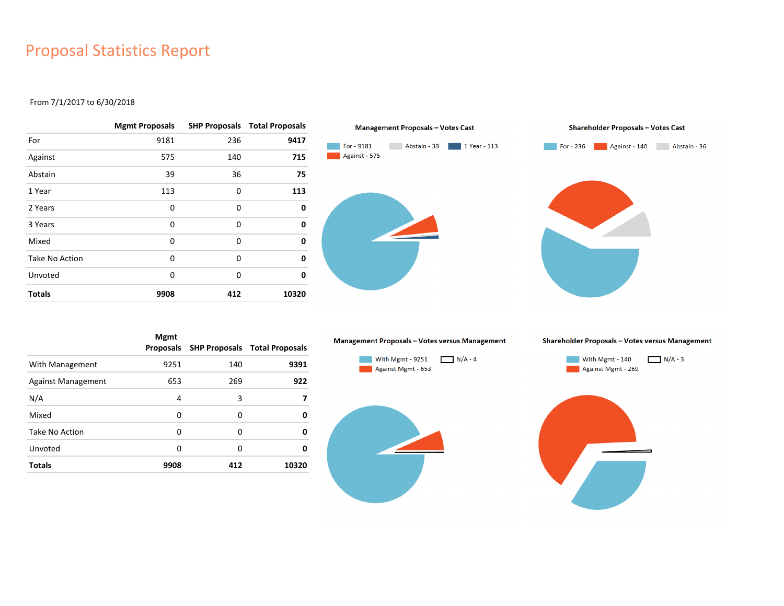### Proposal Statistics Report

#### From 7/1/2017 to 6/30/2018

|                | <b>Mgmt Proposals</b> |     | <b>SHP Proposals Total Proposals</b> |
|----------------|-----------------------|-----|--------------------------------------|
| For            | 9181                  | 236 | 9417                                 |
| Against        | 575                   | 140 | 715                                  |
| Abstain        | 39                    | 36  | 75                                   |
| 1 Year         | 113                   | 0   | 113                                  |
| 2 Years        | 0                     | 0   | 0                                    |
| 3 Years        | 0                     | 0   | 0                                    |
| Mixed          | 0                     | 0   | 0                                    |
| Take No Action | 0                     | 0   | 0                                    |
| Unvoted        | 0                     | 0   | 0                                    |
| <b>Totals</b>  | 9908                  | 412 | 10320                                |



|                    | <b>Mgmt</b><br>Proposals |     | <b>SHP Proposals Total Proposals</b> |
|--------------------|--------------------------|-----|--------------------------------------|
| With Management    | 9251                     | 140 | 9391                                 |
| Against Management | 653                      | 269 | 922                                  |
| N/A                | 4                        | 3   | 7                                    |
| Mixed              | 0                        | 0   | 0                                    |
| Take No Action     | 0                        | 0   | 0                                    |
| Unvoted            | 0                        | 0   | 0                                    |
| <b>Totals</b>      | 9908                     | 412 | 10320                                |

#### Management Proposals - Votes versus Management



Shareholder Proposals - Votes versus Management



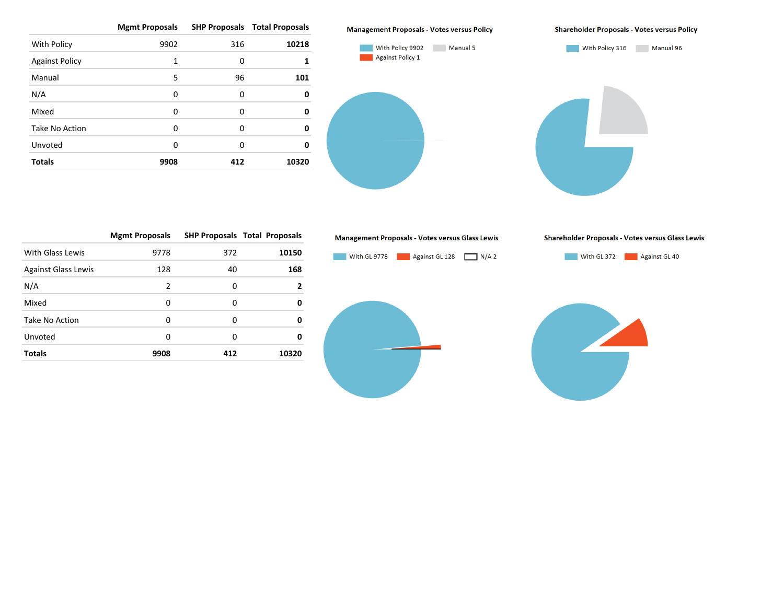|                       | <b>Mgmt Proposals</b> |     | <b>SHP Proposals Total Proposals</b> |
|-----------------------|-----------------------|-----|--------------------------------------|
| With Policy           | 9902                  | 316 | 10218                                |
| <b>Against Policy</b> | 1                     | 0   |                                      |
| Manual                | 5                     | 96  | 101                                  |
| N/A                   | 0                     | 0   | 0                                    |
| Mixed                 | $\Omega$              | 0   | 0                                    |
| Take No Action        | O                     | 0   | 0                                    |
| Unvoted               | 0                     | 0   | Ω                                    |
| <b>Totals</b>         | 9908                  | 412 | 10320                                |



With Policy 9902 Manual 5 Against Policy 1



**Shareholder Proposals - Votes versus Policy** 

With Policy 316 Manual 96

|                            | <b>Mgmt Proposals</b> |     | <b>SHP Proposals Total Proposals</b> |
|----------------------------|-----------------------|-----|--------------------------------------|
| With Glass Lewis           | 9778                  | 372 | 10150                                |
| <b>Against Glass Lewis</b> | 128                   | 40  | 168                                  |
| N/A                        | $\mathcal{P}$         | 0   | 2                                    |
| Mixed                      | 0                     | O   | 0                                    |
| Take No Action             | O                     | O   | 0                                    |
| Unvoted                    | O                     | O   | 0                                    |
| <b>Totals</b>              | 9908                  | 412 | 10320                                |

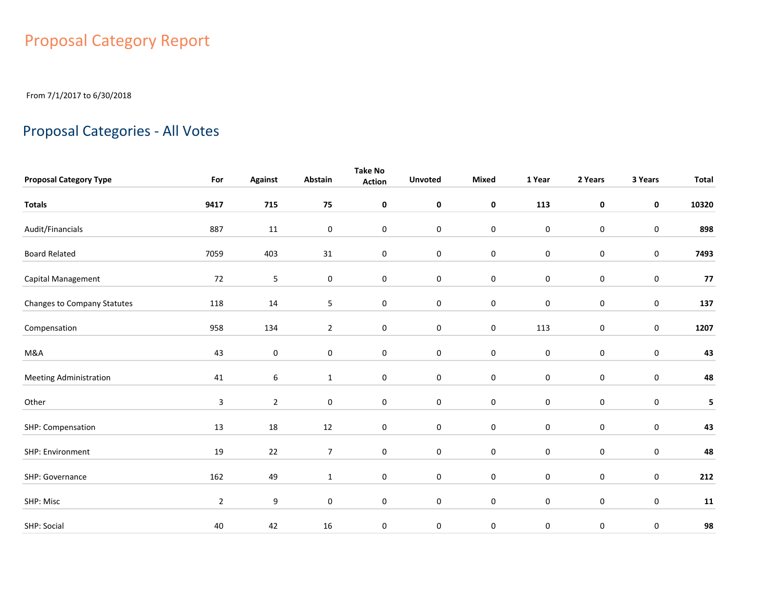## Proposal Category Report

From 7/1/2017 to 6/30/2018

## Proposal Categories - All Votes

|                               |                |                  |                  | <b>Take No</b>      |                |                  |             |                  |                  |              |
|-------------------------------|----------------|------------------|------------------|---------------------|----------------|------------------|-------------|------------------|------------------|--------------|
| <b>Proposal Category Type</b> | For            | <b>Against</b>   | Abstain          | <b>Action</b>       | <b>Unvoted</b> | Mixed            | 1 Year      | 2 Years          | 3 Years          | <b>Total</b> |
| <b>Totals</b>                 | 9417           | 715              | 75               | 0                   | $\mathbf 0$    | $\mathbf 0$      | 113         | $\pmb{0}$        | $\mathbf 0$      | 10320        |
| Audit/Financials              | 887            | 11               | 0                | $\mathbf 0$         | $\bf{0}$       | $\boldsymbol{0}$ | $\pmb{0}$   | $\mathbf 0$      | $\pmb{0}$        | 898          |
| <b>Board Related</b>          | 7059           | 403              | 31               | $\mathbf 0$         | $\bf{0}$       | $\pmb{0}$        | $\pmb{0}$   | $\mathbf 0$      | $\pmb{0}$        | 7493         |
| Capital Management            | 72             | 5                | $\pmb{0}$        | $\pmb{0}$           | $\pmb{0}$      | $\boldsymbol{0}$ | $\pmb{0}$   | $\mathbf 0$      | $\pmb{0}$        | 77           |
| Changes to Company Statutes   | 118            | 14               | 5                | 0                   | $\mathbf 0$    | $\pmb{0}$        | $\pmb{0}$   | $\mathbf 0$      | $\pmb{0}$        | 137          |
| Compensation                  | 958            | 134              | $\overline{2}$   | $\mathsf{O}\xspace$ | $\pmb{0}$      | $\pmb{0}$        | 113         | $\mathbf 0$      | $\mathbf 0$      | 1207         |
| M&A                           | 43             | $\mathbf 0$      | 0                | 0                   | $\mathbf 0$    | $\pmb{0}$        | $\pmb{0}$   | $\mathbf 0$      | 0                | 43           |
| <b>Meeting Administration</b> | 41             | $\boldsymbol{6}$ | $\mathbf{1}$     | $\mathbf 0$         | $\pmb{0}$      | $\pmb{0}$        | $\pmb{0}$   | $\mathbf 0$      | $\boldsymbol{0}$ | 48           |
| Other                         | $\mathbf{3}$   | $\overline{2}$   | $\boldsymbol{0}$ | 0                   | $\mathbf 0$    | $\pmb{0}$        | $\pmb{0}$   | $\mathbf 0$      | $\pmb{0}$        | 5            |
| SHP: Compensation             | 13             | 18               | 12               | $\mathbf 0$         | $\mathbf 0$    | $\pmb{0}$        | $\mathbf 0$ | $\mathbf 0$      | 0                | 43           |
| SHP: Environment              | 19             | 22               | $\overline{7}$   | 0                   | $\mathbf 0$    | $\pmb{0}$        | $\mathbf 0$ | $\boldsymbol{0}$ | 0                | 48           |
| SHP: Governance               | 162            | 49               | $\mathbf{1}$     | 0                   | $\mathbf 0$    | $\pmb{0}$        | $\mathbf 0$ | $\mathbf 0$      | $\mathbf 0$      | 212          |
| SHP: Misc                     | $\overline{2}$ | 9                | 0                | 0                   | $\mathbf 0$    | $\pmb{0}$        | $\mathbf 0$ | $\mathbf 0$      | $\mathbf 0$      | 11           |
| SHP: Social                   | 40             | 42               | 16               | $\pmb{0}$           | 0              | $\boldsymbol{0}$ | 0           | 0                | 0                | 98           |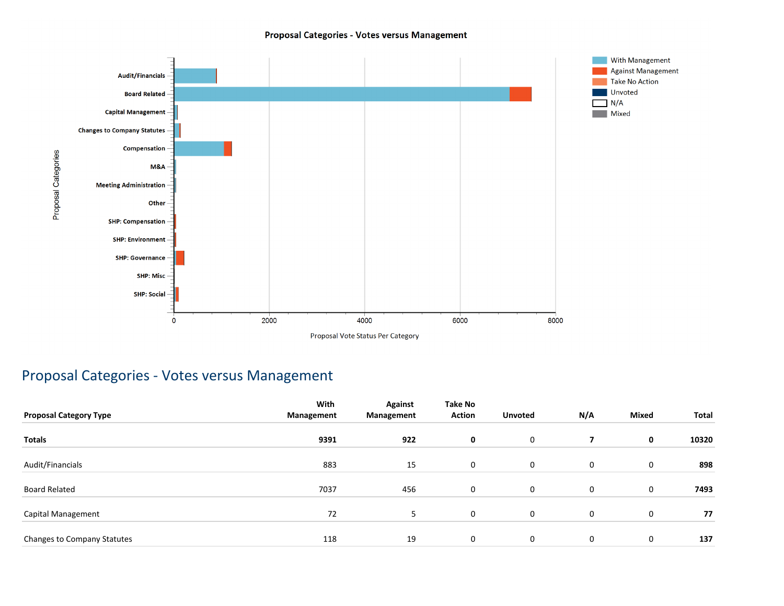#### Proposal Categories - Votes versus Management



### Proposal Categories - Votes versus Management

|                               | With       | <b>Against</b> | <b>Take No</b> |                |             |              |       |
|-------------------------------|------------|----------------|----------------|----------------|-------------|--------------|-------|
| <b>Proposal Category Type</b> | Management | Management     | <b>Action</b>  | <b>Unvoted</b> | N/A         | <b>Mixed</b> | Total |
| <b>Totals</b>                 | 9391       | 922            | 0              | 0              | 7           | 0            | 10320 |
| Audit/Financials              | 883        | 15             | 0              | $\mathbf 0$    | 0           | 0            | 898   |
| Board Related                 | 7037       | 456            | 0              | 0              | 0           | 0            | 7493  |
| Capital Management            | 72         | 5              | 0              | 0              | $\mathbf 0$ | 0            | 77    |
| Changes to Company Statutes   | 118        | 19             | 0              | 0              | 0           | 0            | 137   |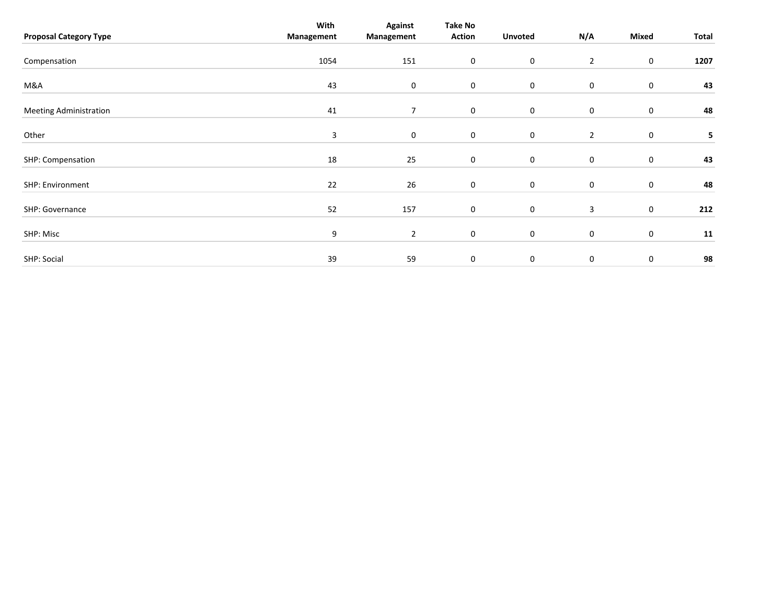| <b>Proposal Category Type</b> | With<br>Management | <b>Against</b><br>Management | Take No<br><b>Action</b> | <b>Unvoted</b>   | N/A            | Mixed       | Total |
|-------------------------------|--------------------|------------------------------|--------------------------|------------------|----------------|-------------|-------|
| Compensation                  | 1054               | 151                          | $\boldsymbol{0}$         | $\boldsymbol{0}$ | $\overline{2}$ | 0           | 1207  |
| M&A                           | 43                 | $\mathbf 0$                  | $\bf{0}$                 | $\boldsymbol{0}$ | 0              | $\pmb{0}$   | 43    |
| <b>Meeting Administration</b> | 41                 | 7                            | $\mathbf 0$              | $\boldsymbol{0}$ | 0              | $\mathbf 0$ | 48    |
| Other                         | 3                  | 0                            | 0                        | $\mathbf 0$      | $\overline{2}$ | $\pmb{0}$   | 5     |
| SHP: Compensation             | 18                 | 25                           | $\mathbf 0$              | 0                | 0              | 0           | 43    |
| SHP: Environment              | 22                 | 26                           | $\bf{0}$                 | $\boldsymbol{0}$ | 0              | $\mathbf 0$ | 48    |
| SHP: Governance               | 52                 | 157                          | $\boldsymbol{0}$         | $\boldsymbol{0}$ | 3              | $\mathbf 0$ | 212   |
| SHP: Misc                     | 9                  | $\overline{2}$               | $\mathbf 0$              | 0                | 0              | $\mathbf 0$ | 11    |
| SHP: Social                   | 39                 | 59                           | 0                        | $\mathbf 0$      | $\mathbf 0$    | 0           | 98    |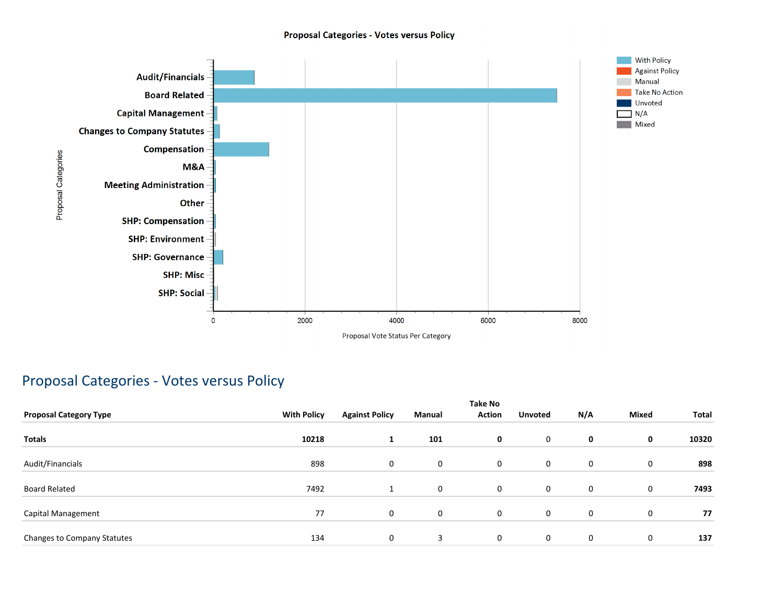#### **Proposal Categories - Votes versus Policy**



### Proposal Categories - Votes versus Policy

| <b>Proposal Category Type</b> | <b>With Policy</b> | <b>Against Policy</b> | Manual      | <b>Take No</b><br><b>Action</b> | <b>Unvoted</b> | N/A | <b>Mixed</b> | Total |
|-------------------------------|--------------------|-----------------------|-------------|---------------------------------|----------------|-----|--------------|-------|
| <b>Totals</b>                 | 10218              | 1                     | 101         | 0                               | 0              | 0   | 0            | 10320 |
| Audit/Financials              | 898                | 0                     | 0           | $\mathbf 0$                     | 0              | 0   | 0            | 898   |
| <b>Board Related</b>          | 7492               |                       | $\mathbf 0$ | $\mathbf 0$                     | 0              | 0   | 0            | 7493  |
| Capital Management            | 77                 | 0                     | 0           | $\mathbf 0$                     | 0              | 0   | $\mathbf 0$  | 77    |
| Changes to Company Statutes   | 134                | 0                     | 3           | $\mathbf 0$                     | 0              | 0   | $\mathbf 0$  | 137   |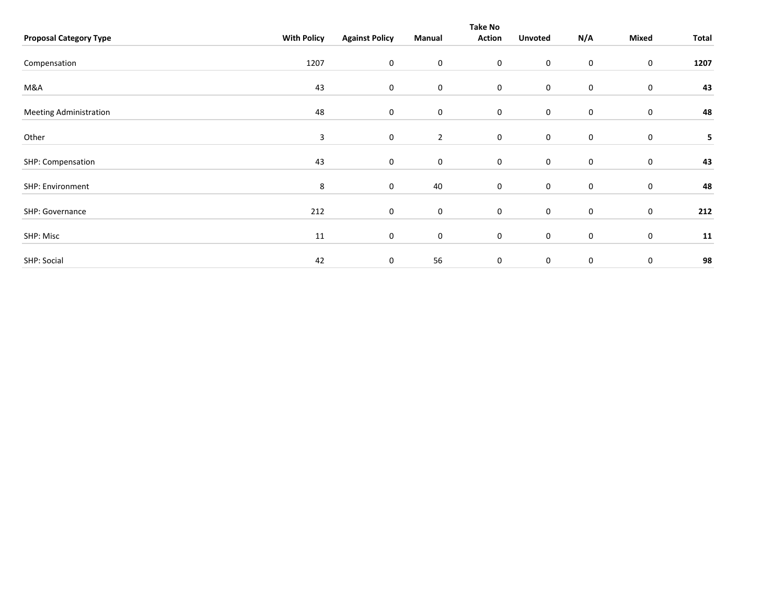|                               |                    | <b>Take No</b>        |                |                     |                  |     |                  |       |  |  |  |  |
|-------------------------------|--------------------|-----------------------|----------------|---------------------|------------------|-----|------------------|-------|--|--|--|--|
| <b>Proposal Category Type</b> | <b>With Policy</b> | <b>Against Policy</b> | Manual         | <b>Action</b>       | <b>Unvoted</b>   | N/A | Mixed            | Total |  |  |  |  |
| Compensation                  | 1207               | 0                     | $\mathbf 0$    | $\mathbf 0$         | $\mathbf 0$      | 0   | $\mathbf 0$      | 1207  |  |  |  |  |
| M&A                           | 43                 | $\mathbf 0$           | $\mathbf 0$    | $\mathbf 0$         | $\mathbf 0$      | 0   | $\mathbf 0$      | 43    |  |  |  |  |
| <b>Meeting Administration</b> | 48                 | 0                     | $\mathbf 0$    | $\mathbf 0$         | $\boldsymbol{0}$ | 0   | $\mathbf 0$      | 48    |  |  |  |  |
| Other                         | 3                  | 0                     | $\overline{2}$ | $\mathbf 0$         | $\mathbf 0$      | 0   | $\mathbf 0$      | 5     |  |  |  |  |
| SHP: Compensation             | 43                 | 0                     | $\mathbf 0$    | $\mathbf 0$         | $\mathbf 0$      | 0   | $\mathbf 0$      | 43    |  |  |  |  |
| SHP: Environment              | 8                  | 0                     | 40             | $\mathsf{O}\xspace$ | $\mathsf 0$      | 0   | $\boldsymbol{0}$ | 48    |  |  |  |  |
| SHP: Governance               | 212                | 0                     | $\mathbf 0$    | $\mathbf 0$         | $\boldsymbol{0}$ | 0   | $\boldsymbol{0}$ | 212   |  |  |  |  |
| SHP: Misc                     | 11                 | 0                     | $\mathbf 0$    | $\mathbf 0$         | $\mathbf 0$      | 0   | $\boldsymbol{0}$ | 11    |  |  |  |  |
| SHP: Social                   | 42                 | 0                     | 56             | $\mathbf 0$         | $\mathbf 0$      | 0   | 0                | 98    |  |  |  |  |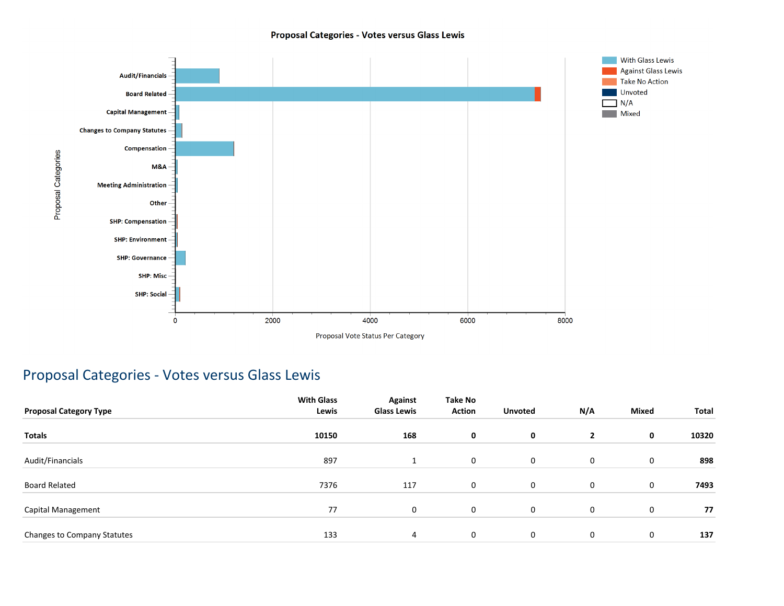#### Proposal Categories - Votes versus Glass Lewis



### Proposal Categories - Votes versus Glass Lewis

| <b>Proposal Category Type</b> | <b>With Glass</b><br>Lewis | Against<br><b>Glass Lewis</b> | Take No<br><b>Action</b> | <b>Unvoted</b> | N/A            | <b>Mixed</b> | Total |
|-------------------------------|----------------------------|-------------------------------|--------------------------|----------------|----------------|--------------|-------|
| <b>Totals</b>                 | 10150                      | 168                           | 0                        | 0              | $\overline{2}$ | 0            | 10320 |
| Audit/Financials              | 897                        |                               | 0                        | $\mathbf 0$    | 0              | 0            | 898   |
| <b>Board Related</b>          | 7376                       | 117                           | $\mathbf 0$              | 0              | 0              | 0            | 7493  |
| Capital Management            | 77                         | 0                             | $\mathbf 0$              | $\mathbf 0$    | 0              | $\mathbf 0$  | 77    |
| Changes to Company Statutes   | 133                        | 4                             | 0                        | 0              | 0              | 0            | 137   |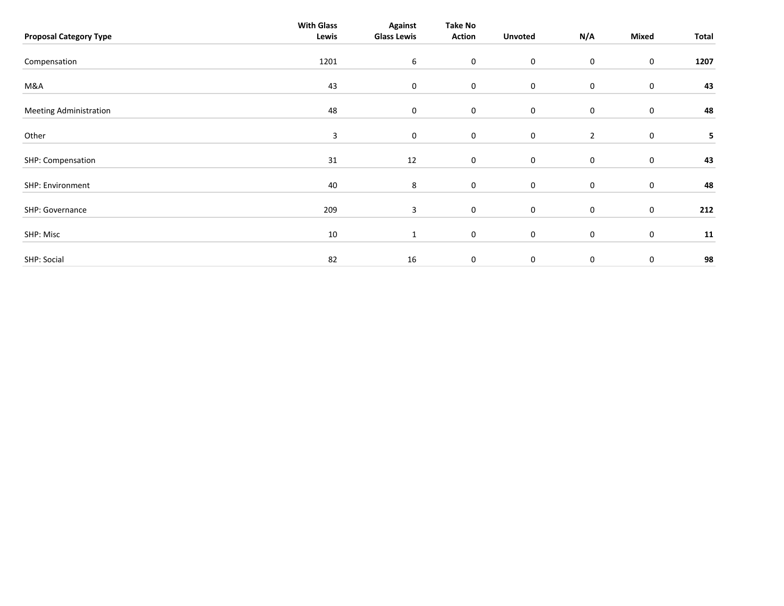| <b>Proposal Category Type</b> | <b>With Glass</b><br>Lewis | <b>Against</b><br><b>Glass Lewis</b> | <b>Take No</b><br><b>Action</b> | <b>Unvoted</b> | N/A            | Mixed       | Total |
|-------------------------------|----------------------------|--------------------------------------|---------------------------------|----------------|----------------|-------------|-------|
| Compensation                  | 1201                       | 6                                    | $\boldsymbol{0}$                | $\mathsf 0$    | 0              | $\bf{0}$    | 1207  |
| M&A                           | 43                         | $\mathbf 0$                          | $\mathbf 0$                     | $\mathbf 0$    | 0              | $\pmb{0}$   | 43    |
| <b>Meeting Administration</b> | 48                         | $\mathbf 0$                          | $\mathbf 0$                     | $\mathbf 0$    | 0              | 0           | 48    |
| Other                         | 3                          | $\mathbf 0$                          | $\mathbf 0$                     | $\mathbf 0$    | $\overline{2}$ | $\pmb{0}$   | 5     |
| SHP: Compensation             | 31                         | 12                                   | $\mathbf 0$                     | $\mathsf 0$    | 0              | $\pmb{0}$   | 43    |
| SHP: Environment              | 40                         | 8                                    | $\mathbf 0$                     | $\mathsf 0$    | 0              | $\pmb{0}$   | 48    |
| SHP: Governance               | 209                        | 3                                    | $\mathbf 0$                     | $\mathbf 0$    | 0              | $\bf{0}$    | 212   |
| SHP: Misc                     | 10                         | $\mathbf{1}$                         | $\mathbf 0$                     | $\mathsf 0$    | 0              | 0           | 11    |
| SHP: Social                   | 82                         | 16                                   | 0                               | $\mathbf 0$    | $\mathbf 0$    | $\mathbf 0$ | 98    |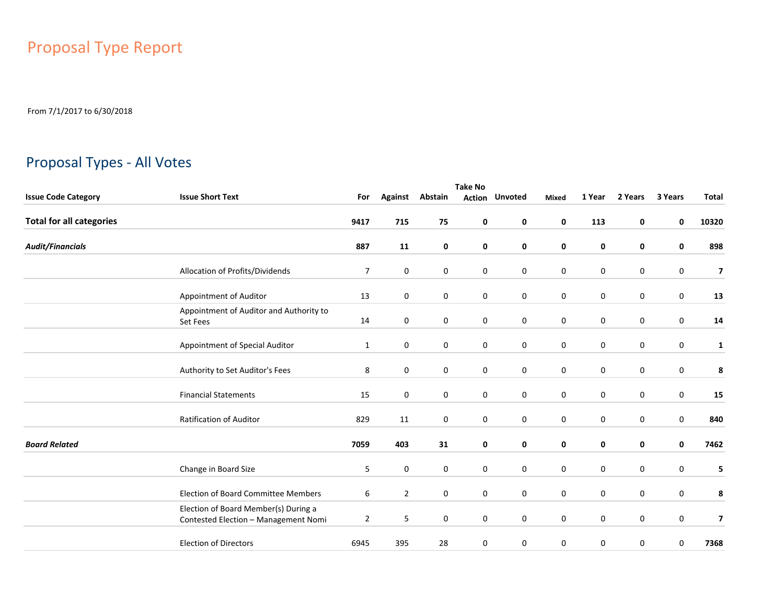## Proposal Type Report

From 7/1/2017 to 6/30/2018

### Proposal Types - All Votes

|                                 | <b>Take No</b>                                                               |                |                |             |              |                       |             |             |             |         |                          |  |
|---------------------------------|------------------------------------------------------------------------------|----------------|----------------|-------------|--------------|-----------------------|-------------|-------------|-------------|---------|--------------------------|--|
| <b>Issue Code Category</b>      | <b>Issue Short Text</b>                                                      | For            | <b>Against</b> | Abstain     |              | <b>Action Unvoted</b> | Mixed       | 1 Year      | 2 Years     | 3 Years | <b>Total</b>             |  |
| <b>Total for all categories</b> |                                                                              | 9417           | 715            | 75          | 0            | $\mathbf 0$           | 0           | 113         | 0           | 0       | 10320                    |  |
| <b>Audit/Financials</b>         |                                                                              | 887            | 11             | 0           | 0            | 0                     | 0           | 0           | 0           | 0       | 898                      |  |
|                                 | Allocation of Profits/Dividends                                              | $\overline{7}$ | $\mathbf 0$    | $\mathbf 0$ | 0            | $\mathbf 0$           | $\mathbf 0$ | 0           | $\mathbf 0$ | 0       | $\overline{\mathbf{z}}$  |  |
|                                 | Appointment of Auditor                                                       | 13             | $\mathbf 0$    | $\mathbf 0$ | 0            | $\mathbf 0$           | 0           | $\mathbf 0$ | $\mathbf 0$ | 0       | 13                       |  |
|                                 | Appointment of Auditor and Authority to<br>Set Fees                          | 14             | 0              | $\mathbf 0$ | 0            | $\mathbf 0$           | $\mathbf 0$ | 0           | $\mathbf 0$ | 0       | 14                       |  |
|                                 | Appointment of Special Auditor                                               | $\mathbf{1}$   | 0              | $\mathbf 0$ | $\mathbf{0}$ | $\mathbf 0$           | 0           | $\mathbf 0$ | $\mathbf 0$ | 0       | $\mathbf{1}$             |  |
|                                 | Authority to Set Auditor's Fees                                              | 8              | $\mathbf 0$    | $\mathbf 0$ | 0            | $\mathbf 0$           | $\mathbf 0$ | 0           | $\mathbf 0$ | 0       | 8                        |  |
|                                 | <b>Financial Statements</b>                                                  | 15             | $\mathbf 0$    | $\mathbf 0$ | 0            | $\mathbf 0$           | 0           | $\mathbf 0$ | $\mathbf 0$ | 0       | 15                       |  |
|                                 | Ratification of Auditor                                                      | 829            | 11             | $\mathbf 0$ | 0            | $\mathbf 0$           | $\mathbf 0$ | 0           | $\mathbf 0$ | 0       | 840                      |  |
| <b>Board Related</b>            |                                                                              | 7059           | 403            | 31          | 0            | 0                     | 0           | 0           | 0           | 0       | 7462                     |  |
|                                 | Change in Board Size                                                         | 5              | $\mathbf 0$    | $\mathbf 0$ | 0            | $\mathbf 0$           | $\mathbf 0$ | 0           | $\mathbf 0$ | 0       | 5                        |  |
|                                 | <b>Election of Board Committee Members</b>                                   | 6              | $\overline{2}$ | $\mathbf 0$ | 0            | 0                     | $\mathbf 0$ | 0           | $\mathbf 0$ | 0       | 8                        |  |
|                                 | Election of Board Member(s) During a<br>Contested Election - Management Nomi | $\overline{2}$ | 5              | $\mathbf 0$ | 0            | $\mathbf 0$           | $\mathbf 0$ | 0           | $\mathbf 0$ | 0       | $\overline{\phantom{a}}$ |  |
|                                 | <b>Election of Directors</b>                                                 | 6945           | 395            | 28          | 0            | 0                     | 0           | 0           | 0           | 0       | 7368                     |  |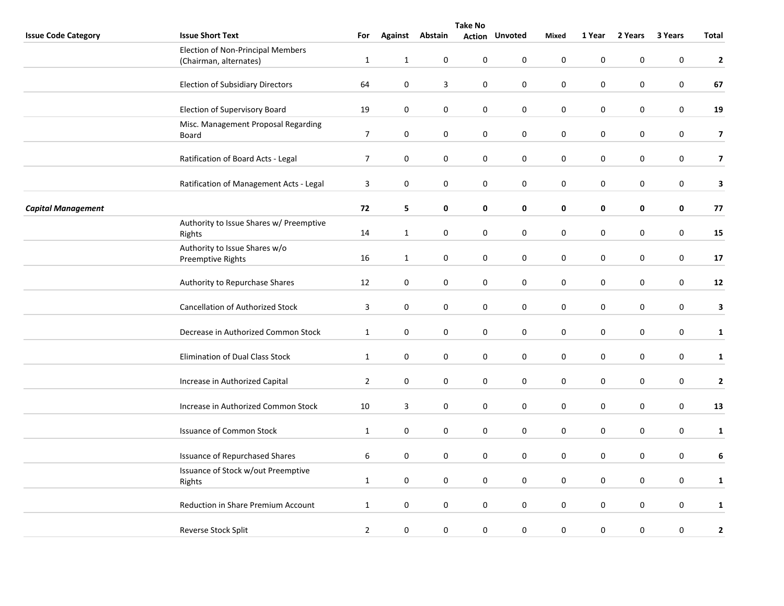|                            | <b>Take No</b>                                                     |                |              |                  |                  |                       |                  |                  |           |                  |                         |
|----------------------------|--------------------------------------------------------------------|----------------|--------------|------------------|------------------|-----------------------|------------------|------------------|-----------|------------------|-------------------------|
| <b>Issue Code Category</b> | <b>Issue Short Text</b>                                            | For            |              | Against Abstain  |                  | <b>Action Unvoted</b> | <b>Mixed</b>     | 1 Year           | 2 Years   | 3 Years          | <b>Total</b>            |
|                            | <b>Election of Non-Principal Members</b><br>(Chairman, alternates) | $\mathbf{1}$   | $\mathbf{1}$ | $\mathbf 0$      | 0                | $\mathsf 0$           | $\pmb{0}$        | $\pmb{0}$        | 0         | $\mathbf 0$      | $\overline{2}$          |
|                            | <b>Election of Subsidiary Directors</b>                            | 64             | $\mathbf 0$  | 3                | 0                | $\mathbf 0$           | 0                | $\mathbf 0$      | 0         | 0                | 67                      |
|                            | <b>Election of Supervisory Board</b>                               | 19             | $\pmb{0}$    | 0                | 0                | $\pmb{0}$             | $\pmb{0}$        | $\boldsymbol{0}$ | 0         | $\mathbf 0$      | 19                      |
|                            | Misc. Management Proposal Regarding<br>Board                       | $\overline{7}$ | $\pmb{0}$    | 0                | 0                | $\pmb{0}$             | $\pmb{0}$        | $\pmb{0}$        | 0         | $\mathbf 0$      | $\overline{\mathbf{z}}$ |
|                            | Ratification of Board Acts - Legal                                 | $\overline{7}$ | $\pmb{0}$    | $\boldsymbol{0}$ | $\boldsymbol{0}$ | $\pmb{0}$             | $\pmb{0}$        | $\pmb{0}$        | 0         | $\mathbf 0$      | $\overline{\mathbf{z}}$ |
|                            | Ratification of Management Acts - Legal                            | 3              | $\pmb{0}$    | $\mathbf 0$      | 0                | 0                     | $\pmb{0}$        | $\pmb{0}$        | 0         | $\boldsymbol{0}$ | $\mathbf{3}$            |
| <b>Capital Management</b>  |                                                                    | 72             | 5            | 0                | 0                | 0                     | 0                | $\pmb{0}$        | 0         | $\pmb{0}$        | 77                      |
|                            | Authority to Issue Shares w/ Preemptive<br>Rights                  | 14             | $\mathbf{1}$ | 0                | 0                | $\pmb{0}$             | $\pmb{0}$        | $\pmb{0}$        | 0         | $\boldsymbol{0}$ | 15                      |
|                            | Authority to Issue Shares w/o<br>Preemptive Rights                 | 16             | $\mathbf{1}$ | 0                | 0                | $\pmb{0}$             | $\pmb{0}$        | $\pmb{0}$        | 0         | $\mathbf 0$      | 17                      |
|                            | Authority to Repurchase Shares                                     | 12             | $\pmb{0}$    | $\boldsymbol{0}$ | $\boldsymbol{0}$ | $\pmb{0}$             | $\pmb{0}$        | $\pmb{0}$        | 0         | $\mathbf 0$      | 12                      |
|                            | <b>Cancellation of Authorized Stock</b>                            | 3              | $\pmb{0}$    | $\mathbf 0$      | $\pmb{0}$        | $\pmb{0}$             | $\pmb{0}$        | $\boldsymbol{0}$ | 0         | $\boldsymbol{0}$ | $\mathbf{3}$            |
|                            | Decrease in Authorized Common Stock                                | $\mathbf{1}$   | $\mathbf 0$  | 0                | 0                | 0                     | 0                | $\mathbf 0$      | 0         | 0                | $\mathbf{1}$            |
|                            | Elimination of Dual Class Stock                                    | $\mathbf{1}$   | $\pmb{0}$    | 0                | 0                | $\bf{0}$              | $\mathbf 0$      | $\pmb{0}$        | 0         | $\mathbf 0$      | $\mathbf{1}$            |
|                            | Increase in Authorized Capital                                     | $\overline{2}$ | $\pmb{0}$    | 0                | 0                | $\bf{0}$              | $\pmb{0}$        | $\pmb{0}$        | $\pmb{0}$ | $\pmb{0}$        | $\mathbf{2}$            |
|                            | Increase in Authorized Common Stock                                | 10             | 3            | 0                | $\boldsymbol{0}$ | $\bf{0}$              | $\boldsymbol{0}$ | $\pmb{0}$        | 0         | $\mathbf 0$      | 13                      |
|                            | <b>Issuance of Common Stock</b>                                    | $\mathbf{1}$   | $\pmb{0}$    | $\pmb{0}$        | $\pmb{0}$        | $\bf{0}$              | $\boldsymbol{0}$ | $\boldsymbol{0}$ | 0         | $\boldsymbol{0}$ | $\mathbf{1}$            |
|                            | <b>Issuance of Repurchased Shares</b>                              | 6              | $\mathbf 0$  | 0                | 0                | $\mathbf 0$           | 0                | $\mathbf 0$      | 0         | 0                | 6                       |
|                            | Issuance of Stock w/out Preemptive<br>Rights                       | $\mathbf{1}$   | 0            | 0                | 0                | $\bf{0}$              | 0                | $\pmb{0}$        | 0         | $\pmb{0}$        | $\mathbf{1}$            |
|                            | Reduction in Share Premium Account                                 | $\mathbf{1}$   | $\pmb{0}$    | 0                | 0                | $\bf{0}$              | $\pmb{0}$        | $\pmb{0}$        | $\pmb{0}$ | $\mathbf 0$      | $\mathbf{1}$            |
|                            | Reverse Stock Split                                                | $\overline{2}$ | $\pmb{0}$    | $\pmb{0}$        | $\boldsymbol{0}$ | $\bf{0}$              | $\mathbf 0$      | $\boldsymbol{0}$ | 0         | 0                | $\mathbf{2}$            |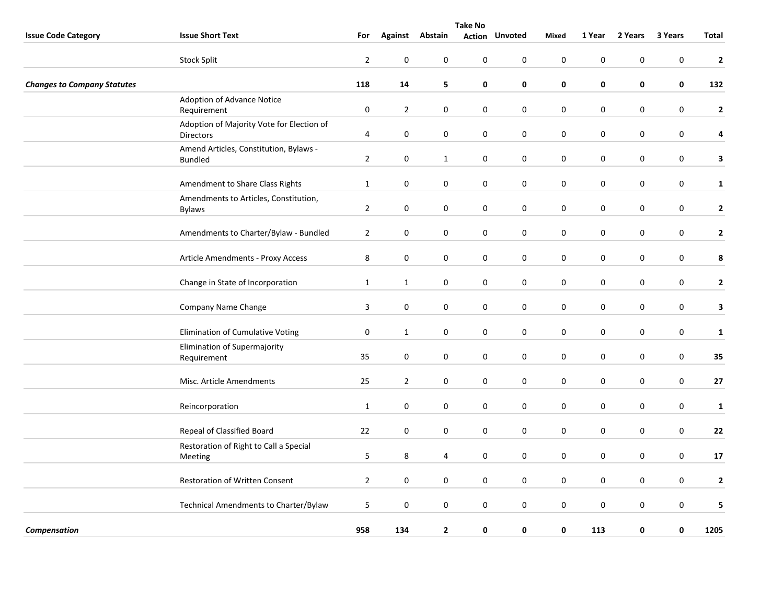|                                    | <b>Take No</b>                                                |                |                  |                        |                  |                       |                  |                  |             |                  |                         |  |
|------------------------------------|---------------------------------------------------------------|----------------|------------------|------------------------|------------------|-----------------------|------------------|------------------|-------------|------------------|-------------------------|--|
| <b>Issue Code Category</b>         | <b>Issue Short Text</b>                                       | For            |                  | <b>Against Abstain</b> |                  | <b>Action Unvoted</b> | Mixed            | 1 Year           | 2 Years     | 3 Years          | Total                   |  |
|                                    | <b>Stock Split</b>                                            | $\overline{2}$ | $\mathbf 0$      | 0                      | 0                | 0                     | $\mathbf 0$      | $\boldsymbol{0}$ | 0           | $\mathbf 0$      | $\overline{\mathbf{2}}$ |  |
| <b>Changes to Company Statutes</b> |                                                               | 118            | 14               | 5                      | 0                | $\mathbf 0$           | 0                | $\mathbf 0$      | 0           | $\mathbf 0$      | 132                     |  |
|                                    | Adoption of Advance Notice<br>Requirement                     | $\pmb{0}$      | $\overline{2}$   | 0                      | 0                | $\mathbf 0$           | $\mathbf 0$      | $\pmb{0}$        | 0           | 0                | $\mathbf{2}$            |  |
|                                    | Adoption of Majority Vote for Election of<br><b>Directors</b> | 4              | $\bf{0}$         | 0                      | 0                | $\pmb{0}$             | $\pmb{0}$        | $\mathbf 0$      | 0           | 0                | 4                       |  |
|                                    | Amend Articles, Constitution, Bylaws -<br><b>Bundled</b>      | $\overline{2}$ | $\pmb{0}$        | $\mathbf{1}$           | $\boldsymbol{0}$ | $\pmb{0}$             | $\pmb{0}$        | $\pmb{0}$        | 0           | $\boldsymbol{0}$ | $\mathbf{3}$            |  |
|                                    | Amendment to Share Class Rights                               | $\mathbf{1}$   | 0                | 0                      | 0                | 0                     | $\pmb{0}$        | $\mathbf 0$      | 0           | 0                | $\mathbf{1}$            |  |
|                                    | Amendments to Articles, Constitution,<br><b>Bylaws</b>        | $\overline{2}$ | $\boldsymbol{0}$ | $\boldsymbol{0}$       | $\boldsymbol{0}$ | $\pmb{0}$             | $\pmb{0}$        | $\pmb{0}$        | 0           | $\boldsymbol{0}$ | $\mathbf{2}$            |  |
|                                    | Amendments to Charter/Bylaw - Bundled                         | $\overline{2}$ | $\mathbf 0$      | 0                      | 0                | 0                     | $\mathbf 0$      | $\mathbf 0$      | 0           | 0                | $\mathbf{2}$            |  |
|                                    | Article Amendments - Proxy Access                             | 8              | $\mathbf 0$      | $\pmb{0}$              | 0                | $\mathbf 0$           | $\pmb{0}$        | $\mathbf 0$      | $\mathbf 0$ | $\pmb{0}$        | 8                       |  |
|                                    | Change in State of Incorporation                              | $\mathbf{1}$   | $\mathbf{1}$     | $\boldsymbol{0}$       | 0                | $\pmb{0}$             | $\pmb{0}$        | $\pmb{0}$        | 0           | $\mathbf 0$      | $\mathbf{2}$            |  |
|                                    | Company Name Change                                           | 3              | $\mathbf 0$      | 0                      | 0                | 0                     | $\pmb{0}$        | $\mathbf 0$      | 0           | 0                | $\mathbf{3}$            |  |
|                                    | Elimination of Cumulative Voting                              | $\pmb{0}$      | $\mathbf{1}$     | $\boldsymbol{0}$       | $\boldsymbol{0}$ | $\pmb{0}$             | $\pmb{0}$        | $\pmb{0}$        | 0           | $\boldsymbol{0}$ | ${\bf 1}$               |  |
|                                    | Elimination of Supermajority<br>Requirement                   | 35             | $\boldsymbol{0}$ | 0                      | 0                | 0                     | $\boldsymbol{0}$ | $\pmb{0}$        | 0           | $\boldsymbol{0}$ | 35                      |  |
|                                    | Misc. Article Amendments                                      | 25             | $\overline{2}$   | 0                      | 0                | $\mathbf 0$           | $\pmb{0}$        | 0                | 0           | 0                | 27                      |  |
|                                    | Reincorporation                                               | $\mathbf{1}$   | $\mathbf 0$      | 0                      | 0                | $\pmb{0}$             | $\mathbf 0$      | $\mathbf 0$      | 0           | $\boldsymbol{0}$ | $\mathbf{1}$            |  |
|                                    | Repeal of Classified Board                                    | 22             | $\mathbf 0$      | 0                      | 0                | $\mathbf 0$           | $\mathbf 0$      | $\mathbf 0$      | 0           | $\pmb{0}$        | 22                      |  |
|                                    | Restoration of Right to Call a Special<br><b>Meeting</b>      | 5              | 8                | 4                      | 0                | 0                     | $\pmb{0}$        | $\pmb{0}$        | 0           | $\boldsymbol{0}$ | 17                      |  |
|                                    | <b>Restoration of Written Consent</b>                         | $\overline{2}$ | $\pmb{0}$        | $\boldsymbol{0}$       | $\boldsymbol{0}$ | $\pmb{0}$             | $\pmb{0}$        | $\pmb{0}$        | 0           | $\boldsymbol{0}$ | $\mathbf{2}$            |  |
|                                    | Technical Amendments to Charter/Bylaw                         | 5              | $\mathbf 0$      | 0                      | 0                | $\pmb{0}$             | $\mathbf 0$      | $\mathbf 0$      | $\mathbf 0$ | $\mathbf 0$      | 5                       |  |
| Compensation                       |                                                               | 958            | 134              | $\mathbf{2}$           | 0                | $\pmb{0}$             | $\mathbf 0$      | 113              | 0           | 0                | 1205                    |  |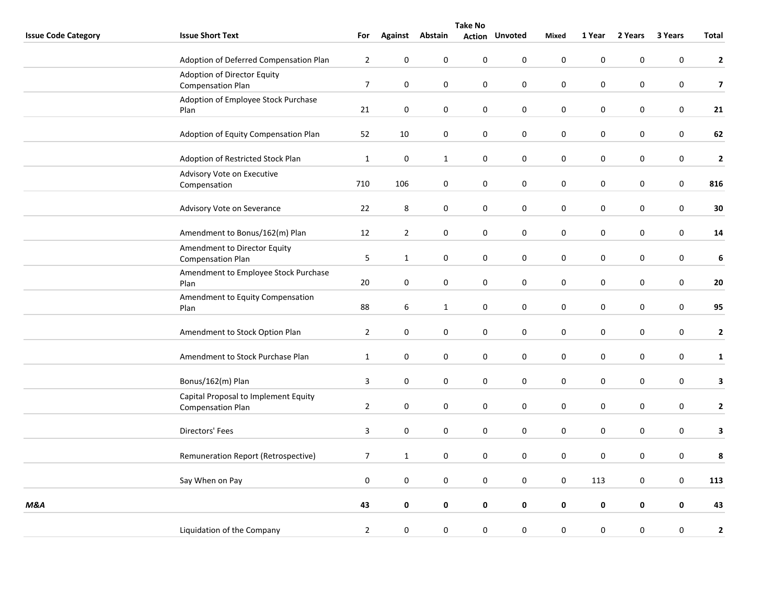|                            | <b>Take No</b>                                                   |                |                  |                  |                  |                       |                  |             |             |                  |                  |
|----------------------------|------------------------------------------------------------------|----------------|------------------|------------------|------------------|-----------------------|------------------|-------------|-------------|------------------|------------------|
| <b>Issue Code Category</b> | <b>Issue Short Text</b>                                          | For            | <b>Against</b>   | Abstain          |                  | <b>Action Unvoted</b> | <b>Mixed</b>     | 1 Year      | 2 Years     | 3 Years          | <b>Total</b>     |
|                            | Adoption of Deferred Compensation Plan                           | $\overline{2}$ | $\pmb{0}$        | $\pmb{0}$        | $\pmb{0}$        | $\pmb{0}$             | $\mathbf 0$      | $\pmb{0}$   | $\pmb{0}$   | $\mathbf 0$      | $\mathbf{2}$     |
|                            | Adoption of Director Equity<br><b>Compensation Plan</b>          | $\overline{7}$ | $\pmb{0}$        | 0                | $\boldsymbol{0}$ | $\boldsymbol{0}$      | $\mathbf 0$      | $\pmb{0}$   | 0           | $\boldsymbol{0}$ | $\overline{7}$   |
|                            | Adoption of Employee Stock Purchase<br>Plan                      | 21             | $\pmb{0}$        | $\pmb{0}$        | $\boldsymbol{0}$ | $\pmb{0}$             | $\mathbf 0$      | $\pmb{0}$   | 0           | $\boldsymbol{0}$ | 21               |
|                            | Adoption of Equity Compensation Plan                             | 52             | 10               | $\mathbf 0$      | $\mathbf 0$      | $\mathsf 0$           | $\boldsymbol{0}$ | $\pmb{0}$   | $\mathbf 0$ | $\mathbf 0$      | 62               |
|                            | Adoption of Restricted Stock Plan                                | $\mathbf{1}$   | $\mathbf 0$      | $\mathbf{1}$     | 0                | $\mathbf 0$           | $\mathbf 0$      | 0           | 0           | 0                | $\mathbf{2}$     |
|                            | Advisory Vote on Executive<br>Compensation                       | 710            | 106              | 0                | 0                | 0                     | $\mathbf 0$      | $\pmb{0}$   | 0           | 0                | 816              |
|                            | Advisory Vote on Severance                                       | 22             | $\,8\,$          | $\pmb{0}$        | 0                | $\boldsymbol{0}$      | $\pmb{0}$        | $\pmb{0}$   | $\pmb{0}$   | $\pmb{0}$        | 30               |
|                            | Amendment to Bonus/162(m) Plan                                   | 12             | $\overline{2}$   | $\pmb{0}$        | 0                | 0                     | $\mathbf 0$      | $\pmb{0}$   | $\pmb{0}$   | $\boldsymbol{0}$ | 14               |
|                            | Amendment to Director Equity<br><b>Compensation Plan</b>         | 5              | $\mathbf{1}$     | $\pmb{0}$        | $\boldsymbol{0}$ | $\boldsymbol{0}$      | $\mathbf 0$      | $\pmb{0}$   | $\mathbf 0$ | $\mathbf 0$      | $\boldsymbol{6}$ |
|                            | Amendment to Employee Stock Purchase<br>Plan                     | $20\,$         | $\mathbf 0$      | 0                | $\pmb{0}$        | $\mathbf 0$           | $\mathbf 0$      | $\mathbf 0$ | $\mathbf 0$ | $\boldsymbol{0}$ | 20               |
|                            | Amendment to Equity Compensation<br>Plan                         | 88             | 6                | $\mathbf{1}$     | 0                | 0                     | $\mathbf 0$      | $\pmb{0}$   | $\pmb{0}$   | 0                | 95               |
|                            | Amendment to Stock Option Plan                                   | $\overline{2}$ | $\boldsymbol{0}$ | $\pmb{0}$        | $\pmb{0}$        | $\pmb{0}$             | $\pmb{0}$        | $\pmb{0}$   | $\pmb{0}$   | $\pmb{0}$        | $\mathbf{2}$     |
|                            | Amendment to Stock Purchase Plan                                 | $\mathbf{1}$   | $\pmb{0}$        | $\mathbf 0$      | 0                | $\mathbf 0$           | $\boldsymbol{0}$ | $\pmb{0}$   | 0           | $\boldsymbol{0}$ | $\mathbf{1}$     |
|                            | Bonus/162(m) Plan                                                | 3              | $\pmb{0}$        | $\pmb{0}$        | $\pmb{0}$        | $\pmb{0}$             | $\pmb{0}$        | $\mathbf 0$ | $\mathbf 0$ | $\mathbf 0$      | $\mathbf{3}$     |
|                            | Capital Proposal to Implement Equity<br><b>Compensation Plan</b> | $\overline{2}$ | $\mathbf 0$      | 0                | 0                | 0                     | $\mathbf 0$      | $\mathbf 0$ | $\mathbf 0$ | $\mathbf 0$      | $\mathbf{2}$     |
|                            | Directors' Fees                                                  | 3              | 0                | 0                | $\mathbf 0$      | 0                     | $\mathbf 0$      | $\mathbf 0$ | 0           | $\mathbf 0$      | $\mathbf{3}$     |
|                            | Remuneration Report (Retrospective)                              | $\overline{7}$ | $\mathbf{1}$     | 0                | 0                | $\pmb{0}$             | $\pmb{0}$        | $\pmb{0}$   | 0           | $\pmb{0}$        | 8                |
|                            | Say When on Pay                                                  | $\pmb{0}$      | 0                | $\boldsymbol{0}$ | 0                | $\mathbf 0$           | $\boldsymbol{0}$ | 113         | 0           | $\boldsymbol{0}$ | 113              |
| <b>M&amp;A</b>             |                                                                  | 43             | $\pmb{0}$        | 0                | 0                | $\pmb{0}$             | $\mathbf 0$      | $\pmb{0}$   | $\mathbf 0$ | $\pmb{0}$        | 43               |
|                            | Liquidation of the Company                                       | $\overline{2}$ | 0                | 0                | 0                | 0                     | $\mathbf 0$      | $\mathbf 0$ | 0           | $\mathbf 0$      | 2                |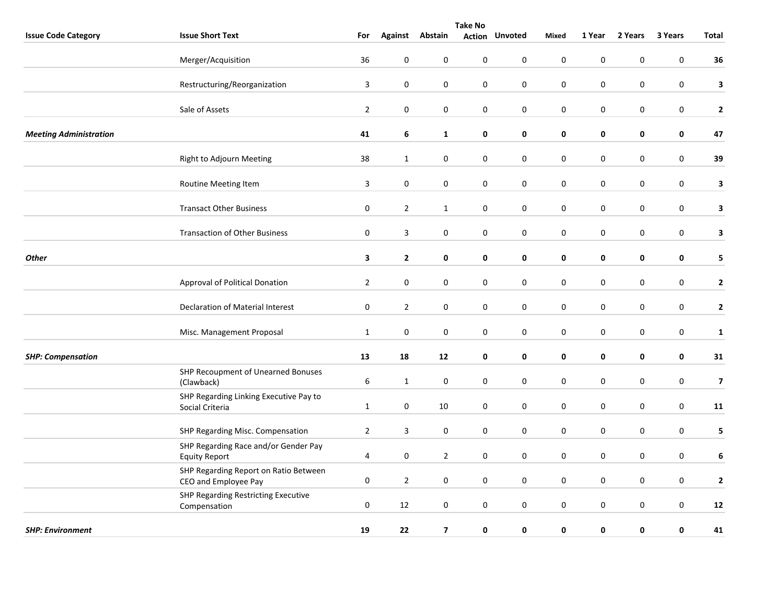| <b>Take No</b>                |                                                               |                  |                |                         |                  |                       |              |                  |             |                  |                         |
|-------------------------------|---------------------------------------------------------------|------------------|----------------|-------------------------|------------------|-----------------------|--------------|------------------|-------------|------------------|-------------------------|
| <b>Issue Code Category</b>    | <b>Issue Short Text</b>                                       | For              | <b>Against</b> | Abstain                 |                  | <b>Action Unvoted</b> | <b>Mixed</b> | 1 Year           | 2 Years     | 3 Years          | <b>Total</b>            |
|                               | Merger/Acquisition                                            | 36               | $\pmb{0}$      | $\boldsymbol{0}$        | $\pmb{0}$        | $\pmb{0}$             | $\pmb{0}$    | $\pmb{0}$        | $\pmb{0}$   | $\mathbf 0$      | 36                      |
|                               | Restructuring/Reorganization                                  | 3                | $\pmb{0}$      | $\boldsymbol{0}$        | $\pmb{0}$        | $\pmb{0}$             | $\pmb{0}$    | $\pmb{0}$        | $\pmb{0}$   | $\pmb{0}$        | $\mathbf{3}$            |
|                               | Sale of Assets                                                | $\mathbf 2$      | $\pmb{0}$      | $\mathbf 0$             | $\boldsymbol{0}$ | $\pmb{0}$             | $\pmb{0}$    | $\pmb{0}$        | 0           | $\boldsymbol{0}$ | $\mathbf 2$             |
| <b>Meeting Administration</b> |                                                               | 41               | 6              | $\mathbf{1}$            | 0                | $\mathbf 0$           | $\mathbf 0$  | $\mathbf 0$      | $\mathbf 0$ | $\mathbf 0$      | 47                      |
|                               | Right to Adjourn Meeting                                      | 38               | $\mathbf{1}$   | 0                       | 0                | $\mathbf 0$           | $\mathbf 0$  | $\mathbf 0$      | $\mathbf 0$ | $\mathbf 0$      | 39                      |
|                               | Routine Meeting Item                                          | 3                | $\pmb{0}$      | 0                       | $\boldsymbol{0}$ | $\mathbf 0$           | $\mathbf 0$  | $\boldsymbol{0}$ | 0           | $\pmb{0}$        | $\mathbf{3}$            |
|                               | <b>Transact Other Business</b>                                | $\pmb{0}$        | $\overline{2}$ | $\mathbf{1}$            | $\pmb{0}$        | $\pmb{0}$             | $\pmb{0}$    | $\pmb{0}$        | 0           | $\pmb{0}$        | $\mathbf{3}$            |
|                               | <b>Transaction of Other Business</b>                          | $\mathbf 0$      | $\overline{3}$ | $\boldsymbol{0}$        | $\boldsymbol{0}$ | $\mathbf 0$           | $\mathbf 0$  | $\mathbf 0$      | 0           | $\boldsymbol{0}$ | $\mathbf{3}$            |
| <b>Other</b>                  |                                                               | 3                | $\mathbf{2}$   | $\pmb{0}$               | 0                | $\pmb{0}$             | $\pmb{0}$    | $\pmb{0}$        | $\mathbf 0$ | $\pmb{0}$        | 5 <sub>1</sub>          |
|                               | Approval of Political Donation                                | $\overline{2}$   | $\pmb{0}$      | $\pmb{0}$               | $\pmb{0}$        | $\mathbf 0$           | $\mathbf 0$  | $\mathbf 0$      | $\mathbf 0$ | $\mathbf 0$      | $\mathbf{2}$            |
|                               | Declaration of Material Interest                              | $\boldsymbol{0}$ | $\overline{2}$ | 0                       | 0                | $\mathbf 0$           | $\pmb{0}$    | $\pmb{0}$        | 0           | $\pmb{0}$        | $\mathbf{2}$            |
|                               | Misc. Management Proposal                                     | $\mathbf{1}$     | $\pmb{0}$      | $\boldsymbol{0}$        | $\pmb{0}$        | $\pmb{0}$             | $\pmb{0}$    | $\pmb{0}$        | 0           | $\pmb{0}$        | $\mathbf{1}$            |
| <b>SHP: Compensation</b>      |                                                               | 13               | 18             | 12                      | 0                | 0                     | 0            | $\pmb{0}$        | 0           | $\mathbf 0$      | 31                      |
|                               | SHP Recoupment of Unearned Bonuses<br>(Clawback)              | $\boldsymbol{6}$ | $\mathbf{1}$   | $\mathbf 0$             | $\pmb{0}$        | $\pmb{0}$             | $\pmb{0}$    | $\pmb{0}$        | $\pmb{0}$   | $\mathbf 0$      | $\overline{\mathbf{z}}$ |
|                               | SHP Regarding Linking Executive Pay to<br>Social Criteria     | $\mathbf{1}$     | $\mathbf 0$    | 10                      | 0                | $\mathbf 0$           | $\mathbf 0$  | $\mathbf 0$      | $\mathbf 0$ | $\mathbf 0$      | 11                      |
|                               | SHP Regarding Misc. Compensation                              | $\overline{2}$   | 3              | 0                       | 0                | 0                     | $\pmb{0}$    | $\pmb{0}$        | 0           | $\pmb{0}$        | 5                       |
|                               | SHP Regarding Race and/or Gender Pay<br><b>Equity Report</b>  | 4                | $\pmb{0}$      | $\overline{2}$          | $\boldsymbol{0}$ | $\pmb{0}$             | $\pmb{0}$    | $\pmb{0}$        | 0           | $\pmb{0}$        | 6                       |
|                               | SHP Regarding Report on Ratio Between<br>CEO and Employee Pay | $\pmb{0}$        | $\overline{2}$ | $\boldsymbol{0}$        | $\boldsymbol{0}$ | $\mathbf 0$           | $\pmb{0}$    | $\pmb{0}$        | 0           | $\boldsymbol{0}$ | $\mathbf{2}$            |
|                               | SHP Regarding Restricting Executive<br>Compensation           | $\pmb{0}$        | 12             | $\mathbf 0$             | $\pmb{0}$        | $\pmb{0}$             | $\pmb{0}$    | $\pmb{0}$        | $\pmb{0}$   | $\mathbf 0$      | ${\bf 12}$              |
| <b>SHP: Environment</b>       |                                                               | 19               | 22             | $\overline{\mathbf{z}}$ | 0                | $\mathbf 0$           | $\mathbf 0$  | $\mathbf 0$      | 0           | 0                | 41                      |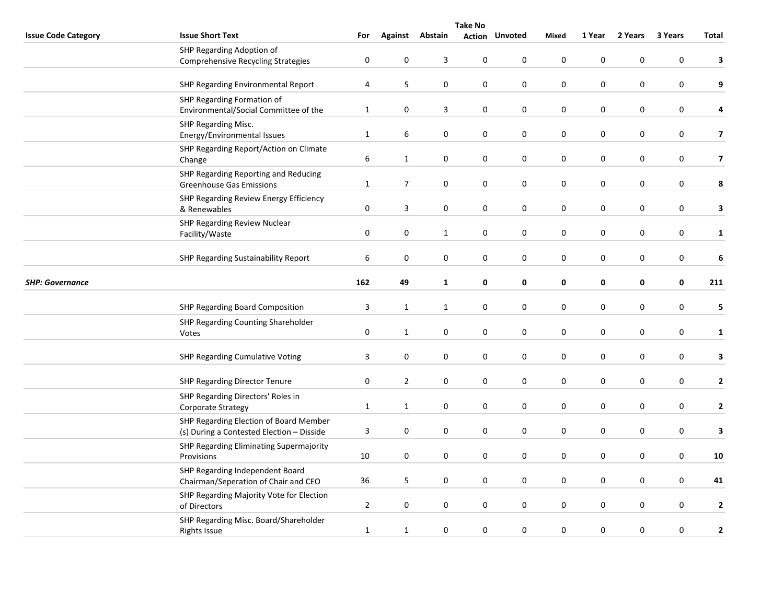|                            | <b>Take No</b>                                                                      |                |                  |                 |             |                       |             |             |             |                  |                         |  |
|----------------------------|-------------------------------------------------------------------------------------|----------------|------------------|-----------------|-------------|-----------------------|-------------|-------------|-------------|------------------|-------------------------|--|
| <b>Issue Code Category</b> | <b>Issue Short Text</b>                                                             | For            |                  | Against Abstain |             | <b>Action Unvoted</b> | Mixed       | 1 Year      | 2 Years     | 3 Years          | Total                   |  |
|                            | SHP Regarding Adoption of<br><b>Comprehensive Recycling Strategies</b>              | $\pmb{0}$      | 0                | 3               | $\pmb{0}$   | $\mathbf 0$           | $\mathbf 0$ | $\mathbf 0$ | 0           | $\pmb{0}$        | 3                       |  |
|                            | SHP Regarding Environmental Report                                                  | 4              | 5                | 0               | $\pmb{0}$   | $\pmb{0}$             | $\pmb{0}$   | $\pmb{0}$   | 0           | 0                | 9                       |  |
|                            | SHP Regarding Formation of<br>Environmental/Social Committee of the                 | $\mathbf{1}$   | $\pmb{0}$        | 3               | 0           | $\mathbf 0$           | $\pmb{0}$   | $\pmb{0}$   | 0           | $\boldsymbol{0}$ | 4                       |  |
|                            | SHP Regarding Misc.<br>Energy/Environmental Issues                                  | $\mathbf{1}$   | 6                | 0               | 0           | $\pmb{0}$             | $\pmb{0}$   | $\pmb{0}$   | 0           | 0                | $\overline{\mathbf{z}}$ |  |
|                            | SHP Regarding Report/Action on Climate<br>Change                                    | 6              | $\mathbf{1}$     | 0               | 0           | 0                     | $\mathbf 0$ | $\mathbf 0$ | 0           | 0                | $\overline{\mathbf{z}}$ |  |
|                            | SHP Regarding Reporting and Reducing<br><b>Greenhouse Gas Emissions</b>             | $\mathbf{1}$   | $\overline{7}$   | 0               | 0           | 0                     | $\pmb{0}$   | $\pmb{0}$   | 0           | 0                | 8                       |  |
|                            | SHP Regarding Review Energy Efficiency<br>& Renewables                              | $\pmb{0}$      | 3                | $\pmb{0}$       | 0           | 0                     | $\pmb{0}$   | $\pmb{0}$   | 0           | 0                | 3                       |  |
|                            | SHP Regarding Review Nuclear<br>Facility/Waste                                      | $\pmb{0}$      | $\pmb{0}$        | $\mathbf{1}$    | $\pmb{0}$   | $\pmb{0}$             | $\pmb{0}$   | $\pmb{0}$   | $\pmb{0}$   | $\boldsymbol{0}$ | $\mathbf{1}$            |  |
| <b>SHP: Governance</b>     | SHP Regarding Sustainability Report                                                 | 6              | $\mathbf 0$      | 0               | 0           | 0                     | $\mathbf 0$ | 0           | 0           | 0                | 6                       |  |
|                            |                                                                                     | 162            | 49               | $\mathbf{1}$    | 0           | $\pmb{0}$             | 0           | $\pmb{0}$   | 0           | $\pmb{0}$        | 211                     |  |
|                            | SHP Regarding Board Composition                                                     | 3              | $\mathbf{1}$     | $\mathbf{1}$    | $\pmb{0}$   | $\pmb{0}$             | $\pmb{0}$   | $\pmb{0}$   | 0           | $\boldsymbol{0}$ | 5                       |  |
|                            | SHP Regarding Counting Shareholder<br>Votes                                         | $\pmb{0}$      | $\mathbf{1}$     | $\pmb{0}$       | 0           | $\mathbf 0$           | $\pmb{0}$   | $\pmb{0}$   | 0           | 0                | $\mathbf{1}$            |  |
|                            | SHP Regarding Cumulative Voting                                                     | 3              | $\mathbf 0$      | 0               | 0           | $\mathbf 0$           | $\mathbf 0$ | $\mathbf 0$ | 0           | 0                | 3                       |  |
|                            | SHP Regarding Director Tenure                                                       | $\mathbf 0$    | $\overline{2}$   | $\mathbf 0$     | 0           | 0                     | $\mathbf 0$ | $\mathbf 0$ | $\mathbf 0$ | $\pmb{0}$        | $\mathbf{2}$            |  |
|                            | SHP Regarding Directors' Roles in<br>Corporate Strategy                             | $\mathbf{1}$   | $\mathbf{1}$     | 0               | 0           | 0                     | $\pmb{0}$   | $\pmb{0}$   | 0           | 0                | $\mathbf{2}$            |  |
|                            | SHP Regarding Election of Board Member<br>(s) During a Contested Election - Disside | $\mathbf{3}$   | $\pmb{0}$        | 0               | $\pmb{0}$   | $\pmb{0}$             | $\pmb{0}$   | $\pmb{0}$   | 0           | 0                | 3                       |  |
|                            | SHP Regarding Eliminating Supermajority<br>Provisions                               | 10             | $\mathbf 0$      | $\pmb{0}$       | $\mathsf 0$ | $\pmb{0}$             | $\pmb{0}$   | $\pmb{0}$   | $\pmb{0}$   | $\mathbf 0$      | 10                      |  |
|                            | SHP Regarding Independent Board<br>Chairman/Seperation of Chair and CEO             | 36             | 5                | 0               | 0           | $\mathbf 0$           | $\mathbf 0$ | $\mathbf 0$ | 0           | $\pmb{0}$        | 41                      |  |
|                            | SHP Regarding Majority Vote for Election<br>of Directors                            | $\overline{2}$ | $\boldsymbol{0}$ | 0               | $\pmb{0}$   | $\pmb{0}$             | $\pmb{0}$   | $\pmb{0}$   | $\pmb{0}$   | $\boldsymbol{0}$ | $\mathbf{2}$            |  |
|                            | SHP Regarding Misc. Board/Shareholder<br><b>Rights Issue</b>                        | $\mathbf{1}$   | $\mathbf{1}$     | $\pmb{0}$       | $\pmb{0}$   | $\pmb{0}$             | $\pmb{0}$   | $\pmb{0}$   | 0           | 0                | $\mathbf{2}$            |  |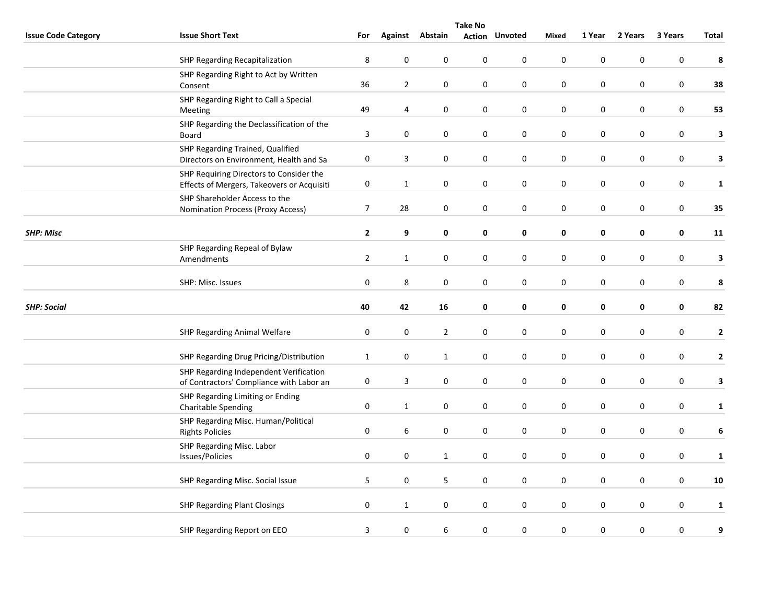|                            | <b>Take No</b>                                                                        |                  |                |                  |                  |                       |                  |                  |           |                  |              |
|----------------------------|---------------------------------------------------------------------------------------|------------------|----------------|------------------|------------------|-----------------------|------------------|------------------|-----------|------------------|--------------|
| <b>Issue Code Category</b> | <b>Issue Short Text</b>                                                               | For              | Against        | Abstain          |                  | <b>Action Unvoted</b> | Mixed            | 1 Year           | 2 Years   | 3 Years          | Total        |
|                            | SHP Regarding Recapitalization                                                        | 8                | $\pmb{0}$      | $\pmb{0}$        | $\pmb{0}$        | 0                     | $\bf{0}$         | $\boldsymbol{0}$ | 0         | 0                | 8            |
|                            | SHP Regarding Right to Act by Written<br>Consent                                      | 36               | $\overline{2}$ | 0                | 0                | 0                     | $\pmb{0}$        | $\pmb{0}$        | $\pmb{0}$ | $\boldsymbol{0}$ | 38           |
|                            | SHP Regarding Right to Call a Special<br>Meeting                                      | 49               | 4              | $\pmb{0}$        | $\mathsf 0$      | 0                     | $\mathbf 0$      | $\pmb{0}$        | $\pmb{0}$ | $\boldsymbol{0}$ | 53           |
|                            | SHP Regarding the Declassification of the<br>Board                                    | 3                | $\mathbf 0$    | $\pmb{0}$        | $\pmb{0}$        | 0                     | $\pmb{0}$        | $\mathbf 0$      | 0         | $\pmb{0}$        | $\mathbf{3}$ |
|                            | SHP Regarding Trained, Qualified<br>Directors on Environment, Health and Sa           | 0                | 3              | $\pmb{0}$        | $\pmb{0}$        | 0                     | $\pmb{0}$        | $\pmb{0}$        | $\pmb{0}$ | $\boldsymbol{0}$ | $\mathbf{3}$ |
|                            | SHP Requiring Directors to Consider the<br>Effects of Mergers, Takeovers or Acquisiti | $\pmb{0}$        | $\mathbf{1}$   | 0                | 0                | 0                     | 0                | 0                | 0         | 0                | $\mathbf 1$  |
|                            | SHP Shareholder Access to the<br>Nomination Process (Proxy Access)                    | $\boldsymbol{7}$ | 28             | $\pmb{0}$        | $\pmb{0}$        | 0                     | $\pmb{0}$        | $\pmb{0}$        | $\pmb{0}$ | 0                | 35           |
| <b>SHP: Misc</b>           |                                                                                       | $\mathbf{2}$     | 9              | 0                | 0                | 0                     | $\mathbf 0$      | 0                | 0         | $\mathbf 0$      | 11           |
|                            | SHP Regarding Repeal of Bylaw<br>Amendments                                           | $\overline{2}$   | $\mathbf{1}$   | $\pmb{0}$        | 0                | 0                     | $\bf{0}$         | $\boldsymbol{0}$ | 0         | 0                | $\mathbf{3}$ |
|                            | SHP: Misc. Issues                                                                     | $\pmb{0}$        | $\,8\,$        | $\boldsymbol{0}$ | $\boldsymbol{0}$ | 0                     | $\boldsymbol{0}$ | $\pmb{0}$        | $\pmb{0}$ | $\boldsymbol{0}$ | 8            |
| <b>SHP: Social</b>         |                                                                                       | 40               | 42             | 16               | 0                | 0                     | 0                | 0                | 0         | 0                | 82           |
|                            | SHP Regarding Animal Welfare                                                          | $\pmb{0}$        | $\pmb{0}$      | $\overline{2}$   | $\pmb{0}$        | 0                     | $\bf{0}$         | 0                | 0         | 0                | $\mathbf{2}$ |
|                            | SHP Regarding Drug Pricing/Distribution                                               | $\mathbf{1}$     | $\pmb{0}$      | $\mathbf{1}$     | 0                | $\pmb{0}$             | $\pmb{0}$        | $\pmb{0}$        | $\pmb{0}$ | $\boldsymbol{0}$ | $\mathbf{2}$ |
|                            | SHP Regarding Independent Verification<br>of Contractors' Compliance with Labor an    | 0                | 3              | $\pmb{0}$        | $\mathbf 0$      | $\mathbf 0$           | $\pmb{0}$        | $\pmb{0}$        | $\pmb{0}$ | 0                | 3            |
|                            | SHP Regarding Limiting or Ending<br><b>Charitable Spending</b>                        | $\pmb{0}$        | $\mathbf{1}$   | $\boldsymbol{0}$ | 0                | $\pmb{0}$             | $\pmb{0}$        | $\pmb{0}$        | 0         | $\pmb{0}$        | $\mathbf{1}$ |
|                            | SHP Regarding Misc. Human/Political<br><b>Rights Policies</b>                         | 0                | 6              | 0                | $\pmb{0}$        | 0                     | $\pmb{0}$        | $\pmb{0}$        | 0         | 0                | 6            |
|                            | SHP Regarding Misc. Labor<br>Issues/Policies                                          | $\pmb{0}$        | $\mathbf 0$    | $\mathbf{1}$     | $\mathbf 0$      | 0                     | 0                | $\pmb{0}$        | $\pmb{0}$ | 0                | $\mathbf 1$  |
|                            | SHP Regarding Misc. Social Issue                                                      | 5                | $\mathbf 0$    | 5                | 0                | 0                     | $\bf{0}$         | $\boldsymbol{0}$ | 0         | 0                | 10           |
|                            | <b>SHP Regarding Plant Closings</b>                                                   | $\pmb{0}$        | $\mathbf{1}$   | $\pmb{0}$        | $\pmb{0}$        | 0                     | $\pmb{0}$        | $\boldsymbol{0}$ | 0         | 0                | $\mathbf{1}$ |
|                            | SHP Regarding Report on EEO                                                           | 3                | $\pmb{0}$      | $\boldsymbol{6}$ | $\boldsymbol{0}$ | 0                     | $\boldsymbol{0}$ | $\pmb{0}$        | 0         | 0                | 9            |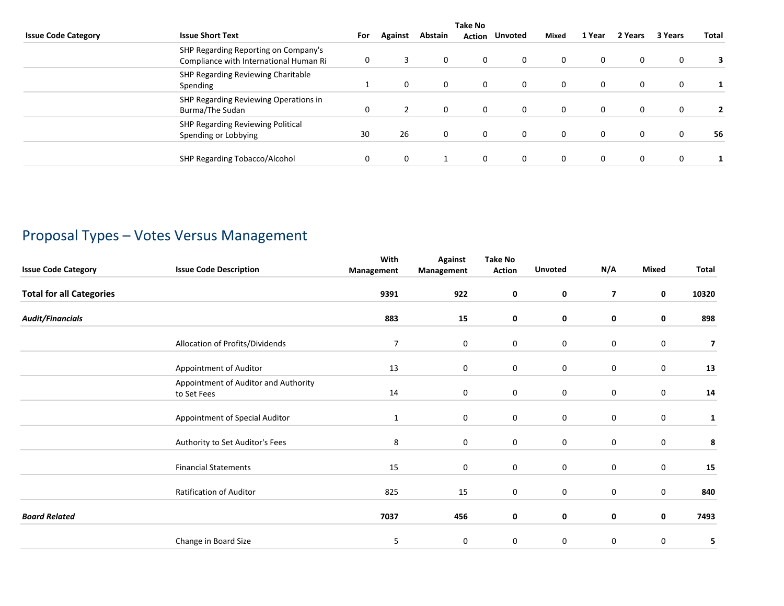|                                                                                | <b>Take No</b> |              |         |               |                |              |          |              |         |              |  |
|--------------------------------------------------------------------------------|----------------|--------------|---------|---------------|----------------|--------------|----------|--------------|---------|--------------|--|
| <b>Issue Code Category</b><br><b>Issue Short Text</b>                          | For            | Against      | Abstain | <b>Action</b> | <b>Unvoted</b> | <b>Mixed</b> | 1 Year   | 2 Years      | 3 Years | <b>Total</b> |  |
| SHP Regarding Reporting on Company's<br>Compliance with International Human Ri | 0              | 3            | 0       | 0             | $\mathbf{0}$   | $\mathbf 0$  | 0        | $\mathbf 0$  | 0       |              |  |
| SHP Regarding Reviewing Charitable<br>Spending                                 |                | 0            | 0       | 0             | $\mathbf{0}$   | $\mathbf 0$  | 0        | $\mathbf{0}$ | 0       |              |  |
| SHP Regarding Reviewing Operations in<br>Burma/The Sudan                       | 0              |              | 0       | 0             | $\mathbf{0}$   | $\mathbf 0$  | $\Omega$ | $\mathbf 0$  | 0       |              |  |
| SHP Regarding Reviewing Political<br>Spending or Lobbying                      | 30             | 26           | 0       | 0             | $\mathbf{0}$   | $\mathbf 0$  | $\Omega$ | $\mathbf 0$  | 0       | 56           |  |
| SHP Regarding Tobacco/Alcohol                                                  | 0              | $\mathbf{0}$ |         | 0             | $\mathbf{0}$   | $\mathbf 0$  | $\Omega$ | $\mathbf 0$  | 0       |              |  |

## Proposal Types – Votes Versus Management

| <b>Issue Code Category</b>      | <b>Issue Code Description</b>                       | With<br>Management | <b>Against</b><br>Management | <b>Take No</b><br><b>Action</b> | <b>Unvoted</b> | N/A                     | <b>Mixed</b> | Total                   |
|---------------------------------|-----------------------------------------------------|--------------------|------------------------------|---------------------------------|----------------|-------------------------|--------------|-------------------------|
| <b>Total for all Categories</b> |                                                     | 9391               | 922                          | $\mathbf 0$                     | 0              | $\overline{\mathbf{z}}$ | $\mathbf 0$  | 10320                   |
| <b>Audit/Financials</b>         |                                                     | 883                | 15                           | 0                               | 0              | 0                       | $\mathbf 0$  | 898                     |
|                                 | Allocation of Profits/Dividends                     | $\overline{7}$     | 0                            | 0                               | 0              | $\bf{0}$                | $\mathbf 0$  | $\overline{\mathbf{z}}$ |
|                                 | Appointment of Auditor                              | 13                 | $\mathbf 0$                  | 0                               | 0              | $\bf{0}$                | $\mathbf 0$  | 13                      |
|                                 | Appointment of Auditor and Authority<br>to Set Fees | 14                 | 0                            | 0                               | 0              | 0                       | 0            | 14                      |
|                                 | Appointment of Special Auditor                      | $\mathbf{1}$       | $\mathbf 0$                  | 0                               | 0              | 0                       | 0            | 1                       |
|                                 | Authority to Set Auditor's Fees                     | 8                  | 0                            | $\mathbf 0$                     | 0              | $\mathbf 0$             | 0            | 8                       |
|                                 | <b>Financial Statements</b>                         | 15                 | 0                            | 0                               | $\mathbf 0$    | $\bf{0}$                | 0            | 15                      |
|                                 | <b>Ratification of Auditor</b>                      | 825                | 15                           | 0                               | 0              | $\bf{0}$                | $\mathbf 0$  | 840                     |
| <b>Board Related</b>            |                                                     | 7037               | 456                          | 0                               | 0              | 0                       | 0            | 7493                    |
|                                 | Change in Board Size                                | 5                  | 0                            | 0                               | 0              | 0                       | 0            | 5                       |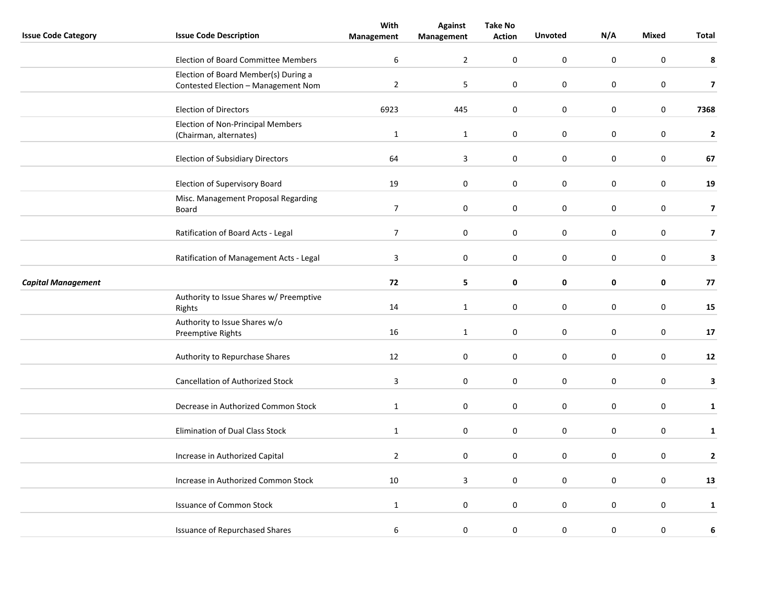| <b>Issue Code Category</b> | <b>Issue Code Description</b>                      | With<br>Management | <b>Against</b><br>Management | <b>Take No</b><br><b>Action</b> | <b>Unvoted</b>   | N/A         | Mixed       | Total                    |
|----------------------------|----------------------------------------------------|--------------------|------------------------------|---------------------------------|------------------|-------------|-------------|--------------------------|
|                            |                                                    |                    |                              |                                 |                  |             |             |                          |
|                            | <b>Election of Board Committee Members</b>         | $\boldsymbol{6}$   | $\overline{2}$               | 0                               | $\boldsymbol{0}$ | $\mathsf 0$ | $\mathbf 0$ | 8                        |
|                            | Election of Board Member(s) During a               |                    |                              |                                 |                  |             |             |                          |
|                            | Contested Election - Management Nom                | $\overline{2}$     | 5                            | $\mathbf 0$                     | $\mathbf 0$      | $\mathbf 0$ | 0           | $\overline{\phantom{a}}$ |
|                            | <b>Election of Directors</b>                       | 6923               | 445                          | 0                               | $\mathbf 0$      | $\bf{0}$    | 0           | 7368                     |
|                            | <b>Election of Non-Principal Members</b>           |                    |                              |                                 |                  |             |             |                          |
|                            | (Chairman, alternates)                             | $\mathbf{1}$       | $\mathbf{1}$                 | $\mathbf 0$                     | $\mathbf 0$      | $\bf{0}$    | 0           | $\mathbf 2$              |
|                            | <b>Election of Subsidiary Directors</b>            | 64                 | 3                            | 0                               | $\mathbf 0$      | $\pmb{0}$   | 0           | 67                       |
|                            | Election of Supervisory Board                      | 19                 | 0                            | 0                               | $\boldsymbol{0}$ | $\mathbf 0$ | $\pmb{0}$   | 19                       |
|                            | Misc. Management Proposal Regarding<br>Board       | $\overline{7}$     | $\pmb{0}$                    | 0                               | $\boldsymbol{0}$ | $\pmb{0}$   | 0           | $\overline{\mathbf{z}}$  |
|                            |                                                    |                    |                              |                                 |                  |             |             |                          |
|                            | Ratification of Board Acts - Legal                 | $\overline{7}$     | 0                            | $\mathbf 0$                     | $\mathbf 0$      | $\bf{0}$    | 0           | $\overline{\mathbf{z}}$  |
|                            | Ratification of Management Acts - Legal            | 3                  | 0                            | $\mathbf 0$                     | $\mathbf 0$      | $\bf{0}$    | 0           | 3                        |
| <b>Capital Management</b>  |                                                    | 72                 | 5                            | 0                               | 0                | 0           | 0           | 77                       |
|                            | Authority to Issue Shares w/ Preemptive<br>Rights  | 14                 | $\mathbf 1$                  | 0                               | $\pmb{0}$        | $\pmb{0}$   | $\pmb{0}$   | 15                       |
|                            | Authority to Issue Shares w/o<br>Preemptive Rights | 16                 | $\mathbf{1}$                 | 0                               | $\mathbf 0$      | 0           | 0           | 17                       |
|                            |                                                    |                    |                              |                                 |                  |             |             |                          |
|                            | Authority to Repurchase Shares                     | 12                 | 0                            | $\mathbf 0$                     | $\mathbf 0$      | $\mathbf 0$ | 0           | 12                       |
|                            | Cancellation of Authorized Stock                   | $\mathsf 3$        | 0                            | $\mathbf 0$                     | $\pmb{0}$        | $\bf{0}$    | $\pmb{0}$   | 3                        |
|                            | Decrease in Authorized Common Stock                | $\mathbf{1}$       | $\mathbf 0$                  | 0                               | $\mathbf 0$      | $\mathbf 0$ | 0           | $\mathbf{1}$             |
|                            | <b>Elimination of Dual Class Stock</b>             | $\mathbf{1}$       | $\mathbf 0$                  | 0                               | $\mathbf 0$      | $\pmb{0}$   | 0           | $\mathbf{1}$             |
|                            |                                                    |                    |                              |                                 |                  |             |             |                          |
|                            | Increase in Authorized Capital                     | $\overline{2}$     | $\mathbf 0$                  | 0                               | $\mathbf 0$      | 0           | 0           | $\mathbf{2}$             |
|                            | Increase in Authorized Common Stock                | 10                 | 3                            | $\mathbf 0$                     | $\mathbf 0$      | $\mathbf 0$ | 0           | 13                       |
|                            | <b>Issuance of Common Stock</b>                    | $\mathbf{1}$       | 0                            | $\mathbf 0$                     | $\mathbf 0$      | $\bf{0}$    | 0           | $\mathbf{1}$             |
|                            | <b>Issuance of Repurchased Shares</b>              | 6                  | $\pmb{0}$                    | 0                               | $\pmb{0}$        | $\bf{0}$    | 0           | 6                        |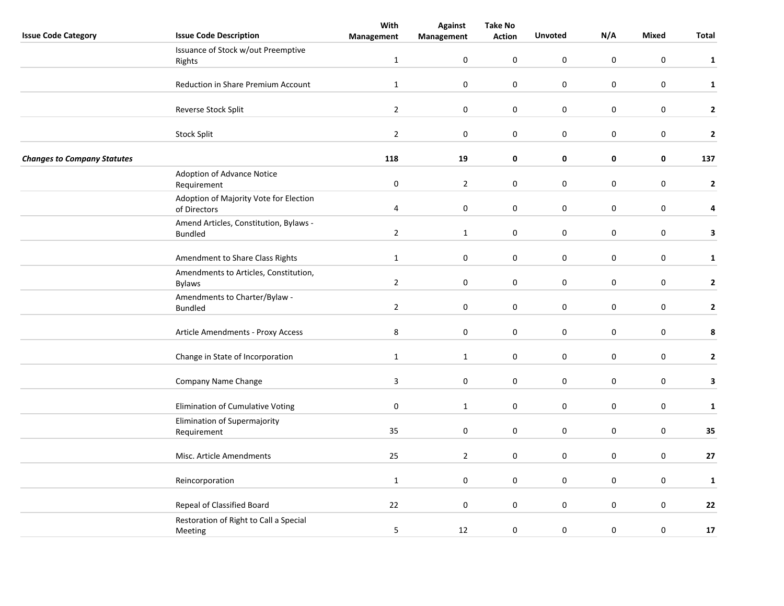|                                    |                                        | With           | <b>Against</b>   | <b>Take No</b> |                  |             |                  |              |
|------------------------------------|----------------------------------------|----------------|------------------|----------------|------------------|-------------|------------------|--------------|
| <b>Issue Code Category</b>         | <b>Issue Code Description</b>          | Management     | Management       | <b>Action</b>  | <b>Unvoted</b>   | N/A         | Mixed            | Total        |
|                                    | Issuance of Stock w/out Preemptive     |                |                  |                |                  |             |                  |              |
|                                    | Rights                                 | $\mathbf{1}$   | $\pmb{0}$        | $\mathbf 0$    | $\boldsymbol{0}$ | $\mathbf 0$ | $\boldsymbol{0}$ | $\mathbf{1}$ |
|                                    |                                        |                |                  |                |                  |             |                  |              |
|                                    | Reduction in Share Premium Account     | $\mathbf{1}$   | $\mathbf 0$      | 0              | $\mathbf 0$      | 0           | $\mathbf 0$      | $\mathbf{1}$ |
|                                    |                                        |                |                  |                |                  |             |                  |              |
|                                    | Reverse Stock Split                    | $\overline{2}$ | $\boldsymbol{0}$ | 0              | $\pmb{0}$        | $\pmb{0}$   | $\pmb{0}$        | $\mathbf{2}$ |
|                                    |                                        |                |                  |                |                  |             |                  |              |
|                                    | Stock Split                            | $\overline{2}$ | $\boldsymbol{0}$ | 0              | $\mathbf 0$      | 0           | $\mathbf 0$      | $\mathbf 2$  |
|                                    |                                        |                |                  |                |                  |             |                  |              |
| <b>Changes to Company Statutes</b> |                                        | 118            | 19               | 0              | 0                | 0           | 0                | 137          |
|                                    | Adoption of Advance Notice             |                |                  |                |                  |             |                  |              |
|                                    | Requirement                            | $\pmb{0}$      | $\overline{2}$   | $\mathbf 0$    | $\mathbf 0$      | $\mathbf 0$ | $\boldsymbol{0}$ | $\mathbf{2}$ |
|                                    | Adoption of Majority Vote for Election |                |                  |                |                  |             |                  |              |
|                                    | of Directors                           | 4              | $\pmb{0}$        | $\mathbf 0$    | $\pmb{0}$        | $\pmb{0}$   | $\boldsymbol{0}$ | 4            |
|                                    | Amend Articles, Constitution, Bylaws - |                |                  |                |                  |             |                  |              |
|                                    | <b>Bundled</b>                         | $\overline{2}$ | $\mathbf{1}$     | 0              | $\mathbf 0$      | $\pmb{0}$   | $\mathbf 0$      | 3            |
|                                    |                                        |                |                  |                |                  |             |                  |              |
|                                    | Amendment to Share Class Rights        | $\mathbf{1}$   | $\boldsymbol{0}$ | 0              | $\pmb{0}$        | $\mathbf 0$ | $\mathbf 0$      | $\mathbf{1}$ |
|                                    | Amendments to Articles, Constitution,  |                |                  |                |                  |             |                  |              |
|                                    | <b>Bylaws</b>                          | $\overline{2}$ | $\pmb{0}$        | $\pmb{0}$      | $\pmb{0}$        | $\mathbf 0$ | $\mathbf 0$      | $\mathbf{2}$ |
|                                    | Amendments to Charter/Bylaw -          |                |                  |                |                  |             |                  |              |
|                                    | <b>Bundled</b>                         | $\overline{2}$ | $\pmb{0}$        | $\pmb{0}$      | $\pmb{0}$        | $\mathbf 0$ | $\pmb{0}$        | $\mathbf{2}$ |
|                                    |                                        |                |                  |                |                  |             |                  |              |
|                                    | Article Amendments - Proxy Access      | 8              | $\mathbf 0$      | 0              | $\pmb{0}$        | $\pmb{0}$   | $\mathbf 0$      | 8            |
|                                    |                                        |                |                  |                |                  |             |                  |              |
|                                    | Change in State of Incorporation       | $\mathbf{1}$   | $\mathbf{1}$     | 0              | $\mathbf 0$      | $\pmb{0}$   | $\mathbf 0$      | $\mathbf{2}$ |
|                                    |                                        |                |                  |                |                  |             |                  |              |
|                                    | Company Name Change                    | $\mathbf{3}$   | $\pmb{0}$        | 0              | $\pmb{0}$        | $\pmb{0}$   | $\mathbf 0$      | 3            |
|                                    |                                        |                |                  |                |                  |             |                  |              |
|                                    | Elimination of Cumulative Voting       | $\pmb{0}$      | $\mathbf{1}$     | 0              | $\mathbf 0$      | $\mathbf 0$ | $\mathbf 0$      | $\mathbf 1$  |
|                                    |                                        |                |                  |                |                  |             |                  |              |
|                                    | Elimination of Supermajority           | 35             | $\pmb{0}$        | $\pmb{0}$      | $\pmb{0}$        | $\mathbf 0$ | $\boldsymbol{0}$ | 35           |
|                                    | Requirement                            |                |                  |                |                  |             |                  |              |
|                                    |                                        |                |                  |                | $\pmb{0}$        | $\pmb{0}$   |                  | $27$         |
|                                    | Misc. Article Amendments               | 25             | $\overline{2}$   | 0              |                  |             | $\mathbf 0$      |              |
|                                    |                                        |                |                  |                |                  |             |                  |              |
|                                    | Reincorporation                        | $\mathbf{1}$   | $\mathbf 0$      | 0              | 0                | $\bf{0}$    | $\mathbf 0$      | $\mathbf{1}$ |
|                                    |                                        |                |                  |                |                  |             |                  |              |
|                                    | Repeal of Classified Board             | 22             | $\boldsymbol{0}$ | 0              | $\pmb{0}$        | $\pmb{0}$   | $\mathbf 0$      | 22           |
|                                    | Restoration of Right to Call a Special |                |                  |                |                  |             |                  |              |
|                                    | Meeting                                | 5              | 12               | $\mathbf 0$    | $\mathbf 0$      | $\mathbf 0$ | $\mathbf 0$      | 17           |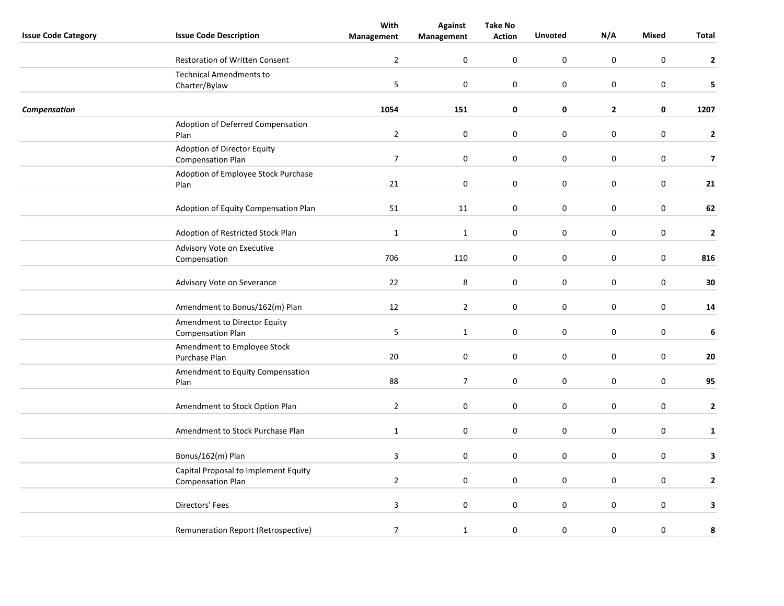|                            |                                            | With             | <b>Against</b> | <b>Take No</b>   |                  |                  |                  |                         |
|----------------------------|--------------------------------------------|------------------|----------------|------------------|------------------|------------------|------------------|-------------------------|
| <b>Issue Code Category</b> | <b>Issue Code Description</b>              | Management       | Management     | <b>Action</b>    | <b>Unvoted</b>   | N/A              | Mixed            | Total                   |
|                            | <b>Restoration of Written Consent</b>      | $\overline{2}$   | $\pmb{0}$      | $\mathbf 0$      | $\mathbf 0$      | $\boldsymbol{0}$ | $\boldsymbol{0}$ | $\mathbf{2}$            |
|                            | <b>Technical Amendments to</b>             |                  |                |                  |                  |                  |                  |                         |
|                            | Charter/Bylaw                              | 5                | $\mathbf 0$    | $\mathbf 0$      | 0                | $\mathbf 0$      | $\mathbf 0$      | 5                       |
| Compensation               |                                            | 1054             | 151            | 0                | $\pmb{0}$        | $\mathbf{2}$     | $\pmb{0}$        | 1207                    |
|                            | Adoption of Deferred Compensation          |                  |                |                  |                  |                  |                  |                         |
|                            | Plan                                       | $\mathbf 2$      | $\pmb{0}$      | 0                | $\pmb{0}$        | $\pmb{0}$        | $\mathbf 0$      | $\mathbf 2$             |
|                            | Adoption of Director Equity                |                  |                |                  |                  |                  |                  |                         |
|                            | <b>Compensation Plan</b>                   | $\boldsymbol{7}$ | $\pmb{0}$      | $\boldsymbol{0}$ | $\pmb{0}$        | $\pmb{0}$        | $\mathbf 0$      | $\overline{\mathbf{z}}$ |
|                            | Adoption of Employee Stock Purchase        |                  |                |                  |                  |                  |                  |                         |
|                            | Plan                                       | 21               | $\pmb{0}$      | $\mathbf 0$      | $\boldsymbol{0}$ | $\pmb{0}$        | $\boldsymbol{0}$ | 21                      |
|                            | Adoption of Equity Compensation Plan       | 51               | 11             | $\mathbf 0$      | $\mathsf 0$      | $\pmb{0}$        | $\boldsymbol{0}$ | 62                      |
|                            | Adoption of Restricted Stock Plan          | $\mathbf{1}$     | $\mathbf 1$    | 0                | $\pmb{0}$        | $\pmb{0}$        | $\mathbf 0$      | $\mathbf 2$             |
|                            |                                            |                  |                |                  |                  |                  |                  |                         |
|                            | Advisory Vote on Executive<br>Compensation | 706              | 110            | 0                | $\pmb{0}$        | $\pmb{0}$        | $\mathbf 0$      | 816                     |
|                            |                                            |                  |                |                  |                  |                  |                  |                         |
|                            | Advisory Vote on Severance                 | 22               | 8              | $\boldsymbol{0}$ | $\pmb{0}$        | $\pmb{0}$        | $\mathbf 0$      | 30                      |
|                            | Amendment to Bonus/162(m) Plan             | 12               | $\overline{2}$ | $\mathbf 0$      | $\pmb{0}$        | $\pmb{0}$        | $\boldsymbol{0}$ | 14                      |
|                            | Amendment to Director Equity               |                  |                |                  |                  |                  |                  |                         |
|                            | <b>Compensation Plan</b>                   | 5                | $\mathbf{1}$   | 0                | $\pmb{0}$        | $\pmb{0}$        | $\mathbf 0$      | 6                       |
|                            | Amendment to Employee Stock                |                  |                |                  |                  |                  |                  |                         |
|                            | Purchase Plan                              | 20               | $\pmb{0}$      | 0                | $\pmb{0}$        | $\pmb{0}$        | $\mathbf 0$      | 20                      |
|                            | Amendment to Equity Compensation<br>Plan   | 88               | $\overline{7}$ | 0                | $\pmb{0}$        | $\mathbf 0$      | $\mathbf 0$      | 95                      |
|                            |                                            |                  |                |                  |                  |                  |                  |                         |
|                            | Amendment to Stock Option Plan             | $\overline{2}$   | $\mathbf 0$    | 0                | $\pmb{0}$        | $\mathbf 0$      | $\mathbf 0$      | $\mathbf 2$             |
|                            |                                            |                  |                |                  |                  |                  |                  |                         |
|                            | Amendment to Stock Purchase Plan           | $\mathbf{1}$     | $\mathbf 0$    | $\boldsymbol{0}$ | $\boldsymbol{0}$ | $\pmb{0}$        | $\boldsymbol{0}$ | $\mathbf{1}$            |
|                            | Bonus/162(m) Plan                          | $\overline{3}$   | $\mathbf 0$    | $\mathbf 0$      | $\mathbf 0$      | $\pmb{0}$        | $\mathbf 0$      | 3                       |
|                            | Capital Proposal to Implement Equity       |                  |                |                  |                  |                  |                  |                         |
|                            | <b>Compensation Plan</b>                   | $\overline{2}$   | 0              | 0                | 0                | $\mathbf 0$      | $\mathbf 0$      | $\mathbf{2}$            |
|                            |                                            |                  |                |                  |                  |                  |                  |                         |
|                            | Directors' Fees                            | $\mathbf{3}$     | $\pmb{0}$      | 0                | $\pmb{0}$        | $\pmb{0}$        | $\mathbf 0$      | 3                       |
|                            | Remuneration Report (Retrospective)        | $\boldsymbol{7}$ | $\mathbf{1}$   | 0                | $\boldsymbol{0}$ | $\pmb{0}$        | $\pmb{0}$        | 8                       |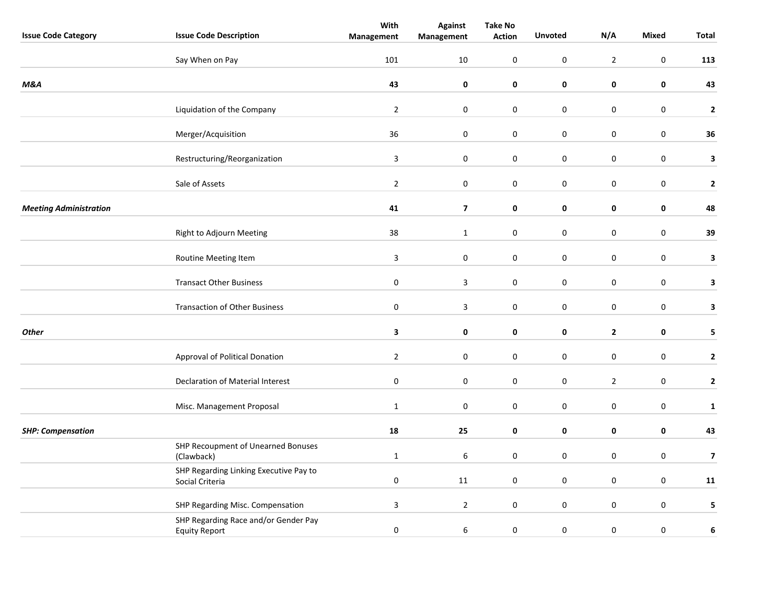|                               |                                                              | With           | <b>Against</b>          | <b>Take No</b>   |                     |                |                  |                         |
|-------------------------------|--------------------------------------------------------------|----------------|-------------------------|------------------|---------------------|----------------|------------------|-------------------------|
| <b>Issue Code Category</b>    | <b>Issue Code Description</b>                                | Management     | Management              | <b>Action</b>    | <b>Unvoted</b>      | N/A            | <b>Mixed</b>     | <b>Total</b>            |
|                               | Say When on Pay                                              | 101            | 10                      | 0                | $\pmb{0}$           | $\overline{2}$ | $\mathbf 0$      | 113                     |
| <b>M&amp;A</b>                |                                                              | 43             | 0                       | 0                | $\pmb{0}$           | $\mathbf 0$    | $\pmb{0}$        | 43                      |
|                               | Liquidation of the Company                                   | $\overline{2}$ | $\boldsymbol{0}$        | 0                | $\pmb{0}$           | $\pmb{0}$      | $\boldsymbol{0}$ | $\mathbf{2}$            |
|                               | Merger/Acquisition                                           | 36             | $\boldsymbol{0}$        | $\boldsymbol{0}$ | $\pmb{0}$           | $\mathbf 0$    | $\pmb{0}$        | 36                      |
|                               | Restructuring/Reorganization                                 | 3              | $\pmb{0}$               | 0                | $\mathbf 0$         | $\pmb{0}$      | $\boldsymbol{0}$ | 3                       |
|                               | Sale of Assets                                               | $\overline{2}$ | 0                       | 0                | 0                   | $\mathbf 0$    | 0                | $\mathbf{2}$            |
| <b>Meeting Administration</b> |                                                              | 41             | $\overline{\mathbf{z}}$ | 0                | $\mathbf 0$         | 0              | $\pmb{0}$        | 48                      |
|                               | Right to Adjourn Meeting                                     | 38             | $\mathbf{1}$            | $\boldsymbol{0}$ | $\mathsf{O}\xspace$ | $\mathbf 0$    | $\pmb{0}$        | 39                      |
|                               | Routine Meeting Item                                         | 3              | $\mathbf 0$             | 0                | $\mathbf 0$         | $\mathbf 0$    | $\mathbf 0$      | 3                       |
|                               | <b>Transact Other Business</b>                               | $\pmb{0}$      | 3                       | $\pmb{0}$        | $\pmb{0}$           | $\mathbf 0$    | $\boldsymbol{0}$ | 3                       |
|                               | <b>Transaction of Other Business</b>                         | $\pmb{0}$      | 3                       | 0                | $\pmb{0}$           | $\pmb{0}$      | $\boldsymbol{0}$ | 3                       |
| <b>Other</b>                  |                                                              | 3              | 0                       | 0                | $\mathbf 0$         | $\mathbf{2}$   | $\pmb{0}$        | 5                       |
|                               | Approval of Political Donation                               | $\overline{2}$ | $\mathbf 0$             | 0                | $\pmb{0}$           | $\mathbf 0$    | $\boldsymbol{0}$ | $\mathbf{2}$            |
|                               | Declaration of Material Interest                             | $\pmb{0}$      | $\mathbf 0$             | 0                | $\pmb{0}$           | $\overline{2}$ | $\pmb{0}$        | $\mathbf{2}$            |
|                               | Misc. Management Proposal                                    | $\mathbf{1}$   | $\pmb{0}$               | 0                | $\mathbf 0$         | $\mathbf 0$    | $\boldsymbol{0}$ | $\mathbf 1$             |
| <b>SHP: Compensation</b>      |                                                              | 18             | 25                      | 0                | $\mathbf 0$         | $\pmb{0}$      | $\pmb{0}$        | 43                      |
|                               | SHP Recoupment of Unearned Bonuses<br>(Clawback)             | $\mathbf{1}$   | 6                       | 0                | $\pmb{0}$           | $\pmb{0}$      | $\boldsymbol{0}$ | $\overline{\mathbf{z}}$ |
|                               | SHP Regarding Linking Executive Pay to<br>Social Criteria    | $\pmb{0}$      | 11                      | 0                | $\mathbf 0$         | $\mathbf 0$    | $\mathbf 0$      | 11                      |
|                               | SHP Regarding Misc. Compensation                             | $\mathbf{3}$   | $\overline{2}$          | 0                | $\pmb{0}$           | $\mathbf 0$    | $\pmb{0}$        | 5                       |
|                               | SHP Regarding Race and/or Gender Pay<br><b>Equity Report</b> | $\pmb{0}$      | $\,6\,$                 | 0                | $\pmb{0}$           | $\pmb{0}$      | $\boldsymbol{0}$ | 6                       |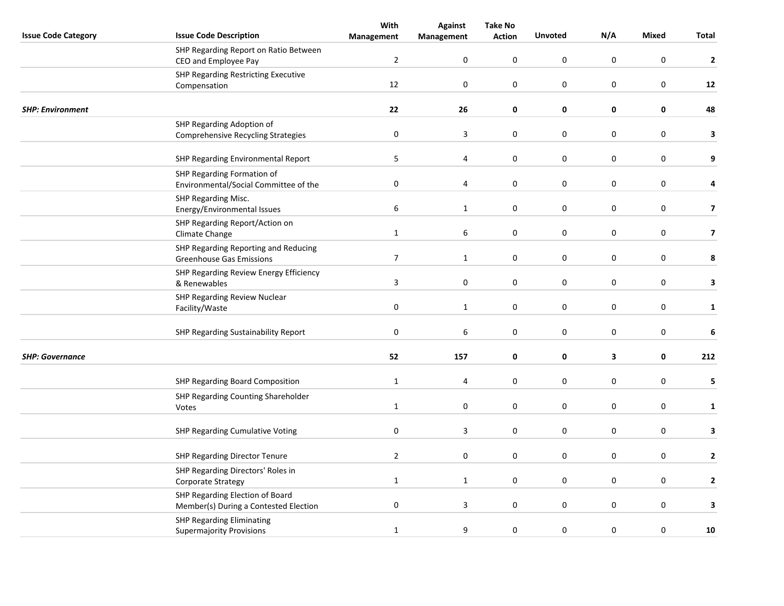| <b>Mixed</b><br><b>Issue Code Category</b><br><b>Unvoted</b><br>Total<br><b>Action</b><br>Management<br>Management<br>SHP Regarding Report on Ratio Between<br>$\overline{2}$<br>$\pmb{0}$<br>0<br>$\mathbf 0$<br>$\boldsymbol{0}$<br>$\boldsymbol{0}$<br>$\mathbf{2}$<br>CEO and Employee Pay<br>SHP Regarding Restricting Executive<br>12<br>$\mathbf 0$<br>0<br>0<br>$\mathbf 0$<br>$\mathbf 0$<br>12<br>Compensation<br>22<br>$\pmb{0}$<br>$\pmb{0}$<br>26<br>0<br>$\mathbf 0$<br>48<br><b>SHP: Environment</b><br>SHP Regarding Adoption of<br>$\pmb{0}$<br>3<br>0<br>$\pmb{0}$<br>$\pmb{0}$<br>$\boldsymbol{0}$<br>3<br><b>Comprehensive Recycling Strategies</b><br>5<br>$\boldsymbol{0}$<br>$\mathbf 0$<br>$\pmb{0}$<br>$\pmb{0}$<br>9<br>SHP Regarding Environmental Report<br>4<br>SHP Regarding Formation of<br>$\pmb{0}$<br>0<br>$\mathbf 0$<br>$\pmb{0}$<br>$\boldsymbol{0}$<br>4<br>4<br>Environmental/Social Committee of the<br>SHP Regarding Misc.<br>$\mathbf 0$<br>6<br>0<br>$\pmb{0}$<br>$\pmb{0}$<br>$\overline{\mathbf{z}}$<br>$\mathbf{1}$<br>Energy/Environmental Issues<br>SHP Regarding Report/Action on<br>$\pmb{0}$<br>$\mathbf{1}$<br>6<br>$\mathbf 0$<br>$\pmb{0}$<br>$\boldsymbol{0}$<br>$\overline{\mathbf{z}}$<br>Climate Change<br>SHP Regarding Reporting and Reducing<br>$\overline{7}$<br>$\pmb{0}$<br>0<br>$\pmb{0}$<br>$\boldsymbol{0}$<br>$\mathbf{1}$<br>8<br><b>Greenhouse Gas Emissions</b><br>SHP Regarding Review Energy Efficiency<br>$\overline{3}$<br>$\pmb{0}$<br>$\boldsymbol{0}$<br>$\boldsymbol{0}$<br>$\pmb{0}$<br>$\pmb{0}$<br>3<br>& Renewables<br>SHP Regarding Review Nuclear<br>$\pmb{0}$<br>0<br>$\boldsymbol{0}$<br>$\pmb{0}$<br>$\boldsymbol{0}$<br>$\mathbf{1}$<br>$\mathbf{1}$<br>Facility/Waste<br>$\pmb{0}$<br>0<br>6<br>0<br>$\mathbf 0$<br>$\mathbf 0$<br>6<br>SHP Regarding Sustainability Report<br>52<br><b>SHP: Governance</b><br>157<br>$\mathbf 0$<br>0<br>3<br>$\mathbf 0$<br>212<br>$\pmb{0}$<br>$\pmb{0}$<br>$\pmb{0}$<br>SHP Regarding Board Composition<br>$\mathbf{1}$<br>$\mathbf 0$<br>5<br>4<br>SHP Regarding Counting Shareholder<br>$\boldsymbol{0}$<br>$\pmb{0}$<br>$\mathbf{1}$<br>$\mathbf 0$<br>0<br>$\mathbf 0$<br>$\mathbf{1}$<br>Votes<br>$\pmb{0}$<br>$\boldsymbol{0}$<br>$\boldsymbol{0}$<br>$\pmb{0}$<br>SHP Regarding Cumulative Voting<br>3<br>$\mathbf 0$<br>3<br>$\overline{2}$<br>$\mathbf 0$<br>$\mathbf 0$<br>0<br>$\mathbf 0$<br>$\mathbf 0$<br>$\mathbf{2}$<br>SHP Regarding Director Tenure<br>SHP Regarding Directors' Roles in<br>$\mathbf{1}$<br>0<br>0<br>$\pmb{0}$<br>$\boldsymbol{0}$<br>$\mathbf{2}$<br>$\mathbf{1}$<br><b>Corporate Strategy</b><br>SHP Regarding Election of Board<br>$\pmb{0}$<br>$\pmb{0}$<br>$\pmb{0}$<br>$\pmb{0}$<br>3<br>$\mathbf 0$<br>3<br>Member(s) During a Contested Election<br><b>SHP Regarding Eliminating</b><br>$\boldsymbol{0}$<br>$\boldsymbol{0}$<br>$\pmb{0}$<br>$\mathbf{1}$<br>9<br>0<br>${\bf 10}$<br><b>Supermajority Provisions</b> |  |                               | With | <b>Against</b> | <b>Take No</b> |     |  |  |
|-----------------------------------------------------------------------------------------------------------------------------------------------------------------------------------------------------------------------------------------------------------------------------------------------------------------------------------------------------------------------------------------------------------------------------------------------------------------------------------------------------------------------------------------------------------------------------------------------------------------------------------------------------------------------------------------------------------------------------------------------------------------------------------------------------------------------------------------------------------------------------------------------------------------------------------------------------------------------------------------------------------------------------------------------------------------------------------------------------------------------------------------------------------------------------------------------------------------------------------------------------------------------------------------------------------------------------------------------------------------------------------------------------------------------------------------------------------------------------------------------------------------------------------------------------------------------------------------------------------------------------------------------------------------------------------------------------------------------------------------------------------------------------------------------------------------------------------------------------------------------------------------------------------------------------------------------------------------------------------------------------------------------------------------------------------------------------------------------------------------------------------------------------------------------------------------------------------------------------------------------------------------------------------------------------------------------------------------------------------------------------------------------------------------------------------------------------------------------------------------------------------------------------------------------------------------------------------------------------------------------------------------------------------------------------------------------------------------------------------------------------------------------------------------------------------------------------------------------------------------------------------------------------------------------------------------------------------------------------------------------|--|-------------------------------|------|----------------|----------------|-----|--|--|
|                                                                                                                                                                                                                                                                                                                                                                                                                                                                                                                                                                                                                                                                                                                                                                                                                                                                                                                                                                                                                                                                                                                                                                                                                                                                                                                                                                                                                                                                                                                                                                                                                                                                                                                                                                                                                                                                                                                                                                                                                                                                                                                                                                                                                                                                                                                                                                                                                                                                                                                                                                                                                                                                                                                                                                                                                                                                                                                                                                                               |  | <b>Issue Code Description</b> |      |                |                | N/A |  |  |
|                                                                                                                                                                                                                                                                                                                                                                                                                                                                                                                                                                                                                                                                                                                                                                                                                                                                                                                                                                                                                                                                                                                                                                                                                                                                                                                                                                                                                                                                                                                                                                                                                                                                                                                                                                                                                                                                                                                                                                                                                                                                                                                                                                                                                                                                                                                                                                                                                                                                                                                                                                                                                                                                                                                                                                                                                                                                                                                                                                                               |  |                               |      |                |                |     |  |  |
|                                                                                                                                                                                                                                                                                                                                                                                                                                                                                                                                                                                                                                                                                                                                                                                                                                                                                                                                                                                                                                                                                                                                                                                                                                                                                                                                                                                                                                                                                                                                                                                                                                                                                                                                                                                                                                                                                                                                                                                                                                                                                                                                                                                                                                                                                                                                                                                                                                                                                                                                                                                                                                                                                                                                                                                                                                                                                                                                                                                               |  |                               |      |                |                |     |  |  |
|                                                                                                                                                                                                                                                                                                                                                                                                                                                                                                                                                                                                                                                                                                                                                                                                                                                                                                                                                                                                                                                                                                                                                                                                                                                                                                                                                                                                                                                                                                                                                                                                                                                                                                                                                                                                                                                                                                                                                                                                                                                                                                                                                                                                                                                                                                                                                                                                                                                                                                                                                                                                                                                                                                                                                                                                                                                                                                                                                                                               |  |                               |      |                |                |     |  |  |
|                                                                                                                                                                                                                                                                                                                                                                                                                                                                                                                                                                                                                                                                                                                                                                                                                                                                                                                                                                                                                                                                                                                                                                                                                                                                                                                                                                                                                                                                                                                                                                                                                                                                                                                                                                                                                                                                                                                                                                                                                                                                                                                                                                                                                                                                                                                                                                                                                                                                                                                                                                                                                                                                                                                                                                                                                                                                                                                                                                                               |  |                               |      |                |                |     |  |  |
|                                                                                                                                                                                                                                                                                                                                                                                                                                                                                                                                                                                                                                                                                                                                                                                                                                                                                                                                                                                                                                                                                                                                                                                                                                                                                                                                                                                                                                                                                                                                                                                                                                                                                                                                                                                                                                                                                                                                                                                                                                                                                                                                                                                                                                                                                                                                                                                                                                                                                                                                                                                                                                                                                                                                                                                                                                                                                                                                                                                               |  |                               |      |                |                |     |  |  |
|                                                                                                                                                                                                                                                                                                                                                                                                                                                                                                                                                                                                                                                                                                                                                                                                                                                                                                                                                                                                                                                                                                                                                                                                                                                                                                                                                                                                                                                                                                                                                                                                                                                                                                                                                                                                                                                                                                                                                                                                                                                                                                                                                                                                                                                                                                                                                                                                                                                                                                                                                                                                                                                                                                                                                                                                                                                                                                                                                                                               |  |                               |      |                |                |     |  |  |
|                                                                                                                                                                                                                                                                                                                                                                                                                                                                                                                                                                                                                                                                                                                                                                                                                                                                                                                                                                                                                                                                                                                                                                                                                                                                                                                                                                                                                                                                                                                                                                                                                                                                                                                                                                                                                                                                                                                                                                                                                                                                                                                                                                                                                                                                                                                                                                                                                                                                                                                                                                                                                                                                                                                                                                                                                                                                                                                                                                                               |  |                               |      |                |                |     |  |  |
|                                                                                                                                                                                                                                                                                                                                                                                                                                                                                                                                                                                                                                                                                                                                                                                                                                                                                                                                                                                                                                                                                                                                                                                                                                                                                                                                                                                                                                                                                                                                                                                                                                                                                                                                                                                                                                                                                                                                                                                                                                                                                                                                                                                                                                                                                                                                                                                                                                                                                                                                                                                                                                                                                                                                                                                                                                                                                                                                                                                               |  |                               |      |                |                |     |  |  |
|                                                                                                                                                                                                                                                                                                                                                                                                                                                                                                                                                                                                                                                                                                                                                                                                                                                                                                                                                                                                                                                                                                                                                                                                                                                                                                                                                                                                                                                                                                                                                                                                                                                                                                                                                                                                                                                                                                                                                                                                                                                                                                                                                                                                                                                                                                                                                                                                                                                                                                                                                                                                                                                                                                                                                                                                                                                                                                                                                                                               |  |                               |      |                |                |     |  |  |
|                                                                                                                                                                                                                                                                                                                                                                                                                                                                                                                                                                                                                                                                                                                                                                                                                                                                                                                                                                                                                                                                                                                                                                                                                                                                                                                                                                                                                                                                                                                                                                                                                                                                                                                                                                                                                                                                                                                                                                                                                                                                                                                                                                                                                                                                                                                                                                                                                                                                                                                                                                                                                                                                                                                                                                                                                                                                                                                                                                                               |  |                               |      |                |                |     |  |  |
|                                                                                                                                                                                                                                                                                                                                                                                                                                                                                                                                                                                                                                                                                                                                                                                                                                                                                                                                                                                                                                                                                                                                                                                                                                                                                                                                                                                                                                                                                                                                                                                                                                                                                                                                                                                                                                                                                                                                                                                                                                                                                                                                                                                                                                                                                                                                                                                                                                                                                                                                                                                                                                                                                                                                                                                                                                                                                                                                                                                               |  |                               |      |                |                |     |  |  |
|                                                                                                                                                                                                                                                                                                                                                                                                                                                                                                                                                                                                                                                                                                                                                                                                                                                                                                                                                                                                                                                                                                                                                                                                                                                                                                                                                                                                                                                                                                                                                                                                                                                                                                                                                                                                                                                                                                                                                                                                                                                                                                                                                                                                                                                                                                                                                                                                                                                                                                                                                                                                                                                                                                                                                                                                                                                                                                                                                                                               |  |                               |      |                |                |     |  |  |
|                                                                                                                                                                                                                                                                                                                                                                                                                                                                                                                                                                                                                                                                                                                                                                                                                                                                                                                                                                                                                                                                                                                                                                                                                                                                                                                                                                                                                                                                                                                                                                                                                                                                                                                                                                                                                                                                                                                                                                                                                                                                                                                                                                                                                                                                                                                                                                                                                                                                                                                                                                                                                                                                                                                                                                                                                                                                                                                                                                                               |  |                               |      |                |                |     |  |  |
|                                                                                                                                                                                                                                                                                                                                                                                                                                                                                                                                                                                                                                                                                                                                                                                                                                                                                                                                                                                                                                                                                                                                                                                                                                                                                                                                                                                                                                                                                                                                                                                                                                                                                                                                                                                                                                                                                                                                                                                                                                                                                                                                                                                                                                                                                                                                                                                                                                                                                                                                                                                                                                                                                                                                                                                                                                                                                                                                                                                               |  |                               |      |                |                |     |  |  |
|                                                                                                                                                                                                                                                                                                                                                                                                                                                                                                                                                                                                                                                                                                                                                                                                                                                                                                                                                                                                                                                                                                                                                                                                                                                                                                                                                                                                                                                                                                                                                                                                                                                                                                                                                                                                                                                                                                                                                                                                                                                                                                                                                                                                                                                                                                                                                                                                                                                                                                                                                                                                                                                                                                                                                                                                                                                                                                                                                                                               |  |                               |      |                |                |     |  |  |
|                                                                                                                                                                                                                                                                                                                                                                                                                                                                                                                                                                                                                                                                                                                                                                                                                                                                                                                                                                                                                                                                                                                                                                                                                                                                                                                                                                                                                                                                                                                                                                                                                                                                                                                                                                                                                                                                                                                                                                                                                                                                                                                                                                                                                                                                                                                                                                                                                                                                                                                                                                                                                                                                                                                                                                                                                                                                                                                                                                                               |  |                               |      |                |                |     |  |  |
|                                                                                                                                                                                                                                                                                                                                                                                                                                                                                                                                                                                                                                                                                                                                                                                                                                                                                                                                                                                                                                                                                                                                                                                                                                                                                                                                                                                                                                                                                                                                                                                                                                                                                                                                                                                                                                                                                                                                                                                                                                                                                                                                                                                                                                                                                                                                                                                                                                                                                                                                                                                                                                                                                                                                                                                                                                                                                                                                                                                               |  |                               |      |                |                |     |  |  |
|                                                                                                                                                                                                                                                                                                                                                                                                                                                                                                                                                                                                                                                                                                                                                                                                                                                                                                                                                                                                                                                                                                                                                                                                                                                                                                                                                                                                                                                                                                                                                                                                                                                                                                                                                                                                                                                                                                                                                                                                                                                                                                                                                                                                                                                                                                                                                                                                                                                                                                                                                                                                                                                                                                                                                                                                                                                                                                                                                                                               |  |                               |      |                |                |     |  |  |
|                                                                                                                                                                                                                                                                                                                                                                                                                                                                                                                                                                                                                                                                                                                                                                                                                                                                                                                                                                                                                                                                                                                                                                                                                                                                                                                                                                                                                                                                                                                                                                                                                                                                                                                                                                                                                                                                                                                                                                                                                                                                                                                                                                                                                                                                                                                                                                                                                                                                                                                                                                                                                                                                                                                                                                                                                                                                                                                                                                                               |  |                               |      |                |                |     |  |  |
|                                                                                                                                                                                                                                                                                                                                                                                                                                                                                                                                                                                                                                                                                                                                                                                                                                                                                                                                                                                                                                                                                                                                                                                                                                                                                                                                                                                                                                                                                                                                                                                                                                                                                                                                                                                                                                                                                                                                                                                                                                                                                                                                                                                                                                                                                                                                                                                                                                                                                                                                                                                                                                                                                                                                                                                                                                                                                                                                                                                               |  |                               |      |                |                |     |  |  |
|                                                                                                                                                                                                                                                                                                                                                                                                                                                                                                                                                                                                                                                                                                                                                                                                                                                                                                                                                                                                                                                                                                                                                                                                                                                                                                                                                                                                                                                                                                                                                                                                                                                                                                                                                                                                                                                                                                                                                                                                                                                                                                                                                                                                                                                                                                                                                                                                                                                                                                                                                                                                                                                                                                                                                                                                                                                                                                                                                                                               |  |                               |      |                |                |     |  |  |
|                                                                                                                                                                                                                                                                                                                                                                                                                                                                                                                                                                                                                                                                                                                                                                                                                                                                                                                                                                                                                                                                                                                                                                                                                                                                                                                                                                                                                                                                                                                                                                                                                                                                                                                                                                                                                                                                                                                                                                                                                                                                                                                                                                                                                                                                                                                                                                                                                                                                                                                                                                                                                                                                                                                                                                                                                                                                                                                                                                                               |  |                               |      |                |                |     |  |  |
|                                                                                                                                                                                                                                                                                                                                                                                                                                                                                                                                                                                                                                                                                                                                                                                                                                                                                                                                                                                                                                                                                                                                                                                                                                                                                                                                                                                                                                                                                                                                                                                                                                                                                                                                                                                                                                                                                                                                                                                                                                                                                                                                                                                                                                                                                                                                                                                                                                                                                                                                                                                                                                                                                                                                                                                                                                                                                                                                                                                               |  |                               |      |                |                |     |  |  |
|                                                                                                                                                                                                                                                                                                                                                                                                                                                                                                                                                                                                                                                                                                                                                                                                                                                                                                                                                                                                                                                                                                                                                                                                                                                                                                                                                                                                                                                                                                                                                                                                                                                                                                                                                                                                                                                                                                                                                                                                                                                                                                                                                                                                                                                                                                                                                                                                                                                                                                                                                                                                                                                                                                                                                                                                                                                                                                                                                                                               |  |                               |      |                |                |     |  |  |
|                                                                                                                                                                                                                                                                                                                                                                                                                                                                                                                                                                                                                                                                                                                                                                                                                                                                                                                                                                                                                                                                                                                                                                                                                                                                                                                                                                                                                                                                                                                                                                                                                                                                                                                                                                                                                                                                                                                                                                                                                                                                                                                                                                                                                                                                                                                                                                                                                                                                                                                                                                                                                                                                                                                                                                                                                                                                                                                                                                                               |  |                               |      |                |                |     |  |  |
|                                                                                                                                                                                                                                                                                                                                                                                                                                                                                                                                                                                                                                                                                                                                                                                                                                                                                                                                                                                                                                                                                                                                                                                                                                                                                                                                                                                                                                                                                                                                                                                                                                                                                                                                                                                                                                                                                                                                                                                                                                                                                                                                                                                                                                                                                                                                                                                                                                                                                                                                                                                                                                                                                                                                                                                                                                                                                                                                                                                               |  |                               |      |                |                |     |  |  |
|                                                                                                                                                                                                                                                                                                                                                                                                                                                                                                                                                                                                                                                                                                                                                                                                                                                                                                                                                                                                                                                                                                                                                                                                                                                                                                                                                                                                                                                                                                                                                                                                                                                                                                                                                                                                                                                                                                                                                                                                                                                                                                                                                                                                                                                                                                                                                                                                                                                                                                                                                                                                                                                                                                                                                                                                                                                                                                                                                                                               |  |                               |      |                |                |     |  |  |
|                                                                                                                                                                                                                                                                                                                                                                                                                                                                                                                                                                                                                                                                                                                                                                                                                                                                                                                                                                                                                                                                                                                                                                                                                                                                                                                                                                                                                                                                                                                                                                                                                                                                                                                                                                                                                                                                                                                                                                                                                                                                                                                                                                                                                                                                                                                                                                                                                                                                                                                                                                                                                                                                                                                                                                                                                                                                                                                                                                                               |  |                               |      |                |                |     |  |  |
|                                                                                                                                                                                                                                                                                                                                                                                                                                                                                                                                                                                                                                                                                                                                                                                                                                                                                                                                                                                                                                                                                                                                                                                                                                                                                                                                                                                                                                                                                                                                                                                                                                                                                                                                                                                                                                                                                                                                                                                                                                                                                                                                                                                                                                                                                                                                                                                                                                                                                                                                                                                                                                                                                                                                                                                                                                                                                                                                                                                               |  |                               |      |                |                |     |  |  |
|                                                                                                                                                                                                                                                                                                                                                                                                                                                                                                                                                                                                                                                                                                                                                                                                                                                                                                                                                                                                                                                                                                                                                                                                                                                                                                                                                                                                                                                                                                                                                                                                                                                                                                                                                                                                                                                                                                                                                                                                                                                                                                                                                                                                                                                                                                                                                                                                                                                                                                                                                                                                                                                                                                                                                                                                                                                                                                                                                                                               |  |                               |      |                |                |     |  |  |
|                                                                                                                                                                                                                                                                                                                                                                                                                                                                                                                                                                                                                                                                                                                                                                                                                                                                                                                                                                                                                                                                                                                                                                                                                                                                                                                                                                                                                                                                                                                                                                                                                                                                                                                                                                                                                                                                                                                                                                                                                                                                                                                                                                                                                                                                                                                                                                                                                                                                                                                                                                                                                                                                                                                                                                                                                                                                                                                                                                                               |  |                               |      |                |                |     |  |  |
|                                                                                                                                                                                                                                                                                                                                                                                                                                                                                                                                                                                                                                                                                                                                                                                                                                                                                                                                                                                                                                                                                                                                                                                                                                                                                                                                                                                                                                                                                                                                                                                                                                                                                                                                                                                                                                                                                                                                                                                                                                                                                                                                                                                                                                                                                                                                                                                                                                                                                                                                                                                                                                                                                                                                                                                                                                                                                                                                                                                               |  |                               |      |                |                |     |  |  |
|                                                                                                                                                                                                                                                                                                                                                                                                                                                                                                                                                                                                                                                                                                                                                                                                                                                                                                                                                                                                                                                                                                                                                                                                                                                                                                                                                                                                                                                                                                                                                                                                                                                                                                                                                                                                                                                                                                                                                                                                                                                                                                                                                                                                                                                                                                                                                                                                                                                                                                                                                                                                                                                                                                                                                                                                                                                                                                                                                                                               |  |                               |      |                |                |     |  |  |
|                                                                                                                                                                                                                                                                                                                                                                                                                                                                                                                                                                                                                                                                                                                                                                                                                                                                                                                                                                                                                                                                                                                                                                                                                                                                                                                                                                                                                                                                                                                                                                                                                                                                                                                                                                                                                                                                                                                                                                                                                                                                                                                                                                                                                                                                                                                                                                                                                                                                                                                                                                                                                                                                                                                                                                                                                                                                                                                                                                                               |  |                               |      |                |                |     |  |  |
|                                                                                                                                                                                                                                                                                                                                                                                                                                                                                                                                                                                                                                                                                                                                                                                                                                                                                                                                                                                                                                                                                                                                                                                                                                                                                                                                                                                                                                                                                                                                                                                                                                                                                                                                                                                                                                                                                                                                                                                                                                                                                                                                                                                                                                                                                                                                                                                                                                                                                                                                                                                                                                                                                                                                                                                                                                                                                                                                                                                               |  |                               |      |                |                |     |  |  |
|                                                                                                                                                                                                                                                                                                                                                                                                                                                                                                                                                                                                                                                                                                                                                                                                                                                                                                                                                                                                                                                                                                                                                                                                                                                                                                                                                                                                                                                                                                                                                                                                                                                                                                                                                                                                                                                                                                                                                                                                                                                                                                                                                                                                                                                                                                                                                                                                                                                                                                                                                                                                                                                                                                                                                                                                                                                                                                                                                                                               |  |                               |      |                |                |     |  |  |
|                                                                                                                                                                                                                                                                                                                                                                                                                                                                                                                                                                                                                                                                                                                                                                                                                                                                                                                                                                                                                                                                                                                                                                                                                                                                                                                                                                                                                                                                                                                                                                                                                                                                                                                                                                                                                                                                                                                                                                                                                                                                                                                                                                                                                                                                                                                                                                                                                                                                                                                                                                                                                                                                                                                                                                                                                                                                                                                                                                                               |  |                               |      |                |                |     |  |  |
|                                                                                                                                                                                                                                                                                                                                                                                                                                                                                                                                                                                                                                                                                                                                                                                                                                                                                                                                                                                                                                                                                                                                                                                                                                                                                                                                                                                                                                                                                                                                                                                                                                                                                                                                                                                                                                                                                                                                                                                                                                                                                                                                                                                                                                                                                                                                                                                                                                                                                                                                                                                                                                                                                                                                                                                                                                                                                                                                                                                               |  |                               |      |                |                |     |  |  |
|                                                                                                                                                                                                                                                                                                                                                                                                                                                                                                                                                                                                                                                                                                                                                                                                                                                                                                                                                                                                                                                                                                                                                                                                                                                                                                                                                                                                                                                                                                                                                                                                                                                                                                                                                                                                                                                                                                                                                                                                                                                                                                                                                                                                                                                                                                                                                                                                                                                                                                                                                                                                                                                                                                                                                                                                                                                                                                                                                                                               |  |                               |      |                |                |     |  |  |
|                                                                                                                                                                                                                                                                                                                                                                                                                                                                                                                                                                                                                                                                                                                                                                                                                                                                                                                                                                                                                                                                                                                                                                                                                                                                                                                                                                                                                                                                                                                                                                                                                                                                                                                                                                                                                                                                                                                                                                                                                                                                                                                                                                                                                                                                                                                                                                                                                                                                                                                                                                                                                                                                                                                                                                                                                                                                                                                                                                                               |  |                               |      |                |                |     |  |  |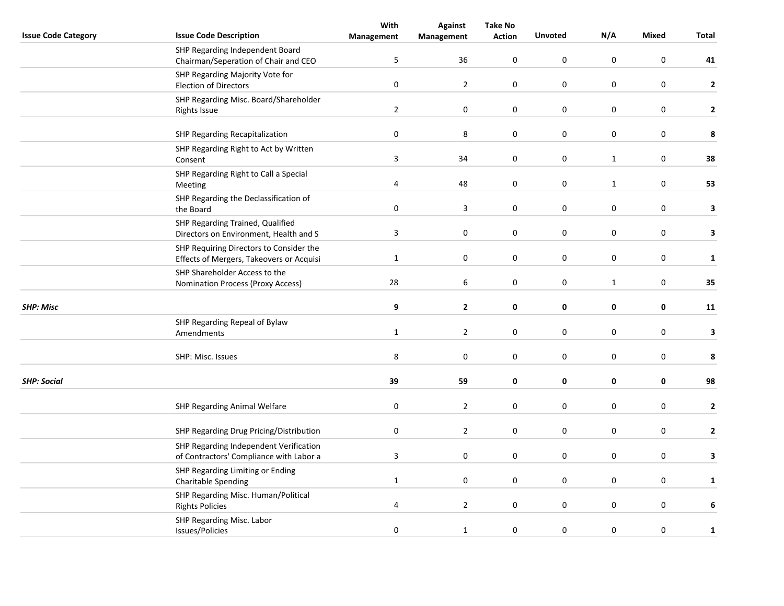|                            |                                                                                     | With                    | <b>Against</b>          | <b>Take No</b> |                  |                  |                  |              |
|----------------------------|-------------------------------------------------------------------------------------|-------------------------|-------------------------|----------------|------------------|------------------|------------------|--------------|
| <b>Issue Code Category</b> | <b>Issue Code Description</b>                                                       | Management              | Management              | <b>Action</b>  | <b>Unvoted</b>   | N/A              | <b>Mixed</b>     | Total        |
|                            | SHP Regarding Independent Board<br>Chairman/Seperation of Chair and CEO             | 5                       | 36                      | $\pmb{0}$      | $\boldsymbol{0}$ | $\mathsf 0$      | $\boldsymbol{0}$ | 41           |
|                            | SHP Regarding Majority Vote for<br><b>Election of Directors</b>                     | $\pmb{0}$               | $\overline{2}$          | $\pmb{0}$      | $\boldsymbol{0}$ | $\mathsf 0$      | $\boldsymbol{0}$ | $\mathbf 2$  |
|                            | SHP Regarding Misc. Board/Shareholder<br><b>Rights Issue</b>                        | $\overline{2}$          | $\mathbf 0$             | $\mathbf 0$    | $\pmb{0}$        | $\mathsf 0$      | $\mathbf 0$      | $\mathbf{2}$ |
|                            | SHP Regarding Recapitalization                                                      | $\pmb{0}$               | 8                       | 0              | $\pmb{0}$        | 0                | $\mathbf 0$      | 8            |
|                            | SHP Regarding Right to Act by Written<br>Consent                                    | $\overline{3}$          | 34                      | 0              | $\boldsymbol{0}$ | $\mathbf{1}$     | $\mathbf 0$      | 38           |
|                            | SHP Regarding Right to Call a Special<br>Meeting                                    | 4                       | 48                      | 0              | $\boldsymbol{0}$ | $\mathbf{1}$     | $\mathbf 0$      | 53           |
|                            | SHP Regarding the Declassification of<br>the Board                                  | $\pmb{0}$               | $\overline{\mathbf{3}}$ | $\pmb{0}$      | $\boldsymbol{0}$ | $\boldsymbol{0}$ | $\boldsymbol{0}$ | 3            |
|                            | SHP Regarding Trained, Qualified<br>Directors on Environment, Health and S          | $\overline{3}$          | $\pmb{0}$               | $\mathbf 0$    | $\pmb{0}$        | $\mathsf 0$      | $\boldsymbol{0}$ | 3            |
|                            | SHP Requiring Directors to Consider the<br>Effects of Mergers, Takeovers or Acquisi | $\mathbf{1}$            | 0                       | 0              | $\mathbf 0$      | 0                | $\mathbf 0$      | $\mathbf{1}$ |
|                            | SHP Shareholder Access to the<br><b>Nomination Process (Proxy Access)</b>           | 28                      | 6                       | $\pmb{0}$      | $\pmb{0}$        | $\mathbf{1}$     | $\pmb{0}$        | 35           |
| <b>SHP: Misc</b>           |                                                                                     | 9                       | $\mathbf{2}$            | $\pmb{0}$      | 0                | $\pmb{0}$        | $\mathbf 0$      | 11           |
|                            | SHP Regarding Repeal of Bylaw<br>Amendments                                         | $\mathbf{1}$            | $\overline{2}$          | 0              | $\pmb{0}$        | $\pmb{0}$        | $\boldsymbol{0}$ | 3            |
|                            | SHP: Misc. Issues                                                                   | $\,8\,$                 | $\pmb{0}$               | $\pmb{0}$      | $\pmb{0}$        | $\pmb{0}$        | $\boldsymbol{0}$ | 8            |
| <b>SHP: Social</b>         |                                                                                     | 39                      | 59                      | 0              | $\pmb{0}$        | 0                | 0                | 98           |
|                            | SHP Regarding Animal Welfare                                                        | $\boldsymbol{0}$        | $\overline{2}$          | 0              | $\mathbf 0$      | 0                | $\pmb{0}$        | $\mathbf{2}$ |
|                            | SHP Regarding Drug Pricing/Distribution                                             | $\boldsymbol{0}$        | $\overline{2}$          | $\mathbf 0$    | 0                | 0                | $\mathbf 0$      | $\mathbf{2}$ |
|                            | SHP Regarding Independent Verification<br>of Contractors' Compliance with Labor a   | $\mathbf{3}$            | $\boldsymbol{0}$        | 0              | $\pmb{0}$        | $\boldsymbol{0}$ | $\mathbf 0$      | 3            |
|                            | SHP Regarding Limiting or Ending<br><b>Charitable Spending</b>                      | $\mathbf{1}$            | $\boldsymbol{0}$        | 0              | $\boldsymbol{0}$ | $\boldsymbol{0}$ | $\mathbf 0$      | $\mathbf{1}$ |
|                            | SHP Regarding Misc. Human/Political<br><b>Rights Policies</b>                       | $\overline{\mathbf{4}}$ | $\overline{2}$          | 0              | $\pmb{0}$        | $\boldsymbol{0}$ | $\pmb{0}$        | 6            |
|                            | SHP Regarding Misc. Labor<br>Issues/Policies                                        | $\pmb{0}$               | $\mathbf 1$             | $\mathbf 0$    | $\boldsymbol{0}$ | $\boldsymbol{0}$ | $\pmb{0}$        | $\mathbf 1$  |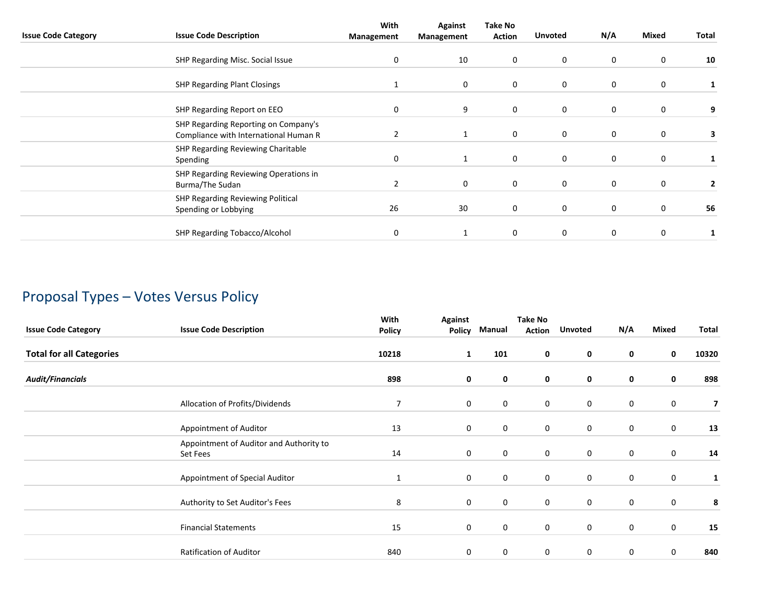| <b>Issue Code Category</b> | <b>Issue Code Description</b>                                                 | With<br>Management | <b>Against</b><br>Management | <b>Take No</b><br><b>Action</b> | <b>Unvoted</b> | N/A         | Mixed       | Total |
|----------------------------|-------------------------------------------------------------------------------|--------------------|------------------------------|---------------------------------|----------------|-------------|-------------|-------|
|                            | SHP Regarding Misc. Social Issue                                              | 0                  | 10                           | $\mathbf 0$                     | 0              | 0           | 0           | 10    |
|                            | <b>SHP Regarding Plant Closings</b>                                           | 1                  | 0                            | $\mathbf 0$                     | 0              | 0           | 0           |       |
|                            | SHP Regarding Report on EEO                                                   | 0                  | 9                            | $\mathbf 0$                     | 0              | 0           | 0           | 9     |
|                            | SHP Regarding Reporting on Company's<br>Compliance with International Human R | 2                  | 1                            | $\mathbf 0$                     | $\mathbf 0$    | 0           | 0           | 3     |
|                            | SHP Regarding Reviewing Charitable<br>Spending                                | 0                  | 1                            | $\mathbf 0$                     | $\mathbf 0$    | 0           | $\mathbf 0$ |       |
|                            | SHP Regarding Reviewing Operations in<br>Burma/The Sudan                      | 2                  | $\mathbf 0$                  | $\mathbf 0$                     | 0              | $\mathbf 0$ | 0           | 2     |
|                            | SHP Regarding Reviewing Political<br>Spending or Lobbying                     | 26                 | 30                           | $\mathbf 0$                     | 0              | $\mathbf 0$ | 0           | 56    |
|                            | <b>SHP Regarding Tobacco/Alcohol</b>                                          | 0                  |                              | $\mathbf 0$                     | 0              | $\mathbf 0$ | 0           |       |

# Proposal Types – Votes Versus Policy

| <b>Issue Code Category</b>      | <b>Issue Code Description</b>                       | With<br><b>Policy</b> | <b>Against</b><br><b>Policy</b> | Manual           | <b>Take No</b><br><b>Action</b> | <b>Unvoted</b>   | N/A         | Mixed       | Total                   |
|---------------------------------|-----------------------------------------------------|-----------------------|---------------------------------|------------------|---------------------------------|------------------|-------------|-------------|-------------------------|
| <b>Total for all Categories</b> |                                                     | 10218                 | 1                               | 101              | 0                               | 0                | 0           | 0           | 10320                   |
| <b>Audit/Financials</b>         |                                                     | 898                   | 0                               | $\mathbf 0$      | 0                               | 0                | 0           | 0           | 898                     |
|                                 | Allocation of Profits/Dividends                     | 7                     | 0                               | 0                | 0                               | $\boldsymbol{0}$ | $\mathbf 0$ | $\bf{0}$    | $\overline{\mathbf{z}}$ |
|                                 | Appointment of Auditor                              | 13                    | 0                               | 0                | 0                               | $\boldsymbol{0}$ | 0           | $\pmb{0}$   | 13                      |
|                                 | Appointment of Auditor and Authority to<br>Set Fees | 14                    | 0                               | $\boldsymbol{0}$ | 0                               | $\boldsymbol{0}$ | $\mathbf 0$ | $\mathbf 0$ | 14                      |
|                                 | Appointment of Special Auditor                      | 1                     | 0                               | $\mathbf 0$      | $\mathbf 0$                     | $\mathbf 0$      | 0           | 0           | 1                       |
|                                 | Authority to Set Auditor's Fees                     | 8                     | 0                               | $\mathbf 0$      | $\mathbf 0$                     | $\mathbf 0$      | $\mathbf 0$ | $\mathbf 0$ | 8                       |
|                                 | <b>Financial Statements</b>                         | 15                    | $\pmb{0}$                       | $\boldsymbol{0}$ | $\mathbf 0$                     | $\boldsymbol{0}$ | $\mathbf 0$ | $\pmb{0}$   | 15                      |
|                                 | Ratification of Auditor                             | 840                   | 0                               | 0                | 0                               | 0                | 0           | 0           | 840                     |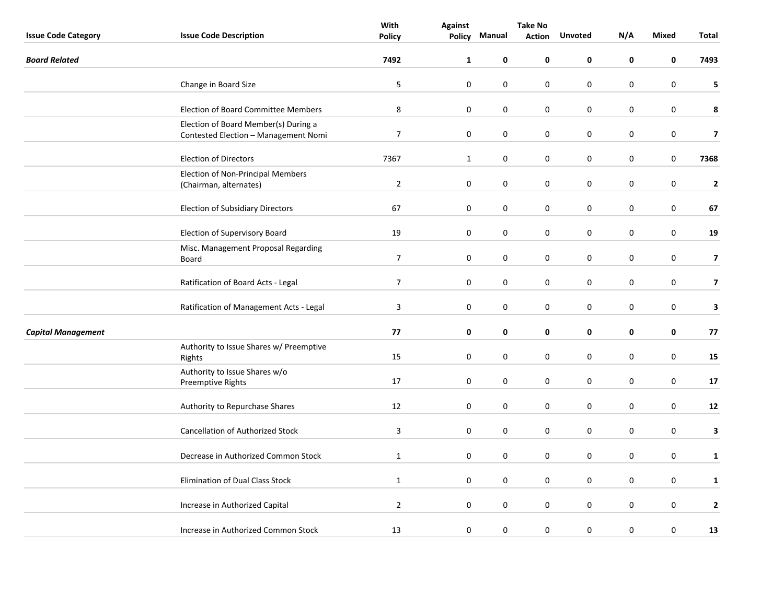|                            |                                                                              | With           | <b>Take No</b><br><b>Against</b> |             |               |                  |           |              |                         |
|----------------------------|------------------------------------------------------------------------------|----------------|----------------------------------|-------------|---------------|------------------|-----------|--------------|-------------------------|
| <b>Issue Code Category</b> | <b>Issue Code Description</b>                                                | <b>Policy</b>  | Policy                           | Manual      | <b>Action</b> | <b>Unvoted</b>   | N/A       | <b>Mixed</b> | Total                   |
| <b>Board Related</b>       |                                                                              | 7492           | $\mathbf{1}$                     | 0           | 0             | 0                | 0         | 0            | 7493                    |
|                            | Change in Board Size                                                         | 5              | $\mathbf 0$                      | $\pmb{0}$   | 0             | $\pmb{0}$        | $\pmb{0}$ | $\pmb{0}$    | 5                       |
|                            | <b>Election of Board Committee Members</b>                                   | $\bf 8$        | $\pmb{0}$                        | $\mathbf 0$ | 0             | $\mathbf 0$      | 0         | $\pmb{0}$    | 8                       |
|                            | Election of Board Member(s) During a<br>Contested Election - Management Nomi | $\overline{7}$ | $\mathbf 0$                      | $\pmb{0}$   | 0             | $\boldsymbol{0}$ | $\pmb{0}$ | $\pmb{0}$    | $\overline{\mathbf{z}}$ |
|                            | <b>Election of Directors</b>                                                 | 7367           | $\mathbf{1}$                     | 0           | $\pmb{0}$     | $\boldsymbol{0}$ | 0         | $\pmb{0}$    | 7368                    |
|                            | Election of Non-Principal Members<br>(Chairman, alternates)                  | $\overline{2}$ | $\mathbf 0$                      | 0           | 0             | $\pmb{0}$        | 0         | $\mathbf 0$  | $\mathbf{2}$            |
|                            | <b>Election of Subsidiary Directors</b>                                      | 67             | $\mathbf 0$                      | $\pmb{0}$   | 0             | 0                | 0         | 0            | 67                      |
|                            | Election of Supervisory Board                                                | 19             | $\mathbf 0$                      | $\pmb{0}$   | 0             | $\pmb{0}$        | $\pmb{0}$ | $\pmb{0}$    | 19                      |
|                            | Misc. Management Proposal Regarding<br>Board                                 | $\overline{7}$ | 0                                | 0           | 0             | $\mathbf 0$      | 0         | 0            | $\overline{\mathbf{z}}$ |
|                            | Ratification of Board Acts - Legal                                           | $\overline{7}$ | $\mathbf 0$                      | 0           | 0             | $\boldsymbol{0}$ | 0         | $\pmb{0}$    | $\overline{\mathbf{z}}$ |
|                            | Ratification of Management Acts - Legal                                      | 3              | $\mathbf 0$                      | 0           | 0             | $\boldsymbol{0}$ | $\pmb{0}$ | $\pmb{0}$    | $\mathbf{3}$            |
| <b>Capital Management</b>  |                                                                              | 77             | $\mathbf 0$                      | 0           | 0             | 0                | 0         | 0            | 77                      |
|                            | Authority to Issue Shares w/ Preemptive<br>Rights                            | 15             | $\mathbf 0$                      | $\pmb{0}$   | 0             | $\pmb{0}$        | $\pmb{0}$ | $\pmb{0}$    | 15                      |
|                            | Authority to Issue Shares w/o<br>Preemptive Rights                           | 17             | $\mathbf 0$                      | $\pmb{0}$   | $\pmb{0}$     | $\pmb{0}$        | 0         | $\pmb{0}$    | 17                      |
|                            | Authority to Repurchase Shares                                               | 12             | $\mathbf 0$                      | 0           | 0             | 0                | 0         | 0            | 12                      |
|                            | <b>Cancellation of Authorized Stock</b>                                      | 3              | $\mathbf 0$                      | 0           | 0             | $\boldsymbol{0}$ | $\pmb{0}$ | $\pmb{0}$    | 3                       |
|                            | Decrease in Authorized Common Stock                                          | $\mathbf{1}$   | 0                                | 0           | 0             | 0                | 0         | $\pmb{0}$    | $\mathbf{1}$            |
|                            | <b>Elimination of Dual Class Stock</b>                                       | $\mathbf{1}$   | $\mathbf 0$                      | $\pmb{0}$   | 0             | 0                | 0         | $\pmb{0}$    | $\mathbf{1}$            |
|                            | Increase in Authorized Capital                                               | $\overline{2}$ | $\mathbf 0$                      | $\pmb{0}$   | 0             | 0                | $\pmb{0}$ | $\pmb{0}$    | $\mathbf{2}$            |
|                            | Increase in Authorized Common Stock                                          | 13             | $\pmb{0}$                        | 0           | 0             | $\mathbf 0$      | $\pmb{0}$ | $\mathbf 0$  | 13                      |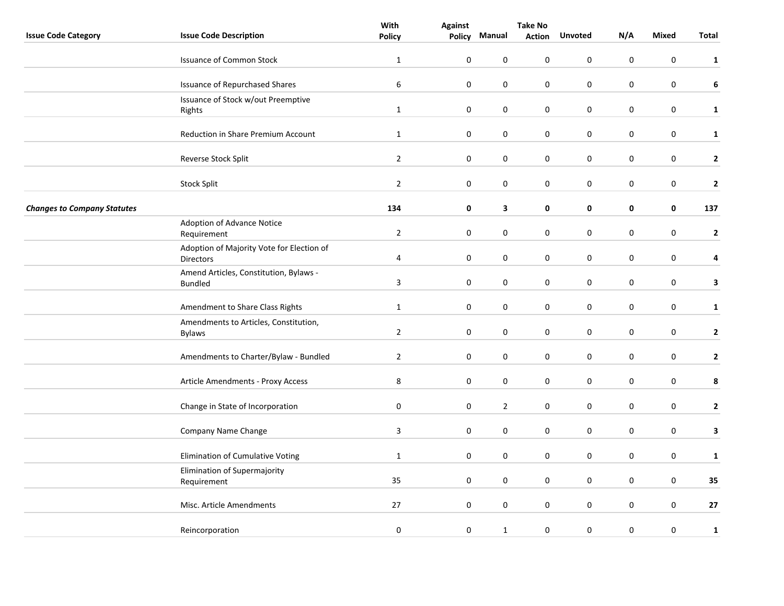|                                    |                                                          | With             | <b>Against</b>   | <b>Take No</b> |               |                |           |                  |              |
|------------------------------------|----------------------------------------------------------|------------------|------------------|----------------|---------------|----------------|-----------|------------------|--------------|
| <b>Issue Code Category</b>         | <b>Issue Code Description</b>                            | <b>Policy</b>    |                  | Policy Manual  | <b>Action</b> | <b>Unvoted</b> | N/A       | Mixed            | Total        |
|                                    | <b>Issuance of Common Stock</b>                          | $\mathbf{1}$     | $\pmb{0}$        | 0              | 0             | $\mathbf 0$    | 0         | $\mathbf 0$      | $\mathbf{1}$ |
|                                    | <b>Issuance of Repurchased Shares</b>                    | $\boldsymbol{6}$ | $\pmb{0}$        | $\pmb{0}$      | 0             | $\pmb{0}$      | $\pmb{0}$ | $\boldsymbol{0}$ | 6            |
|                                    | Issuance of Stock w/out Preemptive<br>Rights             | $\mathbf{1}$     | $\pmb{0}$        | $\pmb{0}$      | 0             | $\pmb{0}$      | $\pmb{0}$ | $\boldsymbol{0}$ | $\mathbf{1}$ |
|                                    | Reduction in Share Premium Account                       | $\mathbf{1}$     | $\pmb{0}$        | $\pmb{0}$      | 0             | $\pmb{0}$      | $\pmb{0}$ | $\boldsymbol{0}$ | $\mathbf{1}$ |
|                                    | Reverse Stock Split                                      | $\overline{2}$   | $\pmb{0}$        | 0              | 0             | 0              | 0         | $\pmb{0}$        | $\mathbf{2}$ |
|                                    | <b>Stock Split</b>                                       | $\overline{2}$   | 0                | 0              | 0             | 0              | 0         | $\pmb{0}$        | $\mathbf{2}$ |
| <b>Changes to Company Statutes</b> |                                                          | 134              | $\pmb{0}$        | 3              | 0             | $\pmb{0}$      | 0         | 0                | 137          |
|                                    | Adoption of Advance Notice<br>Requirement                | $\overline{2}$   | $\pmb{0}$        | $\pmb{0}$      | 0             | $\pmb{0}$      | 0         | $\boldsymbol{0}$ | $\mathbf{2}$ |
|                                    | Adoption of Majority Vote for Election of<br>Directors   | 4                | 0                | 0              | 0             | $\mathbf 0$    | 0         | $\boldsymbol{0}$ | 4            |
|                                    | Amend Articles, Constitution, Bylaws -<br><b>Bundled</b> | $\mathbf{3}$     | $\boldsymbol{0}$ | 0              | 0             | $\pmb{0}$      | 0         | $\boldsymbol{0}$ | $\mathbf{3}$ |
|                                    | Amendment to Share Class Rights                          | $\mathbf{1}$     | $\pmb{0}$        | $\pmb{0}$      | 0             | $\pmb{0}$      | 0         | $\boldsymbol{0}$ | $\mathbf{1}$ |
|                                    | Amendments to Articles, Constitution,<br><b>Bylaws</b>   | $\overline{2}$   | $\pmb{0}$        | $\pmb{0}$      | 0             | $\pmb{0}$      | 0         | $\boldsymbol{0}$ | $\mathbf{2}$ |
|                                    | Amendments to Charter/Bylaw - Bundled                    | $\overline{2}$   | 0                | $\mathbf 0$    | 0             | 0              | 0         | $\boldsymbol{0}$ | $\mathbf{2}$ |
|                                    | Article Amendments - Proxy Access                        | 8                | $\pmb{0}$        | $\mathbf 0$    | $\pmb{0}$     | $\mathbf 0$    | 0         | $\mathbf 0$      | 8            |
|                                    | Change in State of Incorporation                         | 0                | 0                | $\sqrt{2}$     | 0             | $\pmb{0}$      | 0         | $\boldsymbol{0}$ | $\mathbf{2}$ |
|                                    | Company Name Change                                      | $\mathbf{3}$     | $\pmb{0}$        | $\pmb{0}$      | 0             | $\pmb{0}$      | $\pmb{0}$ | $\pmb{0}$        | $\mathbf{3}$ |
|                                    | Elimination of Cumulative Voting                         | $\mathbf{1}$     | $\pmb{0}$        | $\pmb{0}$      | 0             | 0              | 0         | $\pmb{0}$        | $\mathbf{1}$ |
|                                    | Elimination of Supermajority<br>Requirement              | 35               | $\pmb{0}$        | 0              | 0             | $\mathbf 0$    | 0         | $\mathbf 0$      | 35           |
|                                    | Misc. Article Amendments                                 | 27               | 0                | $\pmb{0}$      | 0             | $\pmb{0}$      | $\pmb{0}$ | $\boldsymbol{0}$ | 27           |
|                                    | Reincorporation                                          | $\pmb{0}$        | $\boldsymbol{0}$ | $\mathbf{1}$   | 0             | 0              | $\pmb{0}$ | $\pmb{0}$        | $\mathbf{1}$ |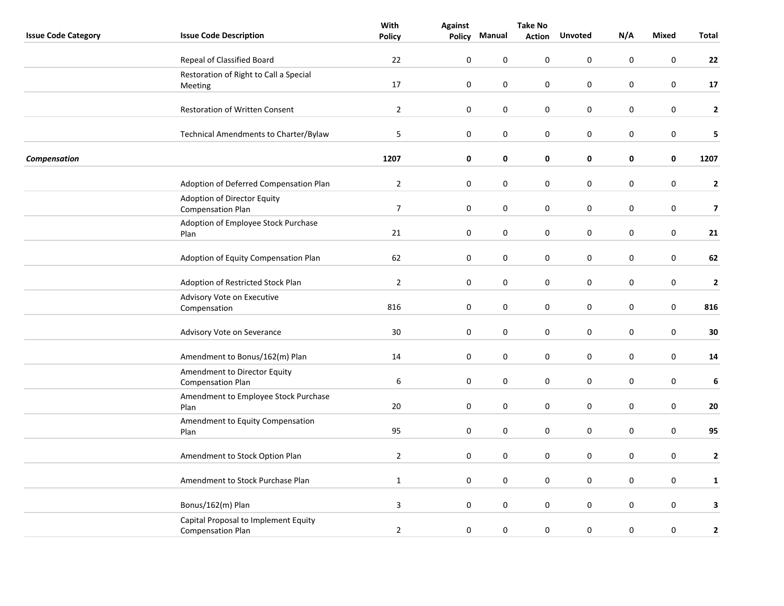|                            |                                                                  | With           | <b>Take No</b>   |             |               |                  |           |                  |                         |
|----------------------------|------------------------------------------------------------------|----------------|------------------|-------------|---------------|------------------|-----------|------------------|-------------------------|
| <b>Issue Code Category</b> | <b>Issue Code Description</b>                                    | <b>Policy</b>  | <b>Policy</b>    | Manual      | <b>Action</b> | <b>Unvoted</b>   | N/A       | Mixed            | Total                   |
|                            | Repeal of Classified Board                                       | 22             | $\mathbf 0$      | $\mathbf 0$ | 0             | $\mathbf 0$      | 0         | $\mathbf 0$      | 22                      |
|                            | Restoration of Right to Call a Special                           |                |                  |             |               |                  |           |                  |                         |
|                            | Meeting                                                          | 17             | $\pmb{0}$        | 0           | 0             | $\boldsymbol{0}$ | $\pmb{0}$ | $\boldsymbol{0}$ | 17                      |
|                            |                                                                  |                |                  |             |               |                  |           |                  |                         |
|                            | Restoration of Written Consent                                   | $\overline{2}$ | $\pmb{0}$        | $\pmb{0}$   | 0             | $\boldsymbol{0}$ | $\pmb{0}$ | $\boldsymbol{0}$ | $\mathbf{2}$            |
|                            | Technical Amendments to Charter/Bylaw                            | 5              | $\mathbf 0$      | $\pmb{0}$   | 0             | $\pmb{0}$        | $\pmb{0}$ | $\boldsymbol{0}$ | 5                       |
| Compensation               |                                                                  | 1207           | 0                | 0           | 0             | 0                | 0         | 0                | 1207                    |
|                            | Adoption of Deferred Compensation Plan                           | $\overline{2}$ | 0                | 0           | 0             | 0                | 0         | 0                | $\mathbf{2}$            |
|                            | Adoption of Director Equity                                      | $\overline{7}$ | $\mathbf 0$      |             | 0             | $\boldsymbol{0}$ |           | $\boldsymbol{0}$ |                         |
|                            | <b>Compensation Plan</b>                                         |                |                  | 0           |               |                  | 0         |                  | $\overline{\mathbf{z}}$ |
|                            | Adoption of Employee Stock Purchase<br>Plan                      | 21             | $\mathbf 0$      | $\pmb{0}$   | 0             | $\boldsymbol{0}$ | 0         | $\pmb{0}$        | 21                      |
|                            | Adoption of Equity Compensation Plan                             | 62             | $\mathbf 0$      | $\pmb{0}$   | 0             | $\pmb{0}$        | 0         | $\boldsymbol{0}$ | 62                      |
|                            | Adoption of Restricted Stock Plan                                | $\overline{2}$ | $\mathbf 0$      | 0           | 0             | $\boldsymbol{0}$ | $\pmb{0}$ | $\pmb{0}$        | $\mathbf{2}$            |
|                            | Advisory Vote on Executive                                       |                |                  |             |               |                  |           |                  |                         |
|                            | Compensation                                                     | 816            | $\mathbf 0$      | 0           | 0             | $\boldsymbol{0}$ | 0         | $\pmb{0}$        | 816                     |
|                            | Advisory Vote on Severance                                       | 30             | $\boldsymbol{0}$ | 0           | 0             | $\boldsymbol{0}$ | 0         | $\pmb{0}$        | $\bf{30}$               |
|                            | Amendment to Bonus/162(m) Plan                                   | 14             | $\mathbf 0$      | 0           | 0             | $\mathbf 0$      | 0         | $\pmb{0}$        | 14                      |
|                            | Amendment to Director Equity<br><b>Compensation Plan</b>         | 6              | $\pmb{0}$        | $\mathbf 0$ | 0             | $\pmb{0}$        | 0         | $\mathbf 0$      | 6                       |
|                            | Amendment to Employee Stock Purchase                             |                |                  |             |               |                  |           |                  |                         |
|                            | Plan                                                             | 20             | $\mathbf 0$      | $\pmb{0}$   | 0             | $\pmb{0}$        | 0         | $\pmb{0}$        | ${\bf 20}$              |
|                            | Amendment to Equity Compensation<br>Plan                         | 95             | $\pmb{0}$        | 0           | 0             | $\boldsymbol{0}$ | 0         | $\pmb{0}$        | 95                      |
|                            | Amendment to Stock Option Plan                                   | $\overline{2}$ | $\pmb{0}$        | 0           | 0             | $\pmb{0}$        | 0         | $\pmb{0}$        | $\mathbf{2}$            |
|                            | Amendment to Stock Purchase Plan                                 | $\mathbf{1}$   | $\mathbf 0$      | $\mathbf 0$ | 0             | $\mathbf 0$      | 0         | $\mathbf 0$      | $\mathbf{1}$            |
|                            |                                                                  |                |                  |             |               |                  |           |                  |                         |
|                            | Bonus/162(m) Plan                                                | $\mathbf{3}$   | $\mathbf 0$      | $\pmb{0}$   | 0             | $\boldsymbol{0}$ | 0         | $\boldsymbol{0}$ | 3                       |
|                            | Capital Proposal to Implement Equity<br><b>Compensation Plan</b> | $\overline{2}$ | $\pmb{0}$        | 0           | $\pmb{0}$     | $\boldsymbol{0}$ | $\pmb{0}$ | $\pmb{0}$        | $\mathbf{2}$            |
|                            |                                                                  |                |                  |             |               |                  |           |                  |                         |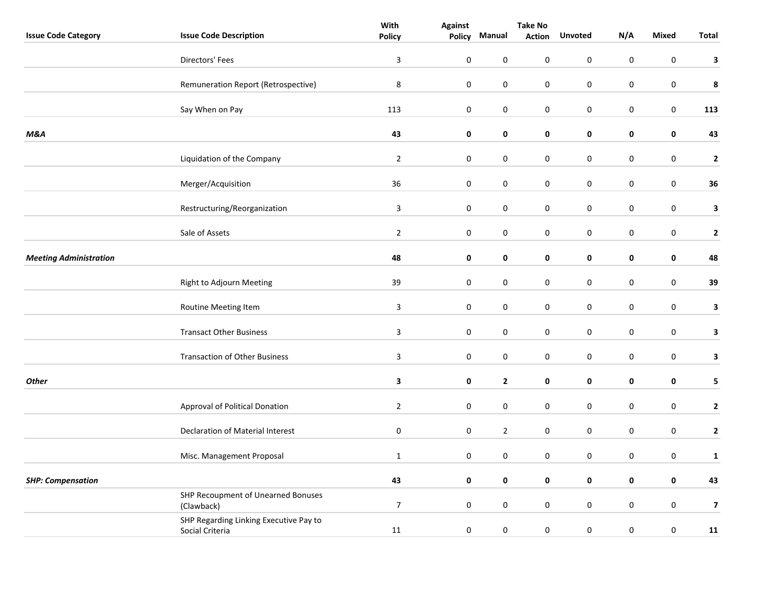|                               |                                                           | With           | <b>Against</b> | <b>Take No</b> |               |                  |                  |              |                         |
|-------------------------------|-----------------------------------------------------------|----------------|----------------|----------------|---------------|------------------|------------------|--------------|-------------------------|
| <b>Issue Code Category</b>    | <b>Issue Code Description</b>                             | <b>Policy</b>  | Policy         | Manual         | <b>Action</b> | <b>Unvoted</b>   | N/A              | <b>Mixed</b> | Total                   |
|                               | Directors' Fees                                           | $\overline{3}$ | $\pmb{0}$      | $\pmb{0}$      | $\pmb{0}$     | $\boldsymbol{0}$ | $\pmb{0}$        | $\mathbf 0$  | 3                       |
|                               | Remuneration Report (Retrospective)                       | $\,8\,$        | $\pmb{0}$      | $\pmb{0}$      | $\pmb{0}$     | 0                | $\mathbf 0$      | $\mathbf 0$  | 8                       |
|                               | Say When on Pay                                           | 113            | $\pmb{0}$      | $\pmb{0}$      | $\pmb{0}$     | $\mathbf 0$      | $\boldsymbol{0}$ | $\pmb{0}$    | 113                     |
| M&A                           |                                                           | 43             | $\mathbf 0$    | $\pmb{0}$      | 0             | $\pmb{0}$        | $\mathbf 0$      | $\pmb{0}$    | 43                      |
|                               | Liquidation of the Company                                | $\overline{2}$ | $\mathbf 0$    | $\pmb{0}$      | $\pmb{0}$     | $\pmb{0}$        | $\pmb{0}$        | $\mathbf 0$  | $\mathbf{2}$            |
|                               | Merger/Acquisition                                        | 36             | $\mathbf 0$    | 0              | 0             | 0                | $\mathbf 0$      | $\pmb{0}$    | 36                      |
|                               | Restructuring/Reorganization                              | $\overline{3}$ | $\pmb{0}$      | $\pmb{0}$      | $\pmb{0}$     | $\pmb{0}$        | $\pmb{0}$        | $\pmb{0}$    | $\mathbf{3}$            |
|                               | Sale of Assets                                            | $\overline{2}$ | $\pmb{0}$      | $\pmb{0}$      | $\pmb{0}$     | $\pmb{0}$        | $\pmb{0}$        | $\pmb{0}$    | $\mathbf{2}$            |
| <b>Meeting Administration</b> |                                                           | 48             | $\mathbf 0$    | 0              | $\pmb{0}$     | $\pmb{0}$        | $\pmb{0}$        | $\mathbf 0$  | 48                      |
|                               | Right to Adjourn Meeting                                  | 39             | $\pmb{0}$      | 0              | $\pmb{0}$     | 0                | $\pmb{0}$        | $\pmb{0}$    | 39                      |
|                               | Routine Meeting Item                                      | 3              | $\mathbf 0$    | 0              | 0             | 0                | $\boldsymbol{0}$ | $\pmb{0}$    | $\mathbf{3}$            |
|                               | <b>Transact Other Business</b>                            | $\mathsf 3$    | $\pmb{0}$      | $\pmb{0}$      | $\pmb{0}$     | $\pmb{0}$        | $\pmb{0}$        | $\pmb{0}$    | $\mathbf{3}$            |
|                               | <b>Transaction of Other Business</b>                      | $\overline{3}$ | $\pmb{0}$      | 0              | $\pmb{0}$     | $\pmb{0}$        | $\pmb{0}$        | $\mathbf 0$  | $\mathbf{3}$            |
| <b>Other</b>                  |                                                           | 3              | $\mathbf 0$    | $\mathbf{2}$   | 0             | $\pmb{0}$        | $\mathbf 0$      | 0            | 5                       |
|                               | Approval of Political Donation                            | $\overline{2}$ | $\mathbf 0$    | $\pmb{0}$      | $\pmb{0}$     | $\boldsymbol{0}$ | $\pmb{0}$        | $\mathbf 0$  | $\mathbf{2}$            |
|                               | Declaration of Material Interest                          | $\pmb{0}$      | $\mathbf 0$    | $\overline{2}$ | $\pmb{0}$     | $\pmb{0}$        | $\pmb{0}$        | $\pmb{0}$    | $\mathbf{2}$            |
|                               | Misc. Management Proposal                                 | $\mathbf 1$    | $\pmb{0}$      | $\pmb{0}$      | $\pmb{0}$     | $\pmb{0}$        | $\pmb{0}$        | $\mathbf 0$  | $\mathbf 1$             |
| <b>SHP: Compensation</b>      |                                                           | 43             | $\mathbf 0$    | $\pmb{0}$      | $\pmb{0}$     | $\pmb{0}$        | $\pmb{0}$        | $\pmb{0}$    | 43                      |
|                               | SHP Recoupment of Unearned Bonuses<br>(Clawback)          | $\overline{7}$ | $\mathbf 0$    | 0              | 0             | 0                | $\boldsymbol{0}$ | $\mathbf 0$  | $\overline{\mathbf{z}}$ |
|                               | SHP Regarding Linking Executive Pay to<br>Social Criteria | 11             | $\pmb{0}$      | $\pmb{0}$      | $\pmb{0}$     | $\pmb{0}$        | $\pmb{0}$        | $\pmb{0}$    | 11                      |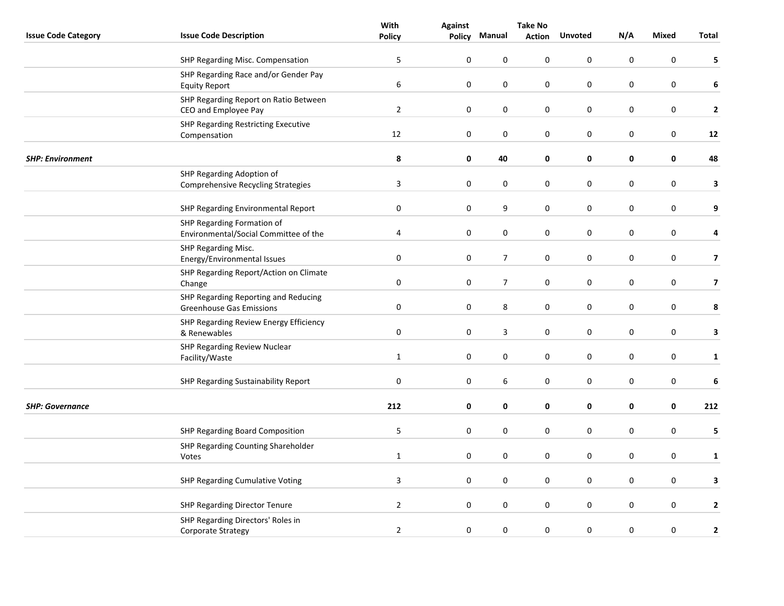|                            |                                                                         | With             | <b>Against</b>   | <b>Take No</b> |               |                |           |             |                         |
|----------------------------|-------------------------------------------------------------------------|------------------|------------------|----------------|---------------|----------------|-----------|-------------|-------------------------|
| <b>Issue Code Category</b> | <b>Issue Code Description</b>                                           | <b>Policy</b>    | Policy           | Manual         | <b>Action</b> | <b>Unvoted</b> | N/A       | Mixed       | Total                   |
|                            | SHP Regarding Misc. Compensation                                        | 5                | $\mathbf 0$      | $\mathbf 0$    | 0             | 0              | 0         | 0           | 5                       |
|                            | SHP Regarding Race and/or Gender Pay                                    |                  |                  |                |               |                |           |             |                         |
|                            | <b>Equity Report</b>                                                    | 6                | $\pmb{0}$        | 0              | 0             | $\pmb{0}$      | 0         | $\pmb{0}$   | 6                       |
|                            | SHP Regarding Report on Ratio Between<br>CEO and Employee Pay           | $\overline{2}$   | $\boldsymbol{0}$ | $\pmb{0}$      | 0             | $\pmb{0}$      | 0         | $\pmb{0}$   | $\mathbf{2}$            |
|                            | SHP Regarding Restricting Executive                                     |                  |                  |                |               |                |           |             |                         |
|                            | Compensation                                                            | 12               | $\pmb{0}$        | $\pmb{0}$      | $\pmb{0}$     | $\pmb{0}$      | 0         | $\pmb{0}$   | 12                      |
| <b>SHP: Environment</b>    |                                                                         | 8                | 0                | 40             | 0             | $\mathbf 0$    | 0         | $\mathbf 0$ | 48                      |
|                            | SHP Regarding Adoption of                                               |                  |                  |                |               |                |           |             |                         |
|                            | <b>Comprehensive Recycling Strategies</b>                               | $\mathbf{3}$     | 0                | 0              | 0             | 0              | 0         | $\pmb{0}$   | 3                       |
|                            | SHP Regarding Environmental Report                                      | $\pmb{0}$        | 0                | 9              | 0             | $\pmb{0}$      | 0         | $\pmb{0}$   | 9                       |
|                            | SHP Regarding Formation of                                              |                  |                  |                |               |                |           |             |                         |
|                            | Environmental/Social Committee of the                                   | 4                | $\pmb{0}$        | $\pmb{0}$      | 0             | $\pmb{0}$      | 0         | $\pmb{0}$   | 4                       |
|                            | SHP Regarding Misc.<br>Energy/Environmental Issues                      | 0                | 0                | $\overline{7}$ | 0             | 0              | 0         | $\pmb{0}$   | $\overline{\mathbf{z}}$ |
|                            | SHP Regarding Report/Action on Climate                                  |                  |                  |                |               |                |           |             |                         |
|                            | Change                                                                  | $\boldsymbol{0}$ | $\boldsymbol{0}$ | $\overline{7}$ | 0             | $\pmb{0}$      | 0         | $\pmb{0}$   | $\overline{\mathbf{z}}$ |
|                            | SHP Regarding Reporting and Reducing<br><b>Greenhouse Gas Emissions</b> | $\boldsymbol{0}$ | 0                | 8              | 0             | $\pmb{0}$      | 0         | $\pmb{0}$   | 8                       |
|                            | SHP Regarding Review Energy Efficiency                                  |                  |                  |                |               |                |           |             |                         |
|                            | & Renewables                                                            | 0                | $\pmb{0}$        | 3              | 0             | $\pmb{0}$      | 0         | $\pmb{0}$   | 3                       |
|                            | SHP Regarding Review Nuclear<br>Facility/Waste                          | $\mathbf{1}$     | 0                | $\pmb{0}$      | 0             | 0              | 0         | $\pmb{0}$   | $\mathbf{1}$            |
|                            |                                                                         |                  |                  |                |               |                |           |             |                         |
|                            | SHP Regarding Sustainability Report                                     | $\pmb{0}$        | $\pmb{0}$        | 6              | $\pmb{0}$     | 0              | 0         | $\pmb{0}$   | 6                       |
| <b>SHP: Governance</b>     |                                                                         | 212              | $\pmb{0}$        | $\pmb{0}$      | 0             | $\pmb{0}$      | 0         | $\mathbf 0$ | 212                     |
|                            | SHP Regarding Board Composition                                         | 5                | 0                | 0              | 0             | $\pmb{0}$      | 0         | $\pmb{0}$   | 5                       |
|                            | SHP Regarding Counting Shareholder                                      |                  |                  |                |               |                |           |             |                         |
|                            | Votes                                                                   | $\mathbf{1}$     | $\pmb{0}$        | $\pmb{0}$      | 0             | 0              | 0         | $\pmb{0}$   | $\mathbf{1}$            |
|                            | SHP Regarding Cumulative Voting                                         | $\mathbf{3}$     | $\mathbf 0$      | $\mathbf 0$    | 0             | 0              | 0         | 0           | 3                       |
|                            | SHP Regarding Director Tenure                                           | $\overline{2}$   | 0                | $\pmb{0}$      | 0             | $\pmb{0}$      | 0         | $\pmb{0}$   | $\mathbf{2}$            |
|                            | SHP Regarding Directors' Roles in<br>Corporate Strategy                 | $\overline{2}$   | $\boldsymbol{0}$ | $\pmb{0}$      | 0             | 0              | $\pmb{0}$ | 0           | $\mathbf{2}$            |
|                            |                                                                         |                  |                  |                |               |                |           |             |                         |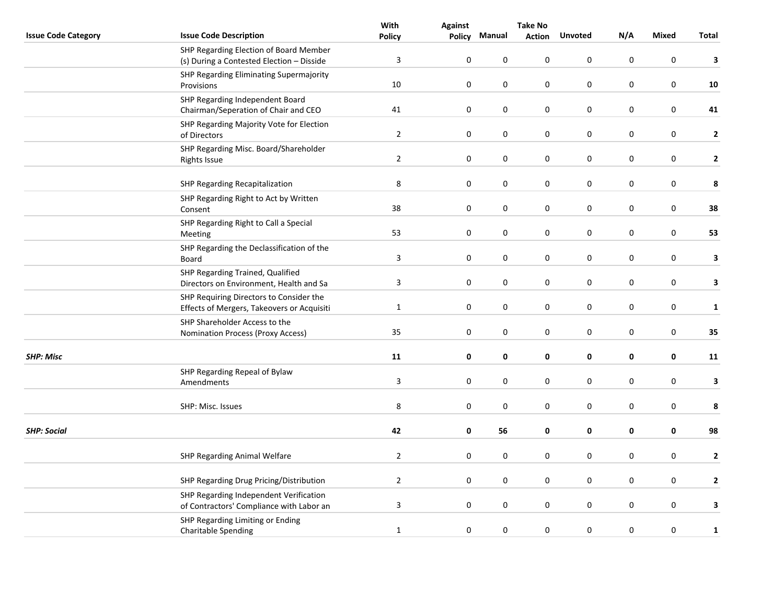|                            |                                                                                       | With           | <b>Against</b> | <b>Take No</b>   |               |                  |             |                  |              |
|----------------------------|---------------------------------------------------------------------------------------|----------------|----------------|------------------|---------------|------------------|-------------|------------------|--------------|
| <b>Issue Code Category</b> | <b>Issue Code Description</b>                                                         | <b>Policy</b>  | <b>Policy</b>  | Manual           | <b>Action</b> | <b>Unvoted</b>   | N/A         | <b>Mixed</b>     | <b>Total</b> |
|                            | SHP Regarding Election of Board Member<br>(s) During a Contested Election - Disside   | $\overline{3}$ | $\pmb{0}$      | $\pmb{0}$        | 0             | $\pmb{0}$        | $\pmb{0}$   | $\pmb{0}$        | 3            |
|                            | SHP Regarding Eliminating Supermajority<br>Provisions                                 | 10             | $\pmb{0}$      | $\mathbf 0$      | 0             | $\mathbf 0$      | 0           | 0                | 10           |
|                            | SHP Regarding Independent Board<br>Chairman/Seperation of Chair and CEO               | 41             | $\pmb{0}$      | $\pmb{0}$        | $\pmb{0}$     | $\boldsymbol{0}$ | 0           | $\boldsymbol{0}$ | 41           |
|                            | SHP Regarding Majority Vote for Election<br>of Directors                              | $\overline{2}$ | $\pmb{0}$      | $\pmb{0}$        | 0             | $\pmb{0}$        | 0           | $\pmb{0}$        | $\mathbf{2}$ |
|                            | SHP Regarding Misc. Board/Shareholder<br>Rights Issue                                 | $\overline{2}$ | $\pmb{0}$      | $\boldsymbol{0}$ | $\pmb{0}$     | $\boldsymbol{0}$ | $\pmb{0}$   | $\pmb{0}$        | $\mathbf{2}$ |
|                            | SHP Regarding Recapitalization                                                        | 8              | $\pmb{0}$      | 0                | $\pmb{0}$     | $\boldsymbol{0}$ | $\mathbf 0$ | 0                | 8            |
|                            | SHP Regarding Right to Act by Written<br>Consent                                      | 38             | $\pmb{0}$      | $\boldsymbol{0}$ | $\pmb{0}$     | $\boldsymbol{0}$ | $\pmb{0}$   | $\pmb{0}$        | 38           |
|                            | SHP Regarding Right to Call a Special<br>Meeting                                      | 53             | $\pmb{0}$      | $\pmb{0}$        | 0             | $\pmb{0}$        | 0           | $\boldsymbol{0}$ | 53           |
|                            | SHP Regarding the Declassification of the<br>Board                                    | $\mathsf 3$    | $\pmb{0}$      | $\pmb{0}$        | 0             | $\pmb{0}$        | 0           | $\pmb{0}$        | 3            |
|                            | SHP Regarding Trained, Qualified<br>Directors on Environment, Health and Sa           | $\mathsf 3$    | $\pmb{0}$      | $\boldsymbol{0}$ | $\pmb{0}$     | $\boldsymbol{0}$ | $\pmb{0}$   | $\pmb{0}$        | $\mathbf{3}$ |
|                            | SHP Requiring Directors to Consider the<br>Effects of Mergers, Takeovers or Acquisiti | $\mathbf{1}$   | $\pmb{0}$      | $\boldsymbol{0}$ | $\pmb{0}$     | $\boldsymbol{0}$ | $\pmb{0}$   | $\pmb{0}$        | 1            |
|                            | SHP Shareholder Access to the<br>Nomination Process (Proxy Access)                    | 35             | 0              | $\mathbf 0$      | 0             | $\mathbf 0$      | $\mathbf 0$ | 0                | 35           |
| <b>SHP: Misc</b>           |                                                                                       | 11             | $\pmb{0}$      | 0                | 0             | 0                | 0           | $\pmb{0}$        | 11           |
|                            | SHP Regarding Repeal of Bylaw<br>Amendments                                           | $\mathsf 3$    | $\pmb{0}$      | $\pmb{0}$        | $\pmb{0}$     | $\boldsymbol{0}$ | 0           | $\boldsymbol{0}$ | 3            |
|                            | SHP: Misc. Issues                                                                     | $\,8\,$        | $\pmb{0}$      | $\pmb{0}$        | 0             | $\boldsymbol{0}$ | 0           | 0                | 8            |
| <b>SHP: Social</b>         |                                                                                       | 42             | $\pmb{0}$      | 56               | 0             | 0                | 0           | 0                | 98           |
|                            | SHP Regarding Animal Welfare                                                          | $\overline{2}$ | $\pmb{0}$      | $\mathbf 0$      | 0             | $\mathbf 0$      | 0           | $\pmb{0}$        | $\mathbf{2}$ |
|                            | SHP Regarding Drug Pricing/Distribution                                               | $\overline{2}$ | 0              | $\pmb{0}$        | 0             | 0                | 0           | $\pmb{0}$        | $\mathbf{2}$ |
|                            | SHP Regarding Independent Verification<br>of Contractors' Compliance with Labor an    | $\mathbf{3}$   | $\pmb{0}$      | $\pmb{0}$        | $\pmb{0}$     | $\boldsymbol{0}$ | 0           | $\boldsymbol{0}$ | 3            |
|                            | SHP Regarding Limiting or Ending<br><b>Charitable Spending</b>                        | $\mathbf{1}$   | $\pmb{0}$      | $\boldsymbol{0}$ | $\pmb{0}$     | $\boldsymbol{0}$ | $\pmb{0}$   | $\boldsymbol{0}$ | $\mathbf{1}$ |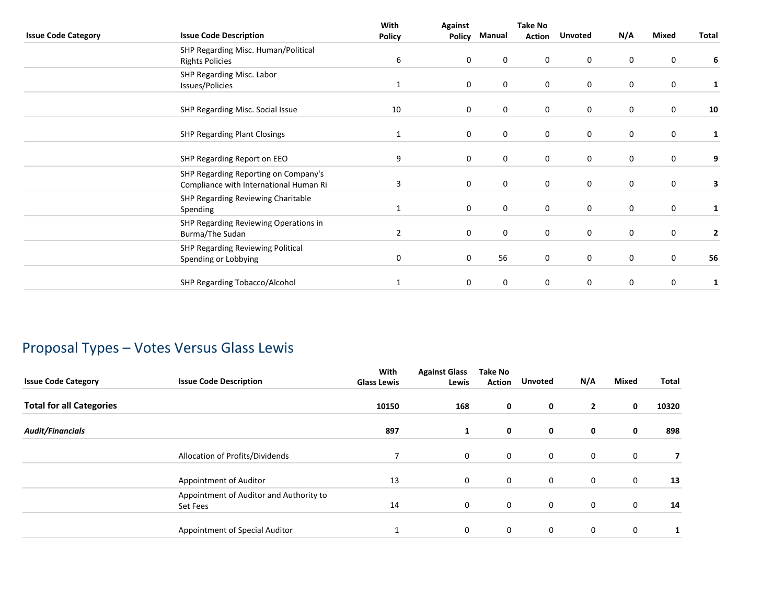|                            |                                                                                | With          | <b>Against</b> |             | <b>Take No</b> |                  |             |             |       |
|----------------------------|--------------------------------------------------------------------------------|---------------|----------------|-------------|----------------|------------------|-------------|-------------|-------|
| <b>Issue Code Category</b> | <b>Issue Code Description</b>                                                  | <b>Policy</b> | <b>Policy</b>  | Manual      | <b>Action</b>  | <b>Unvoted</b>   | N/A         | Mixed       | Total |
|                            | SHP Regarding Misc. Human/Political                                            |               |                |             |                |                  |             |             |       |
|                            | <b>Rights Policies</b>                                                         | 6             | $\mathbf 0$    | 0           | 0              | 0                | 0           | 0           | 6     |
|                            | SHP Regarding Misc. Labor                                                      |               |                |             |                |                  |             |             |       |
|                            | Issues/Policies                                                                | 1             | $\mathbf 0$    | 0           | 0              | 0                | 0           | 0           | 1     |
|                            | SHP Regarding Misc. Social Issue                                               | 10            | $\mathbf 0$    | 0           | 0              | 0                | $\mathbf 0$ | $\mathbf 0$ | 10    |
|                            | <b>SHP Regarding Plant Closings</b>                                            | 1             | $\mathbf 0$    | 0           | 0              | $\mathbf 0$      | 0           | 0           | 1     |
|                            | SHP Regarding Report on EEO                                                    | 9             | 0              | 0           | 0              | 0                | 0           | $\mathbf 0$ | 9     |
|                            | SHP Regarding Reporting on Company's<br>Compliance with International Human Ri | 3             | $\mathbf 0$    | $\mathbf 0$ | 0              | $\boldsymbol{0}$ | 0           | $\mathbf 0$ | 3     |
|                            | SHP Regarding Reviewing Charitable<br>Spending                                 | 1             | $\mathbf 0$    | 0           | 0              | 0                | 0           | 0           | 1     |
|                            | SHP Regarding Reviewing Operations in<br>Burma/The Sudan                       | 2             | $\mathbf 0$    | $\mathbf 0$ | 0              | 0                | 0           | 0           | 2     |
|                            | SHP Regarding Reviewing Political<br>Spending or Lobbying                      | 0             | $\mathbf 0$    | 56          | 0              | 0                | 0           | 0           | 56    |
|                            | SHP Regarding Tobacco/Alcohol                                                  | 1             | $\mathbf 0$    | 0           | 0              | 0                | 0           | 0           | 1     |

# Proposal Types – Votes Versus Glass Lewis

| <b>Issue Code Category</b>      | <b>Issue Code Description</b>                       | With<br><b>Glass Lewis</b> | <b>Against Glass</b><br>Lewis | <b>Take No</b><br><b>Action</b> | <b>Unvoted</b> | N/A          | Mixed       | Total |
|---------------------------------|-----------------------------------------------------|----------------------------|-------------------------------|---------------------------------|----------------|--------------|-------------|-------|
| <b>Total for all Categories</b> |                                                     | 10150                      | 168                           | 0                               | 0              | $\mathbf{2}$ | 0           | 10320 |
| <b>Audit/Financials</b>         |                                                     | 897                        | 1                             | $\mathbf 0$                     | 0              | 0            | 0           | 898   |
|                                 | Allocation of Profits/Dividends                     | 7                          | 0                             | $\mathbf 0$                     | $\mathbf 0$    | 0            | $\mathbf 0$ |       |
|                                 | Appointment of Auditor                              | 13                         | 0                             | $\mathbf 0$                     | $\mathbf 0$    | $\mathbf 0$  | $\mathbf 0$ | 13    |
|                                 | Appointment of Auditor and Authority to<br>Set Fees | 14                         | 0                             | $\mathbf 0$                     | 0              | $\mathbf 0$  | 0           | 14    |
|                                 | Appointment of Special Auditor                      |                            | 0                             | $\mathbf 0$                     | $\mathbf 0$    | $\mathbf 0$  | 0           |       |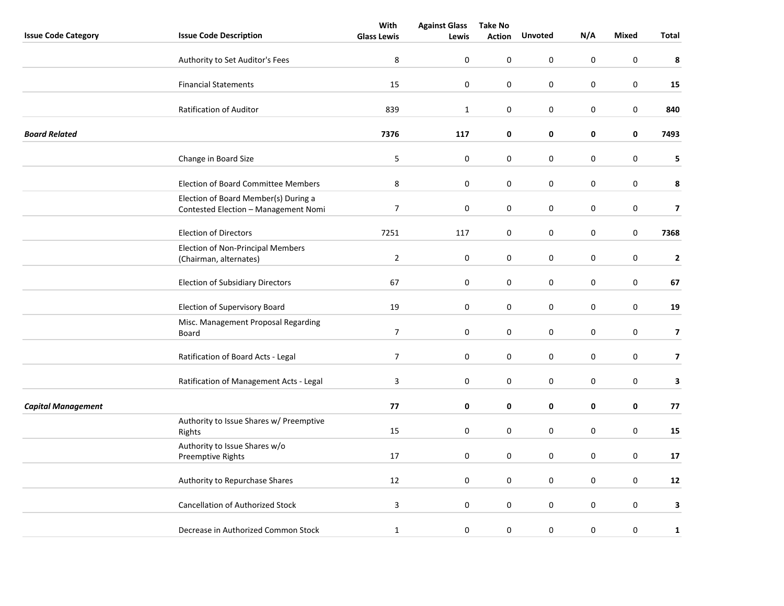|                            |                                                                              | With               | <b>Against Glass</b> | <b>Take No</b> |                  |                  |                  |                         |
|----------------------------|------------------------------------------------------------------------------|--------------------|----------------------|----------------|------------------|------------------|------------------|-------------------------|
| <b>Issue Code Category</b> | <b>Issue Code Description</b>                                                | <b>Glass Lewis</b> | Lewis                | <b>Action</b>  | <b>Unvoted</b>   | N/A              | <b>Mixed</b>     | Total                   |
|                            | Authority to Set Auditor's Fees                                              | 8                  | 0                    | 0              | 0                | 0                | $\pmb{0}$        | 8                       |
|                            | <b>Financial Statements</b>                                                  | 15                 | $\pmb{0}$            | 0              | 0                | 0                | 0                | 15                      |
|                            | <b>Ratification of Auditor</b>                                               | 839                | $\mathbf{1}$         | $\pmb{0}$      | $\boldsymbol{0}$ | $\boldsymbol{0}$ | $\pmb{0}$        | 840                     |
| <b>Board Related</b>       |                                                                              | 7376               | 117                  | 0              | 0                | 0                | 0                | 7493                    |
|                            | Change in Board Size                                                         | 5                  | $\pmb{0}$            | 0              | 0                | 0                | $\pmb{0}$        | 5                       |
|                            | Election of Board Committee Members                                          | 8                  | 0                    | 0              | 0                | $\boldsymbol{0}$ | 0                | 8                       |
|                            | Election of Board Member(s) During a<br>Contested Election - Management Nomi | $\overline{7}$     | $\pmb{0}$            | 0              | 0                | 0                | $\mathsf 0$      | $\overline{\mathbf{z}}$ |
|                            | <b>Election of Directors</b>                                                 | 7251               | 117                  | 0              | 0                | 0                | $\mathbf 0$      | 7368                    |
|                            | Election of Non-Principal Members<br>(Chairman, alternates)                  | $\overline{2}$     | $\pmb{0}$            | 0              | 0                | $\boldsymbol{0}$ | $\pmb{0}$        | $\overline{2}$          |
|                            | <b>Election of Subsidiary Directors</b>                                      | 67                 | 0                    | 0              | 0                | $\mathbf 0$      | 0                | 67                      |
|                            | Election of Supervisory Board                                                | 19                 | 0                    | 0              | 0                | $\boldsymbol{0}$ | $\boldsymbol{0}$ | 19                      |
|                            | Misc. Management Proposal Regarding<br>Board                                 | $\overline{7}$     | $\pmb{0}$            | 0              | 0                | $\mathbf 0$      | $\pmb{0}$        | $\overline{\mathbf{z}}$ |
|                            | Ratification of Board Acts - Legal                                           | $\overline{7}$     | 0                    | 0              | 0                | 0                | 0                | $\overline{\mathbf{z}}$ |
|                            | Ratification of Management Acts - Legal                                      | $\overline{3}$     | $\boldsymbol{0}$     | 0              | 0                | 0                | 0                | 3                       |
| <b>Capital Management</b>  |                                                                              | 77                 | 0                    | 0              | 0                | 0                | $\pmb{0}$        | 77                      |
|                            | Authority to Issue Shares w/ Preemptive<br>Rights                            | 15                 | 0                    | 0              | 0                | $\mathbf 0$      | $\pmb{0}$        | 15                      |
|                            | Authority to Issue Shares w/o<br>Preemptive Rights                           | 17                 | 0                    | 0              | 0                | 0                | $\mathsf 0$      | 17                      |
|                            | Authority to Repurchase Shares                                               | 12                 | $\boldsymbol{0}$     | 0              | 0                | 0                | $\boldsymbol{0}$ | 12                      |
|                            | <b>Cancellation of Authorized Stock</b>                                      | $\mathbf{3}$       | $\mathbf 0$          | 0              | 0                | 0                | 0                | 3                       |
|                            | Decrease in Authorized Common Stock                                          | $\mathbf{1}$       | $\pmb{0}$            | 0              | 0                | $\pmb{0}$        | $\pmb{0}$        | $\mathbf{1}$            |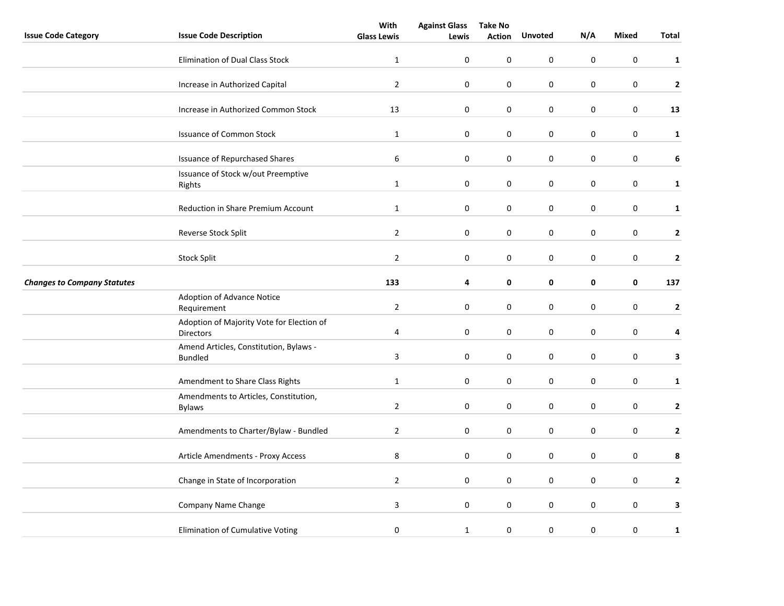|                                    |                                                               | With                    | <b>Against Glass</b> | <b>Take No</b> |                  |                  |                  |                |
|------------------------------------|---------------------------------------------------------------|-------------------------|----------------------|----------------|------------------|------------------|------------------|----------------|
| <b>Issue Code Category</b>         | <b>Issue Code Description</b>                                 | <b>Glass Lewis</b>      | Lewis                | <b>Action</b>  | <b>Unvoted</b>   | N/A              | <b>Mixed</b>     | Total          |
|                                    | <b>Elimination of Dual Class Stock</b>                        | $\mathbf{1}$            | $\mathbf 0$          | 0              | 0                | 0                | 0                | $\mathbf{1}$   |
|                                    | Increase in Authorized Capital                                | $\overline{2}$          | $\mathbf 0$          | 0              | 0                | 0                | 0                | $\overline{2}$ |
|                                    | Increase in Authorized Common Stock                           | 13                      | 0                    | 0              | 0                | 0                | $\mathbf 0$      | 13             |
|                                    | <b>Issuance of Common Stock</b>                               | $\mathbf 1$             | $\boldsymbol{0}$     | 0              | 0                | 0                | $\mathbf 0$      | $\mathbf{1}$   |
|                                    | <b>Issuance of Repurchased Shares</b>                         | 6                       | $\mathbf 0$          | 0              | 0                | 0                | $\mathsf 0$      | $\bf 6$        |
|                                    | Issuance of Stock w/out Preemptive<br>Rights                  | $\mathbf{1}$            | 0                    | 0              | 0                | 0                | $\mathbf 0$      | $\mathbf{1}$   |
|                                    | <b>Reduction in Share Premium Account</b>                     | $\mathbf{1}$            | $\mathbf 0$          | 0              | 0                | 0                | 0                | $\mathbf{1}$   |
|                                    | Reverse Stock Split                                           | $\overline{2}$          | $\boldsymbol{0}$     | 0              | 0                | 0                | $\boldsymbol{0}$ | $\mathbf{2}$   |
|                                    | <b>Stock Split</b>                                            | $\overline{2}$          | $\pmb{0}$            | 0              | 0                | 0                | 0                | $\mathbf{2}$   |
| <b>Changes to Company Statutes</b> |                                                               | 133                     | 4                    | 0              | 0                | 0                | $\pmb{0}$        | 137            |
|                                    | Adoption of Advance Notice<br>Requirement                     | $\overline{2}$          | 0                    | 0              | 0                | 0                | $\boldsymbol{0}$ | $\mathbf{2}$   |
|                                    | Adoption of Majority Vote for Election of<br><b>Directors</b> | $\overline{4}$          | $\mathbf 0$          | 0              | 0                | 0                | 0                | 4              |
|                                    | Amend Articles, Constitution, Bylaws -<br><b>Bundled</b>      | $\overline{\mathbf{3}}$ | $\boldsymbol{0}$     | 0              | $\boldsymbol{0}$ | 0                | $\boldsymbol{0}$ | 3              |
|                                    | Amendment to Share Class Rights                               | $\mathbf{1}$            | $\boldsymbol{0}$     | 0              | 0                | 0                | 0                | $\mathbf{1}$   |
|                                    | Amendments to Articles, Constitution,<br><b>Bylaws</b>        | $\overline{2}$          | $\boldsymbol{0}$     | 0              | 0                | 0                | $\boldsymbol{0}$ | $\mathbf{2}$   |
|                                    | Amendments to Charter/Bylaw - Bundled                         | $\overline{2}$          | 0                    | $\pmb{0}$      | 0                | $\pmb{0}$        | $\boldsymbol{0}$ | $\mathbf{2}$   |
|                                    | Article Amendments - Proxy Access                             | 8                       | $\mathbf 0$          | 0              | 0                | 0                | $\mathsf 0$      | 8              |
|                                    | Change in State of Incorporation                              | $\overline{2}$          | 0                    | 0              | 0                | 0                | $\pmb{0}$        | $\mathbf{2}$   |
|                                    | Company Name Change                                           | $\mathbf{3}$            | $\boldsymbol{0}$     | 0              | 0                | 0                | $\boldsymbol{0}$ | 3              |
|                                    | Elimination of Cumulative Voting                              | 0                       | $\mathbf 1$          | 0              | 0                | $\boldsymbol{0}$ | 0                | $\mathbf{1}$   |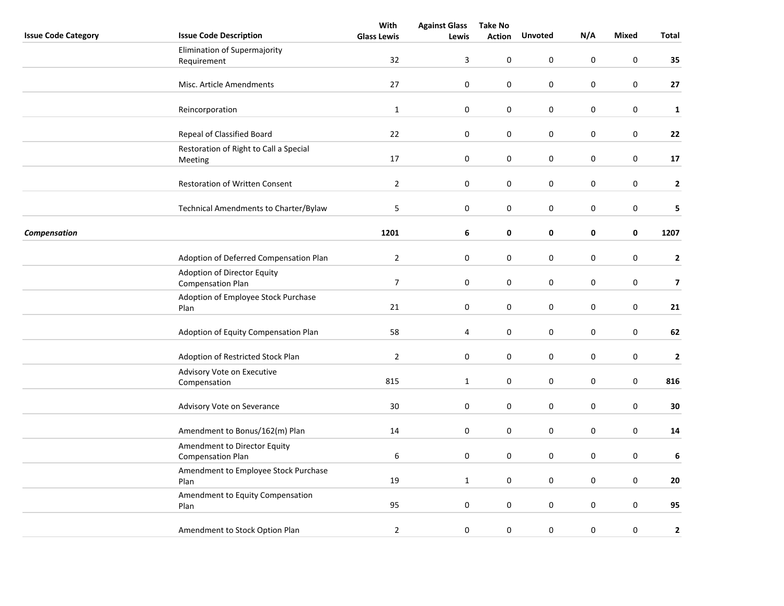|                            |                                             | With               | <b>Against Glass</b> | <b>Take No</b> |                  |             |                  |                         |
|----------------------------|---------------------------------------------|--------------------|----------------------|----------------|------------------|-------------|------------------|-------------------------|
| <b>Issue Code Category</b> | <b>Issue Code Description</b>               | <b>Glass Lewis</b> | Lewis                | <b>Action</b>  | <b>Unvoted</b>   | N/A         | <b>Mixed</b>     | Total                   |
|                            | Elimination of Supermajority                |                    |                      |                |                  |             |                  |                         |
|                            | Requirement                                 | 32                 | 3                    | 0              | $\boldsymbol{0}$ | $\pmb{0}$   | $\boldsymbol{0}$ | 35                      |
|                            |                                             |                    |                      |                |                  |             |                  |                         |
|                            | Misc. Article Amendments                    | 27                 | 0                    | 0              | $\pmb{0}$        | $\pmb{0}$   | 0                | 27                      |
|                            |                                             |                    |                      |                |                  |             |                  |                         |
|                            | Reincorporation                             | $\mathbf{1}$       | 0                    | 0              | $\mathsf 0$      | $\pmb{0}$   | $\pmb{0}$        | $\mathbf{1}$            |
|                            |                                             |                    |                      |                |                  |             |                  |                         |
|                            | Repeal of Classified Board                  | 22                 | $\pmb{0}$            | 0              | 0                | $\pmb{0}$   | 0                | 22                      |
|                            | Restoration of Right to Call a Special      |                    |                      |                |                  |             |                  |                         |
|                            | Meeting                                     | 17                 | $\boldsymbol{0}$     | 0              | 0                | $\pmb{0}$   | $\boldsymbol{0}$ | 17                      |
|                            |                                             |                    |                      |                |                  |             |                  |                         |
|                            | Restoration of Written Consent              | $\overline{2}$     | $\pmb{0}$            | 0              | 0                | $\pmb{0}$   | $\boldsymbol{0}$ | $\mathbf{2}$            |
|                            |                                             |                    |                      |                |                  |             |                  |                         |
|                            | Technical Amendments to Charter/Bylaw       | 5                  | $\pmb{0}$            | 0              | $\pmb{0}$        | $\pmb{0}$   | $\boldsymbol{0}$ | 5                       |
|                            |                                             |                    |                      |                |                  |             |                  |                         |
| Compensation               |                                             | 1201               | 6                    | 0              | 0                | $\pmb{0}$   | 0                | 1207                    |
|                            |                                             |                    |                      |                |                  |             |                  |                         |
|                            | Adoption of Deferred Compensation Plan      | $\mathbf{2}$       | 0                    | 0              | 0                | $\mathbf 0$ | 0                | $\mathbf{2}$            |
|                            | Adoption of Director Equity                 |                    |                      |                |                  |             |                  |                         |
|                            | <b>Compensation Plan</b>                    | $\overline{7}$     | $\boldsymbol{0}$     | 0              | 0                | $\pmb{0}$   | $\pmb{0}$        | $\overline{\mathbf{z}}$ |
|                            |                                             |                    |                      |                |                  |             |                  |                         |
|                            | Adoption of Employee Stock Purchase<br>Plan | 21                 | $\pmb{0}$            | 0              | $\pmb{0}$        | $\pmb{0}$   | $\pmb{0}$        | 21                      |
|                            |                                             |                    |                      |                |                  |             |                  |                         |
|                            | Adoption of Equity Compensation Plan        | 58                 | 4                    | 0              | $\pmb{0}$        | $\pmb{0}$   | 0                | 62                      |
|                            |                                             |                    |                      |                |                  |             |                  |                         |
|                            | Adoption of Restricted Stock Plan           | $\overline{2}$     | $\boldsymbol{0}$     | 0              | $\mathsf 0$      | $\pmb{0}$   | $\boldsymbol{0}$ | $\mathbf{2}$            |
|                            |                                             |                    |                      |                |                  |             |                  |                         |
|                            | Advisory Vote on Executive                  | 815                |                      | 0              | $\mathsf 0$      | $\pmb{0}$   | $\boldsymbol{0}$ |                         |
|                            | Compensation                                |                    | $\mathbf{1}$         |                |                  |             |                  | 816                     |
|                            |                                             | $30\,$             |                      |                |                  |             |                  | 30                      |
|                            | Advisory Vote on Severance                  |                    | 0                    | 0              | 0                | $\pmb{0}$   | 0                |                         |
|                            |                                             |                    |                      |                |                  |             |                  |                         |
|                            | Amendment to Bonus/162(m) Plan              | 14                 | 0                    | 0              | 0                | $\mathbf 0$ | 0                | 14                      |
|                            | Amendment to Director Equity                |                    |                      |                |                  |             |                  |                         |
|                            | <b>Compensation Plan</b>                    | $\,6\,$            | $\boldsymbol{0}$     | 0              | 0                | $\pmb{0}$   | $\boldsymbol{0}$ | 6                       |
|                            | Amendment to Employee Stock Purchase        |                    |                      |                |                  |             |                  |                         |
|                            | Plan                                        | 19                 | $\mathbf{1}$         | 0              | 0                | $\pmb{0}$   | $\boldsymbol{0}$ | 20                      |
|                            | Amendment to Equity Compensation            |                    |                      |                |                  |             |                  |                         |
|                            | Plan                                        | 95                 | $\boldsymbol{0}$     | 0              | $\pmb{0}$        | $\pmb{0}$   | $\boldsymbol{0}$ | 95                      |
|                            |                                             |                    |                      |                |                  |             |                  |                         |
|                            | Amendment to Stock Option Plan              | $\overline{2}$     | $\boldsymbol{0}$     | 0              | 0                | $\pmb{0}$   | 0                | $\mathbf{2}$            |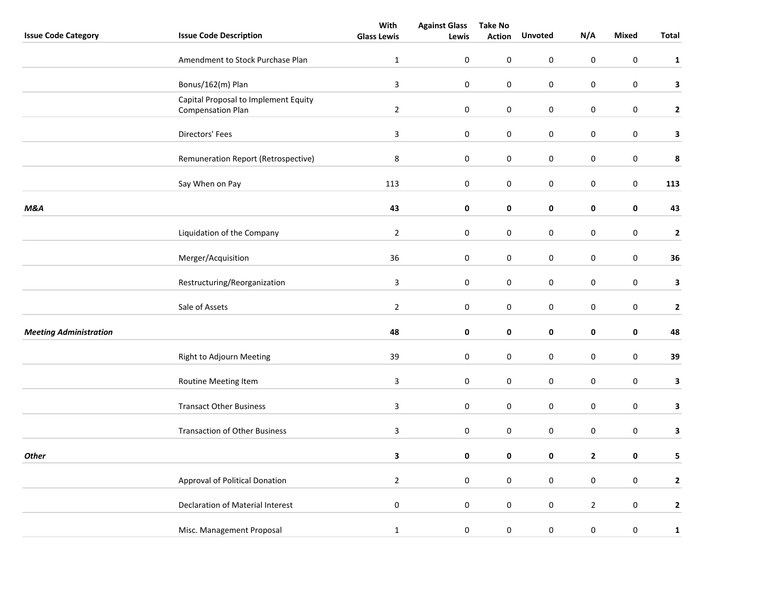|                               |                                                                  | With               | <b>Against Glass</b> | <b>Take No</b> |                  |                  |                  |              |
|-------------------------------|------------------------------------------------------------------|--------------------|----------------------|----------------|------------------|------------------|------------------|--------------|
| <b>Issue Code Category</b>    | <b>Issue Code Description</b>                                    | <b>Glass Lewis</b> | Lewis                | <b>Action</b>  | <b>Unvoted</b>   | N/A              | <b>Mixed</b>     | Total        |
|                               | Amendment to Stock Purchase Plan                                 | $\mathbf{1}$       | $\mathbf 0$          | 0              | 0                | $\pmb{0}$        | $\pmb{0}$        | $\mathbf{1}$ |
|                               | Bonus/162(m) Plan                                                | $\mathbf{3}$       | $\boldsymbol{0}$     | 0              | 0                | $\pmb{0}$        | $\boldsymbol{0}$ | 3            |
|                               | Capital Proposal to Implement Equity<br><b>Compensation Plan</b> | $\overline{2}$     | $\boldsymbol{0}$     | 0              | $\boldsymbol{0}$ | 0                | $\boldsymbol{0}$ | $\mathbf{2}$ |
|                               | Directors' Fees                                                  | $\mathbf{3}$       | $\boldsymbol{0}$     | 0              | $\boldsymbol{0}$ | $\boldsymbol{0}$ | $\pmb{0}$        | 3            |
|                               | Remuneration Report (Retrospective)                              | 8                  | $\boldsymbol{0}$     | 0              | 0                | 0                | $\pmb{0}$        | 8            |
|                               | Say When on Pay                                                  | 113                | 0                    | 0              | 0                | 0                | 0                | 113          |
| <b>M&amp;A</b>                |                                                                  | 43                 | 0                    | 0              | 0                | 0                | 0                | 43           |
|                               | Liquidation of the Company                                       | $\overline{2}$     | $\boldsymbol{0}$     | 0              | $\boldsymbol{0}$ | $\pmb{0}$        | $\pmb{0}$        | $\mathbf{2}$ |
|                               | Merger/Acquisition                                               | 36                 | $\pmb{0}$            | 0              | 0                | 0                | 0                | 36           |
|                               | Restructuring/Reorganization                                     | $\mathbf{3}$       | $\pmb{0}$            | 0              | $\pmb{0}$        | 0                | $\pmb{0}$        | 3            |
|                               | Sale of Assets                                                   | $\overline{2}$     | 0                    | 0              | 0                | 0                | $\pmb{0}$        | $\mathbf{2}$ |
| <b>Meeting Administration</b> |                                                                  | 48                 | 0                    | 0              | 0                | 0                | 0                | 48           |
|                               | Right to Adjourn Meeting                                         | 39                 | 0                    | 0              | 0                | 0                | 0                | 39           |
|                               | Routine Meeting Item                                             | $\mathbf{3}$       | $\mathbf 0$          | $\pmb{0}$      | 0                | $\pmb{0}$        | $\pmb{0}$        | 3            |
|                               | <b>Transact Other Business</b>                                   | $\mathbf{3}$       | 0                    | 0              | 0                | 0                | $\pmb{0}$        | $\mathbf{3}$ |
|                               | <b>Transaction of Other Business</b>                             | $\mathbf{3}$       | 0                    | 0              | 0                | 0                | $\pmb{0}$        | $\mathbf{3}$ |
| <b>Other</b>                  |                                                                  | 3                  | 0                    | 0              | 0                | $\mathbf{2}$     | 0                | 5            |
|                               | Approval of Political Donation                                   | $\overline{2}$     | $\mathbf 0$          | 0              | 0                | $\pmb{0}$        | $\pmb{0}$        | $\mathbf{2}$ |
|                               | Declaration of Material Interest                                 | $\pmb{0}$          | $\boldsymbol{0}$     | 0              | 0                | $\mathbf{2}$     | $\pmb{0}$        | $\mathbf{2}$ |
|                               | Misc. Management Proposal                                        | $\mathbf{1}$       | $\pmb{0}$            | 0              | 0                | $\boldsymbol{0}$ | $\boldsymbol{0}$ | $\mathbf 1$  |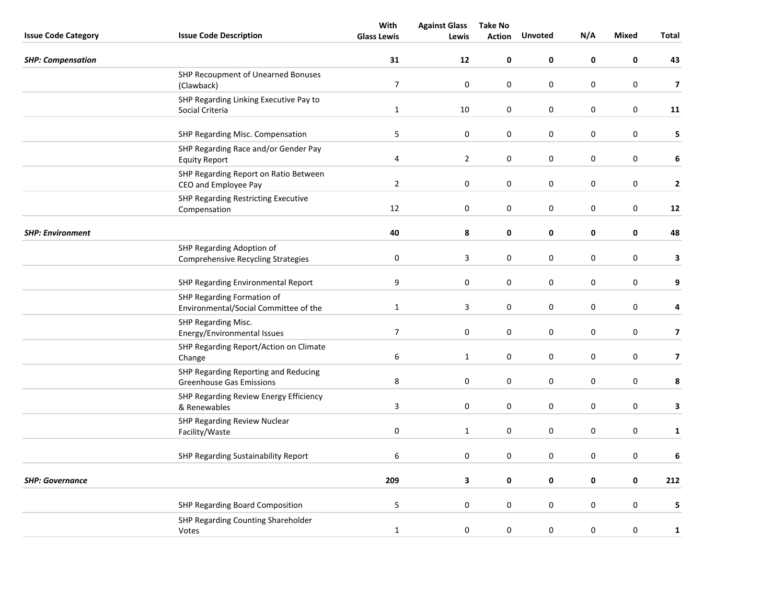|                            |                                                | With               | <b>Against Glass</b> | <b>Take No</b> |                |             |                  |                         |
|----------------------------|------------------------------------------------|--------------------|----------------------|----------------|----------------|-------------|------------------|-------------------------|
| <b>Issue Code Category</b> | <b>Issue Code Description</b>                  | <b>Glass Lewis</b> | Lewis                | <b>Action</b>  | <b>Unvoted</b> | N/A         | <b>Mixed</b>     | Total                   |
| <b>SHP: Compensation</b>   |                                                | 31                 | 12                   | $\pmb{0}$      | 0              | $\mathbf 0$ | $\mathbf 0$      | 43                      |
|                            | SHP Recoupment of Unearned Bonuses             |                    |                      |                |                |             |                  |                         |
|                            | (Clawback)                                     | $\boldsymbol{7}$   | $\pmb{0}$            | $\pmb{0}$      | $\pmb{0}$      | $\pmb{0}$   | $\pmb{0}$        | $\overline{\mathbf{z}}$ |
|                            | SHP Regarding Linking Executive Pay to         |                    |                      |                |                |             |                  |                         |
|                            | Social Criteria                                | $\mathbf{1}$       | $10\,$               | 0              | $\mathbf 0$    | $\mathbf 0$ | $\mathbf 0$      | 11                      |
|                            | SHP Regarding Misc. Compensation               | $\sqrt{5}$         | 0                    | $\mathbf 0$    | $\mathbf 0$    | $\mathbf 0$ | $\mathbf 0$      | 5                       |
|                            | SHP Regarding Race and/or Gender Pay           |                    |                      |                |                |             |                  |                         |
|                            | <b>Equity Report</b>                           | 4                  | $\overline{2}$       | $\pmb{0}$      | $\pmb{0}$      | $\mathbf 0$ | $\mathbf 0$      | 6                       |
|                            | SHP Regarding Report on Ratio Between          |                    |                      |                |                |             |                  |                         |
|                            | CEO and Employee Pay                           | $\overline{2}$     | $\mathbf 0$          | 0              | $\mathbf 0$    | $\mathbf 0$ | $\pmb{0}$        | $\mathbf{2}$            |
|                            | SHP Regarding Restricting Executive            |                    |                      |                |                |             |                  |                         |
|                            | Compensation                                   | 12                 | $\mathbf 0$          | $\pmb{0}$      | $\mathbf 0$    | $\pmb{0}$   | $\boldsymbol{0}$ | 12                      |
| <b>SHP: Environment</b>    |                                                | 40                 | 8                    | 0              | 0              | $\mathbf 0$ | $\mathbf 0$      | 48                      |
|                            | SHP Regarding Adoption of                      |                    |                      |                |                |             |                  |                         |
|                            | <b>Comprehensive Recycling Strategies</b>      | $\pmb{0}$          | $\mathbf{3}$         | $\pmb{0}$      | 0              | $\pmb{0}$   | $\mathbf 0$      | 3                       |
|                            | SHP Regarding Environmental Report             | $\boldsymbol{9}$   | $\pmb{0}$            | $\pmb{0}$      | $\pmb{0}$      | $\pmb{0}$   | $\boldsymbol{0}$ | 9                       |
|                            | SHP Regarding Formation of                     |                    |                      |                |                |             |                  |                         |
|                            | Environmental/Social Committee of the          | $\mathbf{1}$       | 3                    | 0              | 0              | $\pmb{0}$   | $\mathbf 0$      | 4                       |
|                            | SHP Regarding Misc.                            |                    |                      |                |                |             |                  |                         |
|                            | Energy/Environmental Issues                    | $\boldsymbol{7}$   | $\pmb{0}$            | $\pmb{0}$      | $\pmb{0}$      | $\pmb{0}$   | $\pmb{0}$        | $\overline{7}$          |
|                            | SHP Regarding Report/Action on Climate         |                    |                      |                |                |             |                  |                         |
|                            | Change                                         | $\boldsymbol{6}$   | $\mathbf{1}$         | 0              | $\mathbf 0$    | $\mathbf 0$ | $\boldsymbol{0}$ | $\overline{\mathbf{z}}$ |
|                            | SHP Regarding Reporting and Reducing           |                    |                      |                |                |             |                  |                         |
|                            | <b>Greenhouse Gas Emissions</b>                | $\,8\,$            | $\pmb{0}$            | $\pmb{0}$      | 0              | $\pmb{0}$   | $\pmb{0}$        | 8                       |
|                            | SHP Regarding Review Energy Efficiency         | $\overline{3}$     | $\pmb{0}$            | $\pmb{0}$      | $\mathbf 0$    | $\pmb{0}$   | $\boldsymbol{0}$ | 3                       |
|                            | & Renewables                                   |                    |                      |                |                |             |                  |                         |
|                            | SHP Regarding Review Nuclear<br>Facility/Waste | $\pmb{0}$          | $\mathbf{1}$         | $\pmb{0}$      | 0              | $\pmb{0}$   | $\mathbf 0$      | $\mathbf{1}$            |
|                            |                                                |                    |                      |                |                |             |                  |                         |
|                            | SHP Regarding Sustainability Report            | 6                  | $\pmb{0}$            | 0              | $\mathbf 0$    | $\pmb{0}$   | $\boldsymbol{0}$ | 6                       |
| <b>SHP: Governance</b>     |                                                | 209                | 3                    | 0              | 0              | 0           | $\mathbf 0$      | 212                     |
|                            |                                                |                    |                      |                |                |             |                  |                         |
|                            | SHP Regarding Board Composition                | $\mathsf S$        | $\mathbf 0$          | $\mathbf 0$    | $\mathbf 0$    | $\mathbf 0$ | $\mathbf 0$      | 5                       |
|                            | SHP Regarding Counting Shareholder             |                    |                      |                |                |             |                  |                         |
|                            | Votes                                          | $\mathbf{1}$       | $\mathbf 0$          | 0              | 0              | $\mathbf 0$ | $\mathbf 0$      | $\mathbf{1}$            |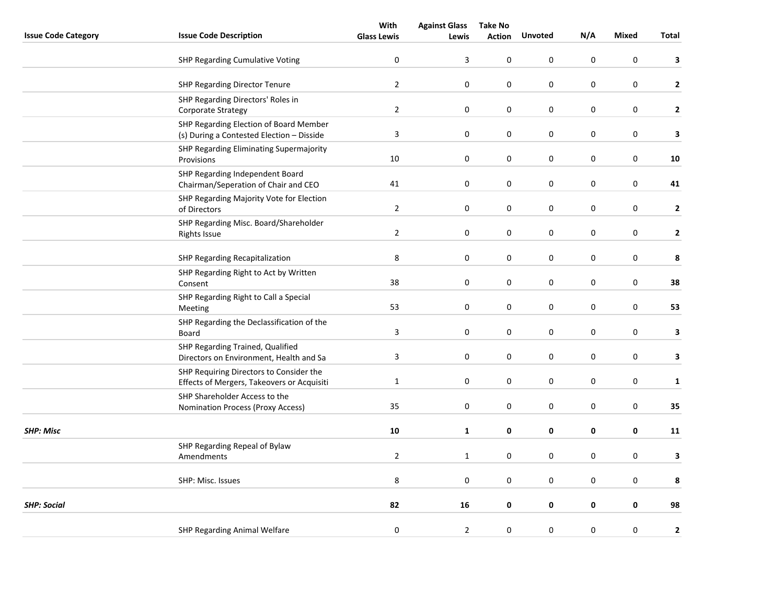|                            |                                                                                       | With               | <b>Against Glass</b>    | <b>Take No</b>   |                |                  |              |                         |
|----------------------------|---------------------------------------------------------------------------------------|--------------------|-------------------------|------------------|----------------|------------------|--------------|-------------------------|
| <b>Issue Code Category</b> | <b>Issue Code Description</b>                                                         | <b>Glass Lewis</b> | Lewis                   | <b>Action</b>    | <b>Unvoted</b> | N/A              | <b>Mixed</b> | Total                   |
|                            | SHP Regarding Cumulative Voting                                                       | $\pmb{0}$          | $\overline{\mathbf{3}}$ | $\pmb{0}$        | $\mathsf 0$    | $\pmb{0}$        | $\pmb{0}$    | 3                       |
|                            | <b>SHP Regarding Director Tenure</b>                                                  | $\mathbf 2$        | $\boldsymbol{0}$        | $\pmb{0}$        | 0              | $\pmb{0}$        | $\pmb{0}$    | $\mathbf{2}$            |
|                            | SHP Regarding Directors' Roles in<br>Corporate Strategy                               | $\overline{2}$     | 0                       | 0                | 0              | $\mathbf 0$      | $\pmb{0}$    | $\mathbf{2}$            |
|                            | SHP Regarding Election of Board Member<br>(s) During a Contested Election - Disside   | 3                  | 0                       | 0                | 0              | $\mathbf 0$      | $\pmb{0}$    | 3                       |
|                            | SHP Regarding Eliminating Supermajority<br>Provisions                                 | 10                 | $\boldsymbol{0}$        | $\pmb{0}$        | $\pmb{0}$      | $\pmb{0}$        | $\pmb{0}$    | 10                      |
|                            | SHP Regarding Independent Board<br>Chairman/Seperation of Chair and CEO               | 41                 | 0                       | 0                | 0              | $\mathbf 0$      | $\mathbf 0$  | 41                      |
|                            | SHP Regarding Majority Vote for Election<br>of Directors                              | $\overline{2}$     | $\pmb{0}$               | 0                | 0              | $\mathbf 0$      | $\pmb{0}$    | $\overline{2}$          |
|                            | SHP Regarding Misc. Board/Shareholder<br><b>Rights Issue</b>                          | $\overline{2}$     | $\pmb{0}$               | $\pmb{0}$        | 0              | 0                | $\pmb{0}$    | $\mathbf{2}$            |
|                            | SHP Regarding Recapitalization                                                        | 8                  | $\boldsymbol{0}$        | $\pmb{0}$        | 0              | $\pmb{0}$        | $\pmb{0}$    | 8                       |
|                            | SHP Regarding Right to Act by Written<br>Consent                                      | 38                 | $\boldsymbol{0}$        | $\pmb{0}$        | $\mathsf 0$    | $\boldsymbol{0}$ | $\pmb{0}$    | 38                      |
|                            | SHP Regarding Right to Call a Special<br>Meeting                                      | 53                 | 0                       | 0                | 0              | 0                | $\pmb{0}$    | 53                      |
|                            | SHP Regarding the Declassification of the<br>Board                                    | $\overline{3}$     | $\boldsymbol{0}$        | $\boldsymbol{0}$ | $\mathsf 0$    | $\pmb{0}$        | $\pmb{0}$    | $\overline{\mathbf{3}}$ |
|                            | SHP Regarding Trained, Qualified<br>Directors on Environment, Health and Sa           | $\overline{3}$     | $\boldsymbol{0}$        | $\boldsymbol{0}$ | 0              | $\pmb{0}$        | $\pmb{0}$    | 3                       |
|                            | SHP Requiring Directors to Consider the<br>Effects of Mergers, Takeovers or Acquisiti | $\mathbf{1}$       | $\boldsymbol{0}$        | $\boldsymbol{0}$ | 0              | $\pmb{0}$        | $\pmb{0}$    | $\mathbf{1}$            |
|                            | SHP Shareholder Access to the<br>Nomination Process (Proxy Access)                    | 35                 | $\boldsymbol{0}$        | $\pmb{0}$        | $\mathsf 0$    | $\boldsymbol{0}$ | $\pmb{0}$    | 35                      |
| <b>SHP: Misc</b>           |                                                                                       | 10                 | $\mathbf{1}$            | 0                | 0              | $\pmb{0}$        | $\pmb{0}$    | 11                      |
|                            | SHP Regarding Repeal of Bylaw<br>Amendments                                           | $\overline{2}$     | $\mathbf{1}$            | $\pmb{0}$        | $\mathsf 0$    | $\pmb{0}$        | $\pmb{0}$    | 3                       |
|                            | SHP: Misc. Issues                                                                     | 8                  | 0                       | $\pmb{0}$        | 0              | $\mathbf 0$      | $\pmb{0}$    | 8                       |
| <b>SHP: Social</b>         |                                                                                       | 82                 | 16                      | 0                | 0              | 0                | 0            | 98                      |
|                            | SHP Regarding Animal Welfare                                                          | 0                  | $\overline{2}$          | $\pmb{0}$        | 0              | 0                | $\pmb{0}$    | $\mathbf 2$             |